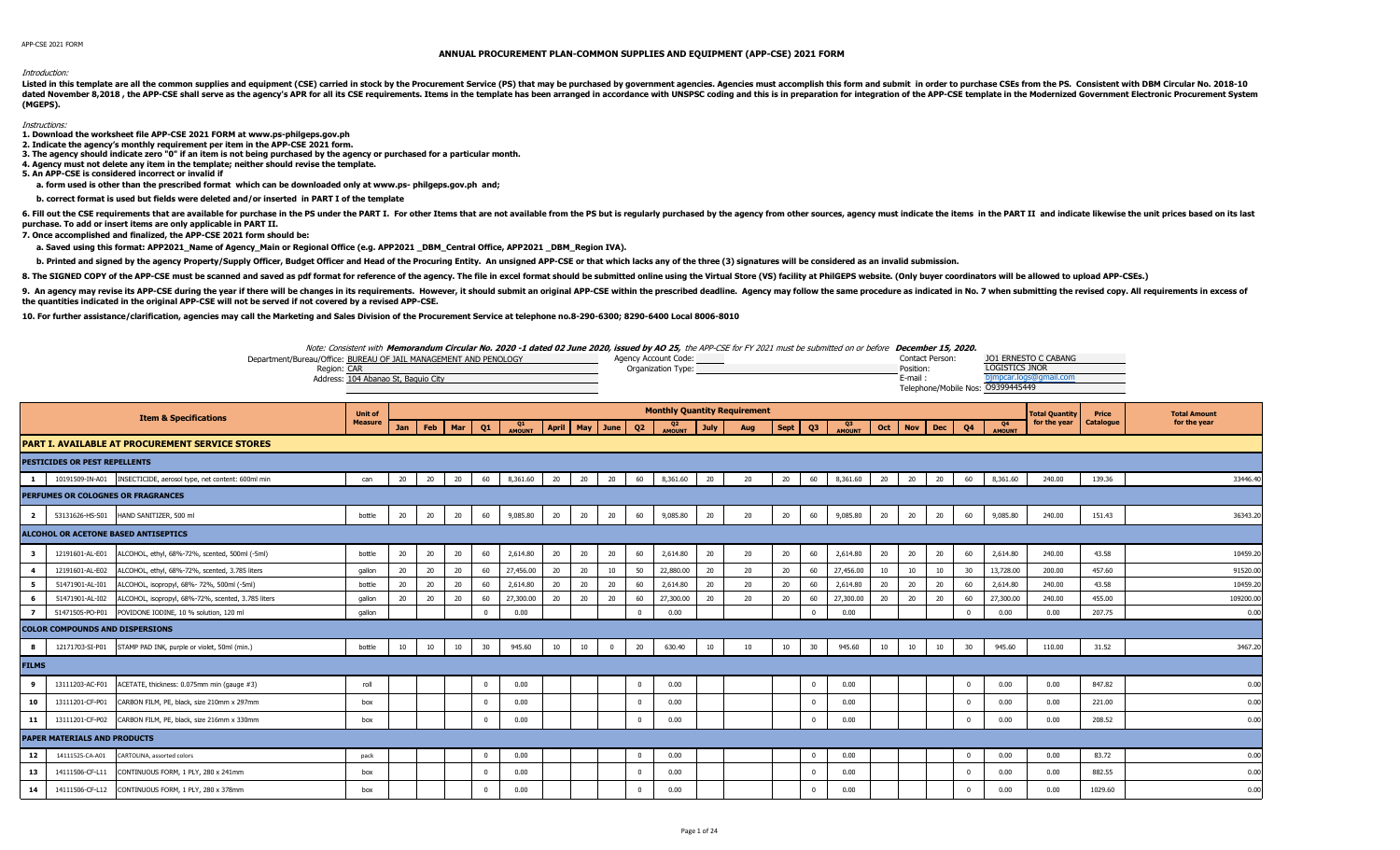## Introduction:

Listed in this template are all the common supplies and equipment (CSE) carried in stock by the Procurement Service (PS) that may be purchased by government agencies. Agencies must accomplish this form and submit in order dated November 8,2018, the APP-CSE shall serve as the agency's APR for all its CSE requirements. Items in the template has been arranged in accordance with UNSPSC coding and this is in preparation for integration of the AP **(MGEPS).** 

## Instructions:

**1. Download the worksheet file APP-CSE 2021 FORM at www.ps-philgeps.gov.ph**

**2. Indicate the agency's monthly requirement per item in the APP-CSE 2021 form.**

**3. The agency should indicate zero "0" if an item is not being purchased by the agency or purchased for a particular month.**

**4. Agency must not delete any item in the template; neither should revise the template.**

**5. An APP-CSE is considered incorrect or invalid if**

 **a. form used is other than the prescribed format which can be downloaded only at www.ps- philgeps.gov.ph and;**

 **b. correct format is used but fields were deleted and/or inserted in PART I of the template** 

6. Fill out the CSE requirements that are available for purchase in the PS under the PART I. For other Items that are not available from the PS but is regularly purchased by the agency from other sources, agency must indic **purchase. To add or insert items are only applicable in PART II.**

**7. Once accomplished and finalized, the APP-CSE 2021 form should be:**

a. Saved using this format: APP2021 Name of Agency Main or Regional Office (e.g. APP2021 DBM Central Office, APP2021 DBM Region IVA).

b. Printed and signed by the agency Property/Supply Officer, Budget Officer and Head of the Procuring Entity. An unsigned APP-CSE or that which lacks any of the three (3) signatures will be considered as an invalid submiss

8. The SIGNED COPY of the APP-CSE must be scanned and saved as pdf format for reference of the agency. The file in excel format should be submitted online using the Virtual Store (VS) facility at PhilGEPS website. (Only bu

9. An agency may revise its APP-CSE during the year if there will be changes in its requirements. However, it should submit an original APP-CSE within the prescribed deadline. Agency may follow the same procedure as indica **the quantities indicated in the original APP-CSE will not be served if not covered by a revised APP-CSE.**

**10. For further assistance/clarification, agencies may call the Marketing and Sales Division of the Procurement Service at telephone no.8-290-6300; 8290-6400 Local 8006-8010**



|                |                                        | <b>Item &amp; Specifications</b>                                  | <b>Unit of</b> |     |    |                |            |              |                 |    |              |                | <b>Monthly Quantity Requirement</b> |             |     |      |                         |              |    |                 |    |                |                     | <b>Total Quantity</b> | <b>Price</b> | <b>Total Amount</b> |
|----------------|----------------------------------------|-------------------------------------------------------------------|----------------|-----|----|----------------|------------|--------------|-----------------|----|--------------|----------------|-------------------------------------|-------------|-----|------|-------------------------|--------------|----|-----------------|----|----------------|---------------------|-----------------------|--------------|---------------------|
|                |                                        |                                                                   | <b>Measure</b> | Jan |    | Feb   Mar   Q1 |            | Q1<br>AMOUNT | April May June  |    |              | Q <sub>2</sub> | Q <sub>2</sub><br>AMOUNT            | <b>July</b> | Aug | Sept | Q3                      | Q3<br>AMOUNT |    | Oct   Nov   Dec |    | Q <sub>4</sub> | Q4<br><b>AMOUNT</b> | for the year          | Catalogue    | for the year        |
|                |                                        | <b>PART I. AVAILABLE AT PROCUREMENT SERVICE STORES</b>            |                |     |    |                |            |              |                 |    |              |                |                                     |             |     |      |                         |              |    |                 |    |                |                     |                       |              |                     |
|                | <b>PESTICIDES OR PEST REPELLENTS</b>   |                                                                   |                |     |    |                |            |              |                 |    |              |                |                                     |             |     |      |                         |              |    |                 |    |                |                     |                       |              |                     |
|                |                                        | 10191509-IN-A01 INSECTICIDE, aerosol type, net content: 600ml min | can            | 20  | 20 | 20             | 60         | 8,361.60     | 20              | 20 | 20           | 60             | 8,361.60                            | 20          | 20  | 20   | 60                      | 8,361.60     | 20 | 20              | 20 | 60             | 8,361.60            | 240.00                | 139.36       | 33446.4             |
|                |                                        | PERFUMES OR COLOGNES OR FRAGRANCES                                |                |     |    |                |            |              |                 |    |              |                |                                     |             |     |      |                         |              |    |                 |    |                |                     |                       |              |                     |
| $\overline{2}$ | 53131626-HS-S01                        | HAND SANITIZER, 500 ml                                            | bottle         | 20  | 20 | 20             | 60         | 9,085.80     | 20              | 20 | 20           | 60             | 9,085.80                            | 20          | 20  | 20   | 60                      | 9,085.80     | 20 | 20              | 20 | 60             | 9,085.80            | 240.00                | 151.43       | 36343.2             |
|                |                                        | ALCOHOL OR ACETONE BASED ANTISEPTICS                              |                |     |    |                |            |              |                 |    |              |                |                                     |             |     |      |                         |              |    |                 |    |                |                     |                       |              |                     |
| - 3            | 12191601-AL-E01                        | ALCOHOL, ethyl, 68%-72%, scented, 500ml (-5ml)                    | bottle         | 20  | 20 | 20             | 60         | 2,614.80     | 20              | 20 | 20           | 60             | 2,614.80                            | 20          | 20  | 20   | 60                      | 2,614.80     | 20 | 20              | 20 | 60             | 2,614.80            | 240.00                | 43.58        | 10459.2             |
|                | 12191601-AL-E02                        | ALCOHOL, ethyl, 68%-72%, scented, 3.785 liters                    | qallon         | 20  | 20 | 20             | 60         | 27,456.00    | 20              | 20 | 10           | 50             | 22,880.00                           | 20          | 20  | 20   | 60                      | 27,456.00    | 10 | 10              | 10 | 30             | 13,728.00           | 200.00                | 457.60       | 91520.0             |
| 5              | 51471901-AL-I01                        | ALCOHOL, isopropyl, 68%- 72%, 500ml (-5ml)                        | bottle         | 20  | 20 | 20             | 60         | 2,614.80     | 20              | 20 | 20           | 60             | 2,614.80                            | 20          | 20  | 20   | 60                      | 2,614.80     | 20 | 20              | 20 | 60             | 2,614.80            | 240.00                | 43.58        | 10459.2             |
| 6              | 51471901-AL-I02                        | ALCOHOL, isopropyl, 68%-72%, scented, 3.785 liters                | qallon         | 20  | 20 | 20             | 60         | 27,300.00    | 20 <sub>2</sub> | 20 | 20           | 60             | 27,300.00                           | 20          | 20  | 20   | 60                      | 27,300.00    | 20 | 20              | 20 | 60             | 27,300.00           | 240.00                | 455.00       | 109200.0            |
|                | 51471505-PO-P01                        | POVIDONE IODINE, 10 % solution, 120 ml                            | qallon         |     |    |                |            | 0.00         |                 |    |              | $\Omega$       | 0.00                                |             |     |      | $\Omega$                | 0.00         |    |                 |    | $\Omega$       | 0.00                | 0.00                  | 207.75       | 0.00                |
|                | <b>COLOR COMPOUNDS AND DISPERSIONS</b> |                                                                   |                |     |    |                |            |              |                 |    |              |                |                                     |             |     |      |                         |              |    |                 |    |                |                     |                       |              |                     |
| 8              | 12171703-SI-P01                        | STAMP PAD INK, purple or violet, 50ml (min.)                      | bottle         | 10  | 10 | 10             | 30         | 945.60       | 10              | 10 | $\mathbf{0}$ | 20             | 630.40                              | 10          | 10  | 10   | 30                      | 945.60       | 10 | 10              | 10 | 30             | 945.60              | 110.00                | 31.52        | 3467.2              |
| <b>FILMS</b>   |                                        |                                                                   |                |     |    |                |            |              |                 |    |              |                |                                     |             |     |      |                         |              |    |                 |    |                |                     |                       |              |                     |
| 9              | 13111203-AC-F01                        | ACETATE, thickness: 0.075mm min (gauge #3)                        | roll           |     |    |                | $^{\circ}$ | 0.00         |                 |    |              | $\mathbf 0$    | 0.00                                |             |     |      | $\overline{\mathbf{0}}$ | 0.00         |    |                 |    | $\bf{0}$       | 0.00                | 0.00                  | 847.82       | 0.00                |
| 10             | 13111201-CF-P01                        | CARBON FILM, PE, black, size 210mm x 297mm                        | box            |     |    |                |            | 0.00         |                 |    |              |                | 0.00                                |             |     |      | $\Omega$                | 0.00         |    |                 |    | $^{\circ}$     | 0.00                | 0.00                  | 221.00       | 0.00                |
| 11             |                                        | 13111201-CF-P02 CARBON FILM, PE, black, size 216mm x 330mm        | box            |     |    |                |            | 0.00         |                 |    |              | $\mathbf{0}$   | 0.00                                |             |     |      | $\Omega$                | 0.00         |    |                 |    | $^{\circ}$     | 0.00                | 0.00                  | 208.52       | 0.00                |
|                | <b>PAPER MATERIALS AND PRODUCTS</b>    |                                                                   |                |     |    |                |            |              |                 |    |              |                |                                     |             |     |      |                         |              |    |                 |    |                |                     |                       |              |                     |
| 12             | 14111525-CA-A01                        | ARTOLINA, assorted colors                                         | pack           |     |    |                | $\Omega$   | 0.00         |                 |    |              | $\mathbf{0}$   | 0.00                                |             |     |      | $\overline{\mathbf{0}}$ | 0.00         |    |                 |    | $\mathbf{0}$   | 0.00                | 0.00                  | 83.72        | 0.00                |
| 13             | 14111506-CF-L11                        | CONTINUOUS FORM, 1 PLY, 280 x 241mm                               | box            |     |    |                |            | 0.00         |                 |    |              | $\Omega$       | 0.00                                |             |     |      | $\Omega$                | 0.00         |    |                 |    | $\Omega$       | 0.00                | 0.00                  | 882.55       | 0.00                |
| 14             |                                        | 14111506-CF-L12 CONTINUOUS FORM, 1 PLY, 280 x 378mm               | box            |     |    |                |            | 0.00         |                 |    |              |                | 0.00                                |             |     |      | $\Omega$                | 0.00         |    |                 |    | $\Omega$       | 0.00                | 0.00                  | 1029.60      | 0.00                |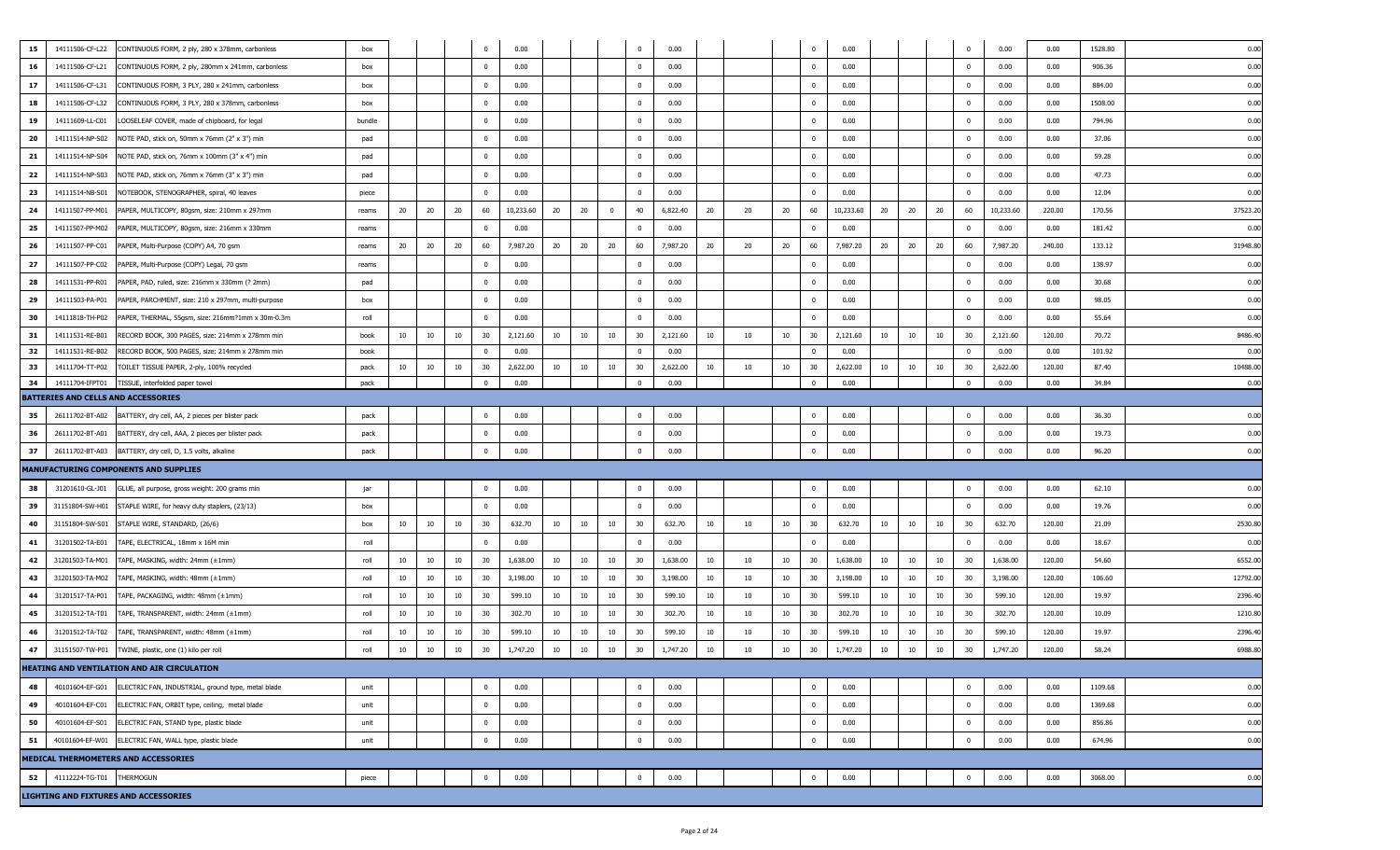| 15       | 14111506-CF-L22<br>CONTINUOUS FORM, 2 ply, 280 x 378mm, carbonless                                                 | box          |    |    |    | $^{\circ}$        | 0.00             |    |    |                | $\Omega$                | 0.00             |    |    |    | $\mathbf{0}$            | 0.00             |    |    |    | $\mathbf 0$        | 0.00             | 0.00           | 1528.80        | 0.00             |
|----------|--------------------------------------------------------------------------------------------------------------------|--------------|----|----|----|-------------------|------------------|----|----|----------------|-------------------------|------------------|----|----|----|-------------------------|------------------|----|----|----|--------------------|------------------|----------------|----------------|------------------|
| 16       | 14111506-CF-L21<br>CONTINUOUS FORM, 2 ply, 280mm x 241mm, carbonless                                               | box          |    |    |    | $^{\circ}$        | 0.00             |    |    |                | $\mathbf 0$             | 0.00             |    |    |    | $\overline{0}$          | 0.00             |    |    |    | $\mathbf 0$        | 0.00             | 0.00           | 906.36         | 0.00             |
| 17       | 14111506-CF-L31<br>CONTINUOUS FORM, 3 PLY, 280 x 241mm, carbonless                                                 | box          |    |    |    | 0                 | 0.00             |    |    |                | $\mathbf 0$             | 0.00             |    |    |    | $^{\circ}$              | 0.00             |    |    |    | 0                  | 0.00             | 0.00           | 884.00         | 0.00             |
| 18       | 14111506-CF-L32<br>CONTINUOUS FORM, 3 PLY, 280 x 378mm, carbonless                                                 | box          |    |    |    | $^{\circ}$        | 0.00             |    |    |                | $\mathbf 0$             | 0.00             |    |    |    | $\mathbf{0}$            | 0.00             |    |    |    | 0                  | 0.00             | 0.00           | 1508.00        | 0.00             |
| 19       | LOOSELEAF COVER, made of chipboard, for legal<br>14111609-LL-C01                                                   | bundle       |    |    |    | $^{\circ}$        | 0.00             |    |    |                | $\mathbf 0$             | 0.00             |    |    |    | $\overline{\mathbf{0}}$ | 0.00             |    |    |    | 0                  | 0.00             | 0.00           | 794.96         | 0.00             |
| 20       | 14111514-NP-S02<br>NOTE PAD, stick on, 50mm x 76mm (2" x 3") min                                                   | pad          |    |    |    | $^{\circ}$        | 0.00             |    |    |                | $\overline{\mathbf{0}}$ | 0.00             |    |    |    | $\overline{\mathbf{0}}$ | 0.00             |    |    |    | 0                  | 0.00             | 0.00           | 37.06          | 0.00             |
| 21       | 14111514-NP-S04<br>NOTE PAD, stick on, 76mm x 100mm (3" x 4") min                                                  | pad          |    |    |    | $^{\circ}$        | 0.00             |    |    |                | $\mathbf 0$             | 0.00             |    |    |    | $\mathbf 0$             | 0.00             |    |    |    | 0                  | 0.00             | 0.00           | 59.28          | 0.00             |
| 22       | 14111514-NP-S03<br>NOTE PAD, stick on, 76mm x 76mm (3" x 3") min                                                   | pad          |    |    |    | $^{\circ}$        | 0.00             |    |    |                | $\mathbf{0}$            | 0.00             |    |    |    | $\mathbf 0$             | 0.00             |    |    |    | 0                  | 0.00             | 0.00           | 47.73          | 0.00             |
| 23       | 14111514-NB-S01<br>NOTEBOOK, STENOGRAPHER, spiral, 40 leaves                                                       |              |    |    |    |                   | 0.00             |    |    |                | $\Omega$                | 0.00             |    |    |    | $\Omega$                | 0.00             |    |    |    | $\Omega$           | 0.00             | 0.00           | 12.04          | 0.00             |
| 24       | 14111507-PP-M01<br>PAPER, MULTICOPY, 80gsm, size: 210mm x 297mm                                                    | piece        | 20 | 20 | 20 | 60                | 10,233.60        | 20 | 20 | $\overline{0}$ | 40                      | 6,822.40         | 20 | 20 | 20 | 60                      | 10,233.60        | 20 | 20 | 20 | 60                 | 10,233.60        | 220.00         | 170.56         | 37523.2          |
| 25       |                                                                                                                    | reams        |    |    |    | $\Omega$          | 0.00             |    |    |                | $\Omega$                | 0.00             |    |    |    | $\mathbf 0$             |                  |    |    |    | $\mathbf 0$        | 0.00             |                |                |                  |
|          | 14111507-PP-M02<br>PAPER, MULTICOPY, 80gsm, size: 216mm x 330mm                                                    | reams        |    |    |    |                   |                  |    |    |                | 60                      |                  |    |    |    |                         | 0.00             |    |    |    |                    |                  | 0.00           | 181.42         | 0.00             |
| 26       | 14111507-PP-C01<br>PAPER, Multi-Purpose (COPY) A4, 70 gsm                                                          | reams        | 20 | 20 | 20 | 60                | 7,987.20         | 20 | 20 | 20             |                         | 7,987.20         | 20 | 20 | 20 | 60                      | 7,987.20         | 20 | 20 | 20 | 60                 | 7,987.20         | 240.00         | 133.12         | 31948.8          |
| 27       | 14111507-PP-C02<br>PAPER, Multi-Purpose (COPY) Legal, 70 gsm                                                       | reams        |    |    |    | $\Omega$          | 0.00             |    |    |                | $\overline{\mathbf{0}}$ | 0.00             |    |    |    | $^{\circ}$              | 0.00             |    |    |    | $^{\circ}$         | 0.00             | 0.00           | 138.97         | 0.00             |
| 28       | 14111531-PP-R01<br>PAPER, PAD, ruled, size: 216mm x 330mm (? 2mm)                                                  | pad          |    |    |    | $^{\circ}$        | 0.00             |    |    |                | $\mathbf{0}$            | 0.00             |    |    |    | $^{\circ}$              | 0.00             |    |    |    | 0                  | 0.00             | 0.00           | 30.68          | 0.00             |
| 29       | 14111503-PA-P01<br>PAPER, PARCHMENT, size: 210 x 297mm, multi-purpose                                              | box          |    |    |    | $^{\circ}$        | 0.00             |    |    |                | $\overline{\mathbf{0}}$ | 0.00             |    |    |    | $\overline{\mathbf{0}}$ | 0.00             |    |    |    | 0                  | 0.00             | 0.00           | 98.05          | 0.00             |
| 30       | 14111818-TH-P02<br>PAPER, THERMAL, 55gsm, size: 216mm?1mm x 30m-0.3m                                               | roll         |    |    |    | $\Omega$          | 0.00             |    |    |                | $\Omega$                | 0.00             |    |    |    | $\Omega$                | 0.00             |    |    |    | $\Omega$           | 0.00             | 0.00           | 55.64          | 0.00             |
| 31       | 14111531-RE-B01<br>RECORD BOOK, 300 PAGES, size: 214mm x 278mm min                                                 | book         | 10 | 10 | 10 | 30                | 2,121.60         | 10 | 10 | 10             | 30                      | 2,121.60         | 10 | 10 | 10 | 30                      | 2,121.60         | 10 | 10 | 10 | 30                 | 2,121.60         | 120.00         | 70.72          | 8486.40          |
| 32       | 14111531-RE-B02<br>RECORD BOOK, 500 PAGES, size: 214mm x 278mm min                                                 | book         |    |    |    | $\Omega$          | 0.00             |    |    |                | $\mathbf 0$             | 0.00             |    |    |    | $\overline{\mathbf{0}}$ | 0.00             |    |    |    | $^{\circ}$         | 0.00             | 0.00           | 101.92         | 0.00             |
| 33<br>34 | 14111704-TT-P02<br>TOILET TISSUE PAPER, 2-ply, 100% recycled<br>14111704-IFPT01<br>TISSUE, interfolded paper towel | pack<br>pack | 10 | 10 | 10 | 30<br>$\mathbf 0$ | 2,622.00<br>0.00 | 10 | 10 | 10             | 30<br>$\mathbf 0$       | 2,622.00<br>0.00 | 10 | 10 | 10 | 30<br>$\mathbf 0$       | 2,622.00<br>0.00 | 10 | 10 | 10 | 30<br>$\mathbf{0}$ | 2,622.00<br>0.00 | 120.00<br>0.00 | 87.40<br>34.84 | 10488.00<br>0.00 |
|          | BATTERIES AND CELLS AND ACCESSORIES                                                                                |              |    |    |    |                   |                  |    |    |                |                         |                  |    |    |    |                         |                  |    |    |    |                    |                  |                |                |                  |
| 35       | 26111702-BT-A02<br>BATTERY, dry cell, AA, 2 pieces per blister pack                                                | pack         |    |    |    | $^{\circ}$        | 0.00             |    |    |                | $\mathbf 0$             | 0.00             |    |    |    | $\mathbf{0}$            | 0.00             |    |    |    | 0                  | 0.00             | 0.00           | 36.30          | 0.00             |
| 36       | BATTERY, dry cell, AAA, 2 pieces per blister pack<br>26111702-BT-A01                                               | pack         |    |    |    | $^{\circ}$        | 0.00             |    |    |                | $\overline{\mathbf{0}}$ | 0.00             |    |    |    | $\mathbf 0$             | 0.00             |    |    |    | 0                  | 0.00             | 0.00           | 19.73          | 0.00             |
| 37       | 26111702-BT-A03<br>BATTERY, dry cell, D, 1.5 volts, alkaline                                                       | pack         |    |    |    | $\mathbf 0$       | 0.00             |    |    |                | $\Omega$                | 0.00             |    |    |    | $\mathbf 0$             | 0.00             |    |    |    | $\mathbf 0$        | 0.00             | 0.00           | 96.20          | 0.00             |
|          | MANUFACTURING COMPONENTS AND SUPPLIES                                                                              |              |    |    |    |                   |                  |    |    |                |                         |                  |    |    |    |                         |                  |    |    |    |                    |                  |                |                |                  |
| 38       | 31201610-GL-J01                                                                                                    | jar          |    |    |    | $\mathbf 0$       | 0.00             |    |    |                | $\overline{\mathbf{0}}$ | 0.00             |    |    |    | $\overline{0}$          | 0.00             |    |    |    | $\bf{0}$           | 0.00             | 0.00           | 62.10          | 0.00             |
| 39       | GLUE, all purpose, gross weight: 200 grams min<br>STAPLE WIRE, for heavy duty staplers, (23/13)<br>31151804-SW-H01 | box          |    |    |    | $^{\circ}$        | 0.00             |    |    |                | $\mathbf 0$             | 0.00             |    |    |    | $\overline{\mathbf{0}}$ | 0.00             |    |    |    | $^{\circ}$         | 0.00             | 0.00           | 19.76          | 0.00             |
| 40       | 31151804-SW-S01<br>STAPLE WIRE, STANDARD, (26/6)                                                                   | box          | 10 | 10 | 10 | 30                | 632.70           | 10 | 10 | 10             | 30                      | 632.70           | 10 | 10 | 10 | 30                      | 632.70           | 10 | 10 | 10 | 30                 | 632.70           | 120.00         | 21.09          | 2530.8           |
|          |                                                                                                                    |              |    |    |    | $\Omega$          |                  |    |    |                | $\Omega$                |                  |    |    |    | $\mathbf{0}$            |                  |    |    |    | $\Omega$           |                  |                |                |                  |
| 41       | 31201502-TA-E01<br>TAPE, ELECTRICAL, 18mm x 16M min                                                                | roll         |    |    |    |                   | 0.00             |    |    |                |                         | 0.00             |    |    |    |                         | 0.00             |    |    |    |                    | 0.00             | 0.00           | 18.67          | 0.00             |
| 42       | 31201503-TA-M01<br>TAPE, MASKING, width: 24mm (±1mm)                                                               | roll         | 10 | 10 | 10 | 30                | 1,638.00         | 10 | 10 | 10             | 30                      | 1,638.00         | 10 | 10 | 10 | 30                      | 1,638.00         | 10 | 10 | 10 | 30                 | 1,638.00         | 120.00         | 54.60          | 6552.00          |
| 43       | 31201503-TA-M02<br>TAPE, MASKING, width: 48mm (±1mm)                                                               | roll         | 10 | 10 | 10 | 30                | 3,198.00         | 10 | 10 | 10             | 30                      | 3,198.00         | 10 | 10 | 10 | 30                      | 3,198.00         | 10 | 10 | 10 | 30                 | 3,198.00         | 120.00         | 106.60         | 12792.00         |
| 44       | 31201517-TA-P01<br>TAPE, PACKAGING, width: 48mm (±1mm)                                                             | roll         | 10 | 10 | 10 | 30                | 599.10           | 10 | 10 | 10             | 30                      | 599.10           | 10 | 10 | 10 | 30                      | 599.10           | 10 | 10 | 10 | 30                 | 599.10           | 120.00         | 19.97          | 2396.4           |
| 45       | 31201512-TA-T01<br>TAPE, TRANSPARENT, width: 24mm (±1mm)                                                           | roll         | 10 | 10 | 10 | 30                | 302.70           | 10 | 10 | 10             | 30                      | 302.70           | 10 | 10 | 10 | 30                      | 302.70           | 10 | 10 | 10 | 30                 | 302.70           | 120.00         | 10.09          | 1210.8           |
| 46       | 31201512-TA-T02<br>TAPE, TRANSPARENT, width: 48mm (±1mm)                                                           | roll         | 10 | 10 | 10 | 30                | 599.10           | 10 | 10 | 10             | 30                      | 599.10           | 10 | 10 | 10 | 30                      | 599.10           | 10 | 10 | 10 | 30                 | 599.10           | 120.00         | 19.97          | 2396.4           |
| 47       | 31151507-TW-P01<br>TWINE, plastic, one (1) kilo per roll                                                           | roll         | 10 | 10 | 10 | 30                | 1,747.20         | 10 | 10 | 10             | 30                      | 1,747.20         | 10 | 10 | 10 | 30                      | 1,747.20         | 10 | 10 | 10 | 30                 | 1,747.20         | 120.00         | 58.24          | 6988.8           |
|          | HEATING AND VENTILATION AND AIR CIRCULATION                                                                        |              |    |    |    |                   |                  |    |    |                |                         |                  |    |    |    |                         |                  |    |    |    |                    |                  |                |                |                  |
| 48       | 40101604-EF-G01<br>ELECTRIC FAN, INDUSTRIAL, ground type, metal blade                                              | unit         |    |    |    | $\mathbf 0$       | 0.00             |    |    |                | $\mathbf{0}$            | 0.00             |    |    |    | $\mathbf 0$             | 0.00             |    |    |    | $\pmb{0}$          | 0.00             | 0.00           | 1109.68        | 0.00             |
| 49       | 40101604-EF-C01<br>ELECTRIC FAN, ORBIT type, ceiling, metal blade                                                  | unit         |    |    |    | $^{\circ}$        | 0.00             |    |    |                | $\overline{\mathbf{0}}$ | 0.00             |    |    |    | $\mathbf{0}$            | 0.00             |    |    |    | $\mathbf 0$        | 0.00             | 0.00           | 1369.68        | 0.00             |
| 50       | 40101604-EF-S01<br>ELECTRIC FAN, STAND type, plastic blade                                                         | unit         |    |    |    | $\overline{0}$    | 0.00             |    |    |                | $\mathbf 0$             | 0.00             |    |    |    | $\overline{0}$          | 0.00             |    |    |    | $\mathbf 0$        | 0.00             | 0.00           | 856.86         | 0.00             |
| 51       | 40101604-EF-W01<br>ELECTRIC FAN, WALL type, plastic blade                                                          | unit         |    |    |    | $\mathbf 0$       | 0.00             |    |    |                | $\Omega$                | 0.00             |    |    |    | $\overline{0}$          | 0.00             |    |    |    | $\mathbf 0$        | 0.00             | 0.00           | 674.96         | 0.00             |
|          | MEDICAL THERMOMETERS AND ACCESSORIES                                                                               |              |    |    |    |                   |                  |    |    |                |                         |                  |    |    |    |                         |                  |    |    |    |                    |                  |                |                |                  |
| 52       | <b>THERMOGUN</b><br>41112224-TG-T01                                                                                | piece        |    |    |    | $\mathbf 0$       | 0.00             |    |    |                | $\mathbf{0}$            | 0.00             |    |    |    | $\overline{0}$          | 0.00             |    |    |    | $\mathbf 0$        | 0.00             | 0.00           | 3068.00        | 0.00             |
|          | <b>LIGHTING AND FIXTURES AND ACCESSORIES</b>                                                                       |              |    |    |    |                   |                  |    |    |                |                         |                  |    |    |    |                         |                  |    |    |    |                    |                  |                |                |                  |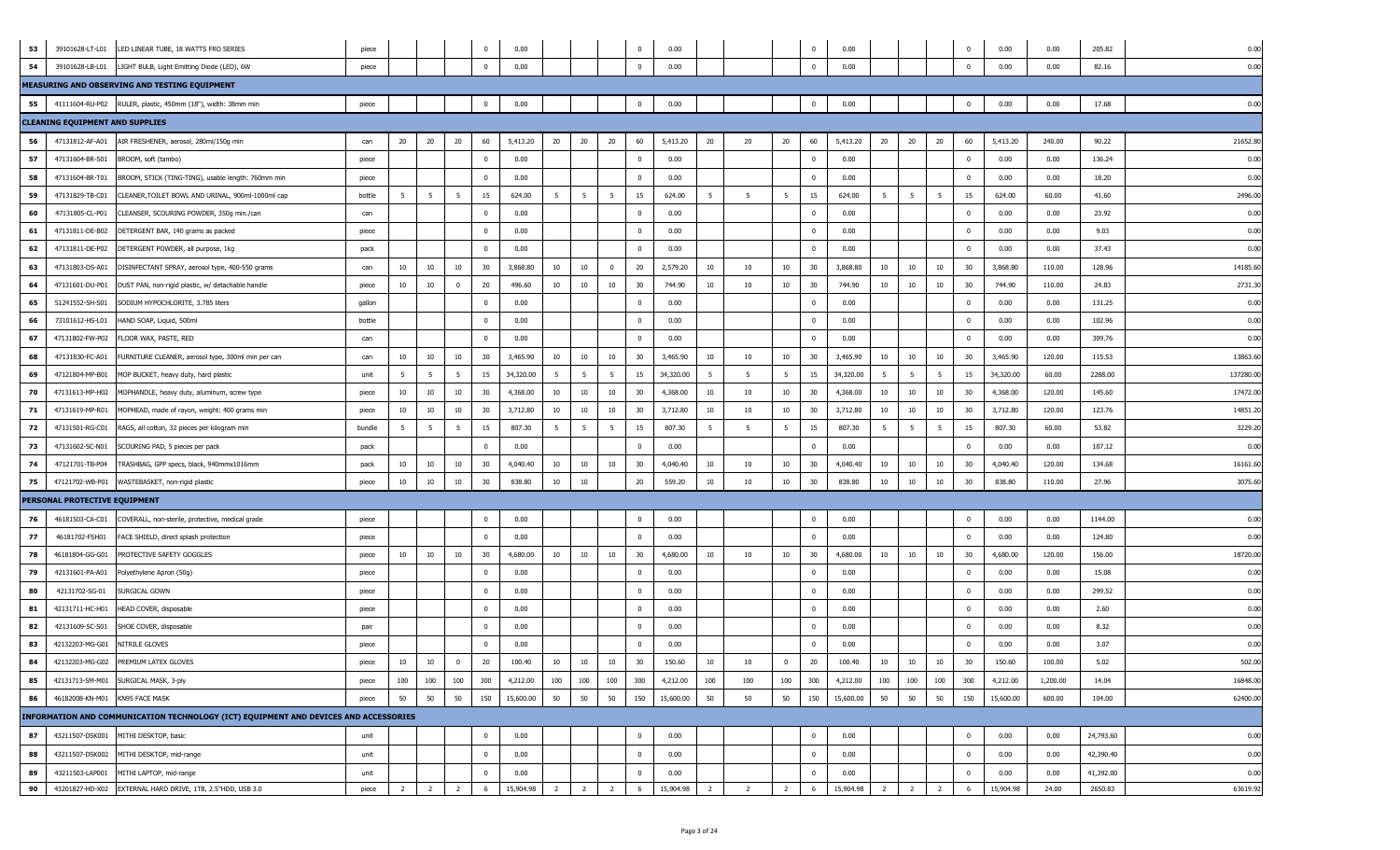| 53 |                                        | 39101628-LT-L01 LED LINEAR TUBE, 18 WATTS FRO SERIES                                 | piece  |                |                 |                 | $\mathbf 0$  | 0.00      |                |                |                | $\overline{\mathbf{0}}$ | 0.00      |                |                |                | $\mathbf 0$             | 0.00      |                |                |                 | 0                       | 0.00      | 0.00     | 205.82    | 0.00     |
|----|----------------------------------------|--------------------------------------------------------------------------------------|--------|----------------|-----------------|-----------------|--------------|-----------|----------------|----------------|----------------|-------------------------|-----------|----------------|----------------|----------------|-------------------------|-----------|----------------|----------------|-----------------|-------------------------|-----------|----------|-----------|----------|
| 54 | 39101628-LB-L01                        | LIGHT BULB, Light Emitting Diode (LED), 6W                                           | piece  |                |                 |                 | $\Omega$     | 0.00      |                |                |                | $\Omega$                | 0.00      |                |                |                | $\mathbf 0$             | 0.00      |                |                |                 | $\mathbf 0$             | 0.00      | 0.00     | 82.16     | 0.00     |
|    |                                        | MEASURING AND OBSERVING AND TESTING EQUIPMENT                                        |        |                |                 |                 |              |           |                |                |                |                         |           |                |                |                |                         |           |                |                |                 |                         |           |          |           |          |
| 55 |                                        | 41111604-RU-P02 RULER, plastic, 450mm (18"), width: 38mm min                         | piece  |                |                 |                 | $\mathbf 0$  | 0.00      |                |                |                | $\overline{0}$          | 0.00      |                |                |                | $\mathbf 0$             | 0.00      |                |                |                 | $\mathbf 0$             | 0.00      | 0.00     | 17.68     | 0.00     |
|    | <b>CLEANING EQUIPMENT AND SUPPLIES</b> |                                                                                      |        |                |                 |                 |              |           |                |                |                |                         |           |                |                |                |                         |           |                |                |                 |                         |           |          |           |          |
| 56 | 47131812-AF-A01                        | AIR FRESHENER, aerosol, 280ml/150g min                                               | can    | 20             | 20              | 20              | 60           | 5,413.20  | 20             | 20             | 20             | 60                      | 5,413.20  | 20             | 20             | 20             | 60                      | 5,413.20  | 20             | 20             | 20              | 60                      | 5,413.20  | 240.00   | 90.22     | 21652.80 |
| 57 | 47131604-BR-S01                        | BROOM, soft (tambo)                                                                  | piece  |                |                 |                 | $\mathbf 0$  | 0.00      |                |                |                | $\overline{\mathbf{0}}$ | 0.00      |                |                |                | $\overline{0}$          | 0.00      |                |                |                 | $\overline{\mathbf{0}}$ | 0.00      | 0.00     | 136.24    | 0.00     |
| 58 | 47131604-BR-T01                        | BROOM, STICK (TING-TING), usable length: 760mm min                                   | piece  |                |                 |                 | $\mathbf{0}$ | 0.00      |                |                |                | $\overline{0}$          | 0.00      |                |                |                | $\overline{0}$          | 0.00      |                |                |                 | $\overline{0}$          | 0.00      | 0.00     | 18.20     | 0.00     |
| 59 | 47131829-TB-C01                        | CLEANER, TOILET BOWL AND URINAL, 900ml-1000ml cap                                    | bottle | 5              | $5\overline{5}$ | 5               | 15           | 624.00    | $5^{\circ}$    | 5              | 5              | 15                      | 624.00    | 5              | 5              | 5 <sub>5</sub> | 15                      | 624.00    | 5              | 5              | $5\overline{5}$ | 15                      | 624.00    | 60.00    | 41.60     | 2496.00  |
| 60 | 47131805-CL-P01                        | CLEANSER, SCOURING POWDER, 350g min./can                                             | can    |                |                 |                 | $^{\circ}$   | 0.00      |                |                |                | $\overline{\mathbf{0}}$ | 0.00      |                |                |                | $\overline{0}$          | 0.00      |                |                |                 | 0                       | 0.00      | 0.00     | 23.92     | 0.00     |
| 61 | 47131811-DE-B02                        | DETERGENT BAR, 140 grams as packed                                                   | piece  |                |                 |                 | $^{\circ}$   | 0.00      |                |                |                | $\overline{\mathbf{0}}$ | 0.00      |                |                |                | $\mathbf{0}$            | 0.00      |                |                |                 | $^{\circ}$              | 0.00      | 0.00     | 9.03      | 0.00     |
| 62 | 47131811-DE-P02                        | DETERGENT POWDER, all purpose, 1kg                                                   | pack   |                |                 |                 | $^{\circ}$   | 0.00      |                |                |                | $\mathbf{0}$            | 0.00      |                |                |                | $\overline{0}$          | 0.00      |                |                |                 | $^{\circ}$              | 0.00      | 0.00     | 37.43     | 0.00     |
| 63 | 47131803-DS-A01                        | DISINFECTANT SPRAY, aerosol type, 400-550 grams                                      | can    | 10             | 10              | 10              | 30           | 3,868.80  | 10             | 10             | $\Omega$       | 20                      | 2,579.20  | 10             | 10             | 10             | 30                      | 3,868.80  | 10             | 10             | 10              | 30                      | 3,868.80  | 110.00   | 128.96    | 14185.60 |
| 64 | 47131601-DU-P01                        | DUST PAN, non-rigid plastic, w/ detachable handle                                    | piece  | 10             | 10              | $\mathbf{0}$    | 20           | 496.60    | 10             | 10             | 10             | 30                      | 744.90    | 10             | 10             | 10             | 30                      | 744.90    | 10             | 10             | 10              | 30                      | 744.90    | 110.00   | 24.83     | 2731.30  |
| 65 | 51241552-SH-S01                        | SODIUM HYPOCHLORITE, 3.785 liters                                                    | qallon |                |                 |                 | $\Omega$     | 0.00      |                |                |                | $\overline{0}$          | 0.00      |                |                |                | $\mathbf{0}$            | 0.00      |                |                |                 | $\Omega$                | 0.00      | 0.00     | 131.25    | 0.00     |
| 66 | 73101612-HS-L01                        | HAND SOAP, Liquid, 500ml                                                             | bottle |                |                 |                 | $^{\circ}$   | 0.00      |                |                |                | $\overline{0}$          | 0.00      |                |                |                | $\mathbf{0}$            | 0.00      |                |                |                 | $^{\circ}$              | 0.00      | 0.00     | 102.96    | 0.00     |
| 67 | 47131802-FW-P02                        | FLOOR WAX, PASTE, RED                                                                | can    |                |                 |                 | $^{\circ}$   | 0.00      |                |                |                | $\overline{\mathbf{0}}$ | 0.00      |                |                |                | $\overline{0}$          | 0.00      |                |                |                 | $^{\circ}$              | 0.00      | 0.00     | 309.76    | 0.00     |
| 68 | 47131830-FC-A01                        | URNITURE CLEANER, aerosol type, 300ml min per can                                    | can    | 10             | 10              | $10\,$          | 30           | 3,465.90  | 10             | 10             | 10             | 30                      | 3,465.90  | 10             | 10             | 10             | 30                      | 3,465.90  | 10             | 10             | 10              | 30                      | 3,465.90  | 120.00   | 115.53    | 13863.6  |
| 69 | 47121804-MP-B01                        | MOP BUCKET, heavy duty, hard plastic                                                 | unit   |                | 5               | $5\overline{5}$ | 15           | 34,320.00 | 5 <sub>5</sub> | - 5            | -5             | 15                      | 34,320.00 | 5              | 5              | 5              | 15                      | 34,320.00 | - 5            | -5             | 5               | 15                      | 34,320.00 | 60.00    | 2288.00   | 137280.0 |
| 70 | 47131613-MP-H02                        | MOPHANDLE, heavy duty, aluminum, screw type                                          | piece  | 10             | 10              | 10              | 30           | 4,368.00  | 10             | 10             | 10             | 30                      | 4,368.00  | 10             | 10             | 10             | 30                      | 4,368.00  | 10             | 10             | 10              | 30                      | 4,368.00  | 120.00   | 145.60    | 17472.00 |
| 71 | 47131619-MP-R01                        | MOPHEAD, made of rayon, weight: 400 grams min                                        | piece  | 10             | 10              | 10              | 30           | 3,712.80  | 10             | 10             | 10             | 30                      | 3,712.80  | 10             | 10             | 10             | 30                      | 3,712.80  | 10             | 10             | 10              | 30                      | 3,712.80  | 120.00   | 123.76    | 14851.20 |
| 72 | 47131501-RG-C01                        | RAGS, all cotton, 32 pieces per kilogram min                                         | bundle | -5             | $5\overline{5}$ | 5               | 15           | 807.30    | 5 <sub>5</sub> | 5              | 5              | 15                      | 807.30    | 5              | - 5            | 5              | 15                      | 807.30    | - 5            | -5             | 5               | 15                      | 807.30    | 60.00    | 53.82     | 3229.20  |
| 73 | 47131602-SC-N01                        | SCOURING PAD, 5 pieces per pack                                                      | pack   |                |                 |                 | $\Omega$     | 0.00      |                |                |                | $\Omega$                | 0.00      |                |                |                | $\Omega$                | 0.00      |                |                |                 |                         | 0.00      | 0.00     | 107.12    | 0.00     |
| 74 | 47121701-TB-P04                        | TRASHBAG, GPP specs, black, 940mmx1016mm                                             | pack   | 10             | 10              | 10              | 30           | 4,040.40  | 10             | 10             | 10             | 30                      | 4,040.40  | 10             | 10             | 10             | 30                      | 4,040.40  | 10             | 10             | 10              | 30                      | 4,040.40  | 120.00   | 134.68    | 16161.6  |
| 75 | 47121702-WB-P01                        | WASTEBASKET, non-rigid plastic                                                       | piece  | 10             | 10              | 10              | 30           | 838.80    | 10             | 10             |                | 20                      | 559.20    | 10             | 10             | 10             | 30                      | 838.80    | $10\,$         | 10             | 10              | 30                      | 838.80    | 110.00   | 27.96     | 3075.60  |
|    | PERSONAL PROTECTIVE EQUIPMENT          |                                                                                      |        |                |                 |                 |              |           |                |                |                |                         |           |                |                |                |                         |           |                |                |                 |                         |           |          |           |          |
| 76 | 46181503-CA-C01                        | COVERALL, non-sterile, protective, medical grade                                     | piece  |                |                 |                 | $^{\circ}$   | 0.00      |                |                |                | $\overline{0}$          | 0.00      |                |                |                | $\mathbf{0}$            | 0.00      |                |                |                 | $\overline{0}$          | 0.00      | 0.00     | 1144.00   | 0.00     |
| 77 | 46181702-FSH01                         | FACE SHIELD, direct splash protection                                                | piece  |                |                 |                 | $^{\circ}$   | 0.00      |                |                |                | $\overline{0}$          | 0.00      |                |                |                | $\mathbf{0}$            | 0.00      |                |                |                 | $\mathbf 0$             | 0.00      | 0.00     | 124.80    | 0.00     |
| 78 | 46181804-GG-G01                        | PROTECTIVE SAFETY GOGGLES                                                            | piece  | 10             | 10              | $10\,$          | 30           | 4,680.00  | 10             | 10             | 10             | 30                      | 4,680.00  | 10             | 10             | 10             | 30                      | 4,680.00  | 10             | 10             | 10              | 30                      | 4,680.00  | 120.00   | 156.00    | 18720.0  |
| 79 | 42131601-PA-A01                        | olyethylene Apron (50g)                                                              | piece  |                |                 |                 | $^{\circ}$   | 0.00      |                |                |                | $\overline{\mathbf{0}}$ | 0.00      |                |                |                | $\overline{0}$          | 0.00      |                |                |                 | $^{\circ}$              | 0.00      | 0.00     | 15.08     | 0.00     |
| 80 | 42131702-SG-01                         | Surgical Gown                                                                        | piece  |                |                 |                 | $^{\circ}$   | 0.00      |                |                |                | $\pmb{0}$               | 0.00      |                |                |                | $\overline{0}$          | 0.00      |                |                |                 | $^{\circ}$              | 0.00      | 0.00     | 299.52    | 0.00     |
| 81 | 42131711-HC-H01                        | HEAD COVER, disposable                                                               | piece  |                |                 |                 | $^{\circ}$   | 0.00      |                |                |                | $\overline{0}$          | 0.00      |                |                |                | $\overline{0}$          | 0.00      |                |                |                 | $^{\circ}$              | 0.00      | 0.00     | 2.60      | 0.00     |
| 82 | 42131609-SC-S01                        | SHOE COVER, disposable                                                               | pair   |                |                 |                 | $\mathbf{0}$ | 0.00      |                |                |                | $\overline{0}$          | 0.00      |                |                |                | $\overline{\mathbf{0}}$ | 0.00      |                |                |                 | $\overline{0}$          | 0.00      | 0.00     | 8.32      | 0.00     |
| 83 | 42132203-MG-G01                        | NITRILE GLOVES                                                                       | piece  |                |                 |                 | $\mathbf{0}$ | 0.00      |                |                |                | $\mathbf 0$             | 0.00      |                |                |                | $\overline{0}$          | 0.00      |                |                |                 | $\mathbf 0$             | 0.00      | 0.00     | 3.07      | 0.00     |
| 84 |                                        | 42132203-MG-G02 PREMIUM LATEX GLOVES                                                 | piece  | 10             | 10              | $^{\circ}$      | 20           | 100.40    | 10             | 10             | 10             | 30                      | 150.60    | 10             | 10             | 0              | 20                      | 100.40    | 10             | 10             | 10              | 30                      | 150.60    | 100.00   | 5.02      | 502.00   |
| 85 |                                        | 42131713-SM-M01 SURGICAL MASK, 3-ply                                                 | piece  | 100            | 100             | 100             | 300          | 4,212.00  | 100            | 100            | 100            | 300                     | 4,212.00  | 100            | 100            | 100            | 300                     | 4,212.00  | 100            | 100            | 100             | 300                     | 4,212.00  | 1,200.00 | 14.04     | 16848.00 |
| 86 | 46182008-KN-M01 KN95 FACE MASK         |                                                                                      | piece  | 50             | 50              | 50              | 150          | 15,600.00 | 50             | 50             | 50             | 150                     | 15,600.00 | 50             | 50             | 50             | 150                     | 15,600.00 | 50             | 50             | 50              | 150                     | 15,600.00 | 600.00   | 104.00    | 62400.00 |
|    |                                        | INFORMATION AND COMMUNICATION TECHNOLOGY (ICT) EQUIPMENT AND DEVICES AND ACCESSORIES |        |                |                 |                 |              |           |                |                |                |                         |           |                |                |                |                         |           |                |                |                 |                         |           |          |           |          |
| 87 |                                        | 43211507-DSK001 MITHI DESKTOP, basic                                                 | unit   |                |                 |                 | $\mathbf{0}$ | 0.00      |                |                |                | $\bf{0}$                | 0.00      |                |                |                | $\overline{0}$          | 0.00      |                |                |                 | $\bf{0}$                | 0.00      | 0.00     | 24,793.60 | 0.00     |
| 88 |                                        | 43211507-DSK002 MITHI DESKTOP, mid-range                                             | unit   |                |                 |                 | $\mathbf 0$  | 0.00      |                |                |                | $\overline{\mathbf{0}}$ | 0.00      |                |                |                | $\overline{0}$          | 0.00      |                |                |                 | $\overline{\mathbf{0}}$ | 0.00      | 0.00     | 42,390.40 | 0.00     |
| 89 | 43211503-LAP001                        | MITHI LAPTOP, mid-range                                                              | unit   |                |                 |                 | $\mathbf{0}$ | 0.00      |                |                |                | $\bf{0}$                | 0.00      |                |                |                | $\overline{0}$          | 0.00      |                |                |                 | $\mathbf 0$             | 0.00      | 0.00     | 41,392.00 | 0.00     |
| 90 |                                        | 43201827-HD-X02 EXTERNAL HARD DRIVE, 1TB, 2.5"HDD, USB 3.0                           | piece  | $\overline{2}$ | $\overline{2}$  | $\overline{2}$  | 6            | 15,904.98 | $\overline{2}$ | $\overline{2}$ | $\overline{2}$ | 6                       | 15,904.98 | $\overline{2}$ | $\overline{2}$ | $\overline{2}$ | 6                       | 15,904.98 | $\overline{2}$ | $\overline{2}$ | $\overline{2}$  | 6                       | 15,904.98 | 24.00    | 2650.83   | 63619.92 |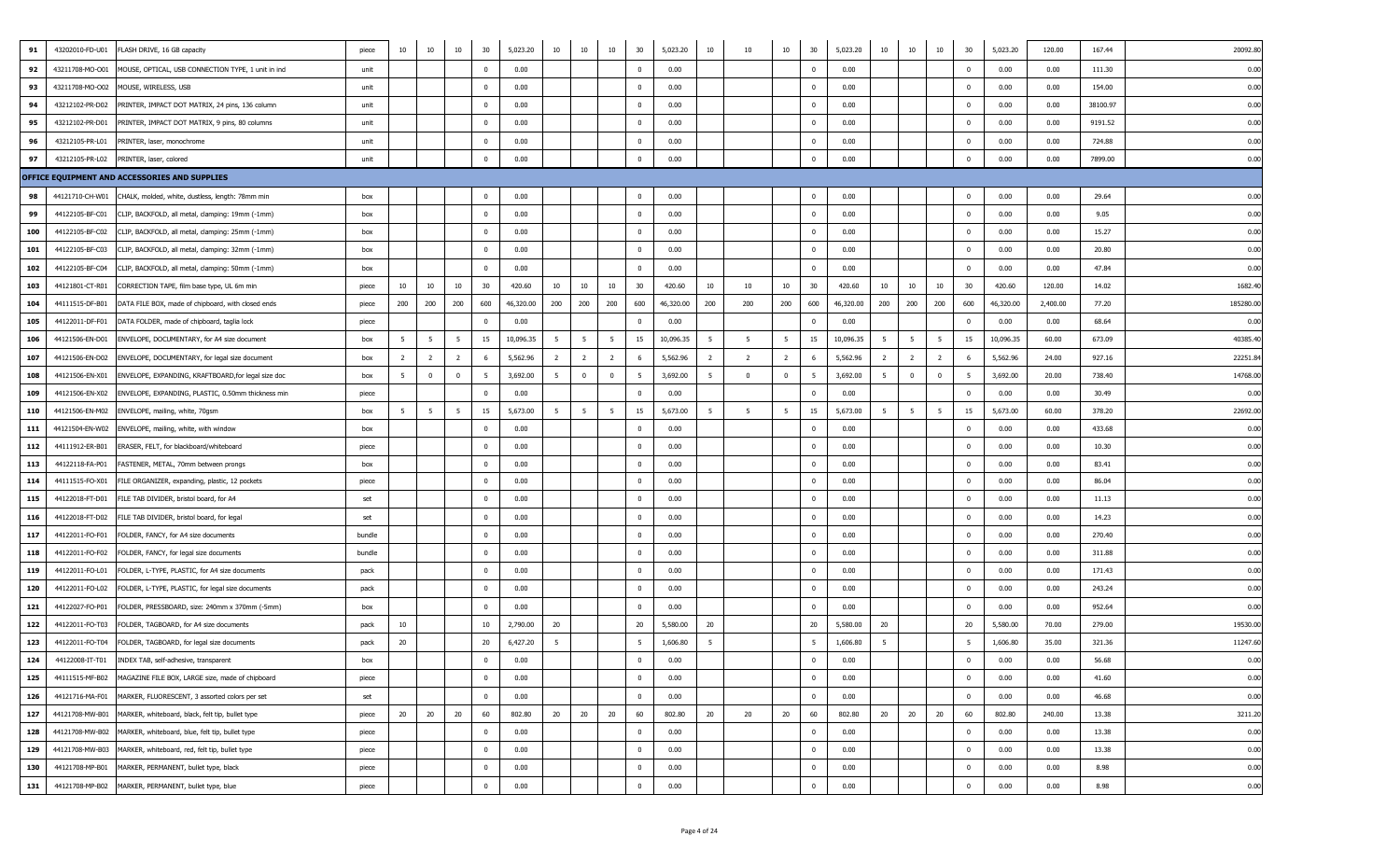| 91  | 43202010-FD-U01 | FLASH DRIVE, 16 GB capacity                                      | piece  | 10             | 10             | 10             | 30                      | 5,023.20  | 10             | 10             | 10                      | 30                      | 5,023.20  | 10  | 10             | 10             | 30           | 5,023.20  | 10  | 10             | 10             | 30           | 5,023.20  | 120.00   | 167.44   | 20092.8  |
|-----|-----------------|------------------------------------------------------------------|--------|----------------|----------------|----------------|-------------------------|-----------|----------------|----------------|-------------------------|-------------------------|-----------|-----|----------------|----------------|--------------|-----------|-----|----------------|----------------|--------------|-----------|----------|----------|----------|
| 92  | 43211708-MO-O01 | MOUSE, OPTICAL, USB CONNECTION TYPE, 1 unit in ind               | unit   |                |                |                | $\overline{0}$          | 0.00      |                |                |                         | $\overline{\mathbf{0}}$ | 0.00      |     |                |                | $^{\circ}$   | 0.00      |     |                |                | $\Omega$     | 0.00      | 0.00     | 111.30   | 0.01     |
| 93  | 43211708-MO-O02 | MOUSE, WIRELESS, USB                                             | unit   |                |                |                | $\overline{\mathbf{0}}$ | 0.00      |                |                |                         | $^{\circ}$              | 0.00      |     |                |                | $^{\circ}$   | 0.00      |     |                |                | $^{\circ}$   | 0.00      | 0.00     | 154.00   | 0.00     |
| 94  | 43212102-PR-D02 | PRINTER, IMPACT DOT MATRIX, 24 pins, 136 column                  | unit   |                |                |                | $\overline{0}$          | 0.00      |                |                |                         | $\overline{\mathbf{0}}$ | 0.00      |     |                |                | $^{\circ}$   | 0.00      |     |                |                | $\mathbf 0$  | 0.00      | 0.00     | 38100.97 | 0.00     |
| 95  | 43212102-PR-D01 | PRINTER, IMPACT DOT MATRIX, 9 pins, 80 columns                   | unit   |                |                |                | $\overline{0}$          | 0.00      |                |                |                         | $\overline{0}$          | 0.00      |     |                |                | $^{\circ}$   | 0.00      |     |                |                | $\Omega$     | 0.00      | 0.00     | 9191.52  | 0.01     |
| 96  | 43212105-PR-L01 | PRINTER, laser, monochrome                                       | unit   |                |                |                | $\overline{0}$          | 0.00      |                |                |                         | $\overline{0}$          | 0.00      |     |                |                | $^{\circ}$   | 0.00      |     |                |                |              | 0.00      | 0.00     | 724.88   | 0.00     |
| 97  | 43212105-PR-L02 | PRINTER, laser, colored                                          | unit   |                |                |                | $\overline{0}$          | 0.00      |                |                |                         | $\overline{0}$          | 0.00      |     |                |                | $\Omega$     | 0.00      |     |                |                |              | 0.00      | 0.00     | 7899.00  | 0.00     |
|     |                 | OFFICE EQUIPMENT AND ACCESSORIES AND SUPPLIES                    |        |                |                |                |                         |           |                |                |                         |                         |           |     |                |                |              |           |     |                |                |              |           |          |          |          |
| 98  | 44121710-CH-W01 | CHALK, molded, white, dustless, length: 78mm min                 | box    |                |                |                | $\overline{\mathbf{0}}$ | 0.00      |                |                |                         | $\overline{0}$          | 0.00      |     |                |                | $\Omega$     | 0.00      |     |                |                | $\Omega$     | 0.00      | 0.00     | 29.64    | 0.00     |
| 99  | 44122105-BF-C01 | CLIP, BACKFOLD, all metal, clamping: 19mm (-1mm)                 | box    |                |                |                | $\overline{\mathbf{0}}$ | 0.00      |                |                |                         | $\overline{0}$          | 0.00      |     |                |                |              | 0.00      |     |                |                | $^{\circ}$   | 0.00      | 0.00     | 9.05     | 0.00     |
| 100 | 44122105-BF-C02 | CLIP, BACKFOLD, all metal, clamping: 25mm (-1mm)                 | box    |                |                |                | $\overline{0}$          | 0.00      |                |                |                         | $\overline{0}$          | 0.00      |     |                |                | $\Omega$     | 0.00      |     |                |                | $\Omega$     | 0.00      | 0.00     | 15.27    | 0.00     |
| 101 | 44122105-BF-C03 | CLIP, BACKFOLD, all metal, clamping: 32mm (-1mm)                 | box    |                |                |                | $\overline{0}$          | 0.00      |                |                |                         | $\overline{\mathbf{0}}$ | 0.00      |     |                |                | $\Omega$     | 0.00      |     |                |                |              | 0.00      | 0.00     | 20.80    | 0.00     |
| 102 | 44122105-BF-C04 | CLIP, BACKFOLD, all metal, clamping: 50mm (-1mm)                 | box    |                |                |                | $\overline{0}$          | 0.00      |                |                |                         | $\overline{\mathbf{0}}$ | 0.00      |     |                |                | $\Omega$     | 0.00      |     |                |                | $\mathbf{0}$ | 0.00      | 0.00     | 47.84    | 0.00     |
| 103 | 44121801-CT-R01 | CORRECTION TAPE, film base type, UL 6m min                       | piece  | 10             | 10             | 10             | 30                      | 420.60    | 10             | 10             | 10                      | 30                      | 420.60    | 10  | 10             | 10             | 30           | 420.60    | 10  | 10             | 10             | 30           | 420.60    | 120.00   | 14.02    | 1682.4   |
| 104 | 44111515-DF-B01 | DATA FILE BOX, made of chipboard, with closed ends               | piece  | 200            | 200            | 200            | 600                     | 46,320.00 | 200            | 200            | 200                     | 600                     | 46,320.00 | 200 | 200            | 200            | 600          | 46,320.00 | 200 | 200            | 200            | 600          | 46,320.00 | 2,400.00 | 77.20    | 185280.0 |
| 105 | 44122011-DF-F01 | DATA FOLDER, made of chipboard, taglia lock                      | piece  |                |                |                | $\overline{0}$          | 0.00      |                |                |                         | $\mathbf 0$             | 0.00      |     |                |                |              | 0.00      |     |                |                | $\Omega$     | 0.00      | 0.00     | 68.64    | 0.01     |
| 106 | 44121506-EN-D01 | ENVELOPE, DOCUMENTARY, for A4 size document                      | box    | 5 <sup>5</sup> | 5              | -5             | 15                      | 10,096.35 | 5              | 5              | 5                       | 15                      | 10,096.35 | 5   | 5              | 5 <sub>5</sub> | 15           | 10,096.35 | 5   | 5              | 5              | 15           | 10,096.35 | 60.00    | 673.09   | 40385.4  |
| 107 | 44121506-EN-D02 | ENVELOPE, DOCUMENTARY, for legal size document                   | box    | $\overline{2}$ | $\overline{2}$ | $\overline{2}$ | 6                       | 5,562.96  | $\overline{2}$ | $\overline{2}$ | $\overline{2}$          | 6                       | 5,562.96  | 2   | $\overline{2}$ | $\overline{2}$ | -6           | 5,562.96  | 2   | $\overline{2}$ | $\overline{2}$ |              | 5,562.96  | 24.00    | 927.16   | 22251.8  |
| 108 | 44121506-EN-X01 | ENVELOPE, EXPANDING, KRAFTBOARD, for legal size doc              | box    | 5              | $\overline{0}$ | $\Omega$       | 5                       | 3,692.00  | 5              | $\mathbf{0}$   | $\overline{\mathbf{0}}$ | - 5                     | 3,692.00  | -5  | $^{\circ}$     | $\mathbf 0$    | 5            | 3,692.00  | -5  | $\mathbf 0$    | $\mathbf{0}$   |              | 3,692.00  | 20.00    | 738.40   | 14768.0  |
| 109 | 44121506-EN-X02 | ENVELOPE, EXPANDING, PLASTIC, 0.50mm thickness min               | piece  |                |                |                | $\overline{\mathbf{0}}$ | 0.00      |                |                |                         | $\overline{0}$          | 0.00      |     |                |                | $\Omega$     | 0.00      |     |                |                | $\mathbf{0}$ | 0.00      | 0.00     | 30.49    | 0.01     |
| 110 | 44121506-EN-M02 | ENVELOPE, mailing, white, 70gsm                                  | box    | 5 <sub>5</sub> | - 5            | -5             | 15                      | 5,673.00  | 5              | 5              | 5                       | 15                      | 5,673.00  | -5  | - 5            | 5              | 15           | 5,673.00  | 5   | 5              | 5              | 15           | 5,673.00  | 60.00    | 378.20   | 22692.0  |
| 111 | 44121504-EN-W02 | ENVELOPE, mailing, white, with window                            | box    |                |                |                | $\overline{0}$          | 0.00      |                |                |                         | $\overline{\mathbf{0}}$ | 0.00      |     |                |                | $\Omega$     | 0.00      |     |                |                | $\Omega$     | 0.00      | 0.00     | 433.68   | 0.01     |
| 112 | 44111912-ER-B01 | ERASER, FELT, for blackboard/whiteboard                          | piece  |                |                |                | $\overline{\mathbf{0}}$ | 0.00      |                |                |                         | $\overline{0}$          | 0.00      |     |                |                | $\Omega$     | 0.00      |     |                |                | $\Omega$     | 0.00      | 0.00     | 10.30    | 0.00     |
| 113 | 44122118-FA-P01 | FASTENER, METAL, 70mm between prongs                             | box    |                |                |                | $\overline{\mathbf{0}}$ | 0.00      |                |                |                         | $\overline{0}$          | 0.00      |     |                |                |              | 0.00      |     |                |                | $^{\circ}$   | 0.00      | 0.00     | 83.41    | 0.00     |
| 114 | 44111515-FO-X01 | FILE ORGANIZER, expanding, plastic, 12 pockets                   | piece  |                |                |                | $\overline{\mathbf{0}}$ | 0.00      |                |                |                         | $\overline{0}$          | 0.00      |     |                |                | $^{\circ}$   | 0.00      |     |                |                | $^{\circ}$   | 0.00      | 0.00     | 86.04    | 0.00     |
| 115 | 44122018-FT-D01 | FILE TAB DIVIDER, bristol board, for A4                          | set    |                |                |                | $\overline{0}$          | 0.00      |                |                |                         | $\overline{0}$          | 0.00      |     |                |                | $^{\circ}$   | 0.00      |     |                |                | $\Omega$     | 0.00      | 0.00     | 11.13    | 0.00     |
| 116 | 44122018-FT-D02 | FILE TAB DIVIDER, bristol board, for legal                       | set    |                |                |                | $\overline{0}$          | 0.00      |                |                |                         | $\overline{0}$          | 0.00      |     |                |                | $\Omega$     | 0.00      |     |                |                | $\Omega$     | 0.00      | 0.00     | 14.23    | 0.00     |
| 117 | 44122011-FO-F01 | FOLDER, FANCY, for A4 size documents                             | bundle |                |                |                | $\overline{0}$          | 0.00      |                |                |                         | $\overline{\mathbf{0}}$ | 0.00      |     |                |                |              | 0.00      |     |                |                | $^{\circ}$   | 0.00      | 0.00     | 270.40   | 0.00     |
| 118 | 44122011-FO-F02 | FOLDER, FANCY, for legal size documents                          | bundle |                |                |                | $\bf{0}$                | 0.00      |                |                |                         | $\overline{0}$          | 0.00      |     |                |                | $\Omega$     | 0.00      |     |                |                | $\Omega$     | 0.00      | 0.00     | 311.88   | 0.00     |
| 119 | 44122011-FO-L01 | FOLDER, L-TYPE, PLASTIC, for A4 size documents                   | pack   |                |                |                | $\overline{0}$          | 0.00      |                |                |                         | $^{\circ}$              | 0.00      |     |                |                | $\Omega$     | 0.00      |     |                |                |              | 0.00      | 0.00     | 171.43   | 0.00     |
| 120 | 44122011-FO-L02 | FOLDER, L-TYPE, PLASTIC, for legal size documents                | pack   |                |                |                | $\overline{\mathbf{0}}$ | 0.00      |                |                |                         | $\overline{0}$          | 0.00      |     |                |                | $^{\circ}$   | 0.00      |     |                |                | $^{\circ}$   | 0.00      | 0.00     | 243.24   | 0.00     |
| 121 | 44122027-FO-P01 | FOLDER, PRESSBOARD, size: 240mm x 370mm (-5mm)                   | box    |                |                |                | $\overline{0}$          | 0.00      |                |                |                         | $\overline{0}$          | 0.00      |     |                |                | $^{\circ}$   | 0.00      |     |                |                | $^{\circ}$   | 0.00      | 0.00     | 952.64   | 0.01     |
| 122 | 44122011-FO-T03 | FOLDER, TAGBOARD, for A4 size documents                          | pack   | 10             |                |                | 10                      | 2,790.00  | 20             |                |                         | 20                      | 5,580.00  | 20  |                |                | 20           | 5,580.00  | 20  |                |                | 20           | 5,580.00  | 70.00    | 279.00   | 19530.0  |
| 123 | 44122011-FO-T04 | FOLDER, TAGBOARD, for legal size documents                       | pack   | 20             |                |                | 20                      | 6,427.20  | 5              |                |                         | $5\overline{5}$         | 1,606.80  | - 5 |                |                | 5            | 1,606.80  | 5   |                |                | - 5          | 1,606.80  | 35.00    | 321.36   | 11247.60 |
| 124 |                 | 44122008-IT-T01 INDEX TAB, self-adhesive, transparent            | box    |                |                |                | $\mathbf 0$             | 0.00      |                |                |                         | $\mathbf 0$             | 0.00      |     |                |                | $^{\circ}$   | 0.00      |     |                |                | $\bf{0}$     | 0.00      | 0.00     | 56.68    | 0.00     |
| 125 |                 | 44111515-MF-B02 MAGAZINE FILE BOX, LARGE size, made of chipboard | piece  |                |                |                | $\mathbf{0}$            | 0.00      |                |                |                         | $\overline{0}$          | 0.00      |     |                |                | $^{\circ}$   | 0.00      |     |                |                | $\mathbf{0}$ | 0.00      | 0.00     | 41.60    | 0.00     |
| 126 |                 | 44121716-MA-F01 MARKER, FLUORESCENT, 3 assorted colors per set   | set    |                |                |                | $\mathbf{0}$            | 0.00      |                |                |                         | $\overline{0}$          | 0.00      |     |                |                | $^{\circ}$   | 0.00      |     |                |                | $\mathbf{0}$ | 0.00      | 0.00     | 46.68    | 0.00     |
| 127 |                 | 44121708-MW-B01 MARKER, whiteboard, black, felt tip, bullet type | piece  | 20             | 20             | 20             | 60                      | 802.80    | 20             | 20             | 20                      | 60                      | 802.80    | 20  | 20             | 20             | 60           | 802.80    | 20  | 20             | 20             | 60           | 802.80    | 240.00   | 13.38    | 3211.2   |
| 128 |                 | 44121708-MW-B02 MARKER, whiteboard, blue, felt tip, bullet type  | piece  |                |                |                | $\overline{0}$          | 0.00      |                |                |                         | $\overline{0}$          | 0.00      |     |                |                | $\mathbf{0}$ | 0.00      |     |                |                | $\mathbf{0}$ | 0.00      | 0.00     | 13.38    | 0.00     |
| 129 |                 | 44121708-MW-B03 MARKER, whiteboard, red, felt tip, bullet type   | piece  |                |                |                | $\mathbf{0}$            | 0.00      |                |                |                         | $\mathbf 0$             | 0.00      |     |                |                | $^{\circ}$   | 0.00      |     |                |                | $^{\circ}$   | 0.00      | 0.00     | 13.38    | 0.00     |
| 130 |                 | 44121708-MP-B01 MARKER, PERMANENT, bullet type, black            | piece  |                |                |                | $\overline{\mathbf{0}}$ | 0.00      |                |                |                         | $\overline{0}$          | 0.00      |     |                |                | $^{\circ}$   | 0.00      |     |                |                | $\mathbf 0$  | 0.00      | 0.00     | 8.98     | 0.00     |
| 131 |                 | 44121708-MP-B02 MARKER, PERMANENT, bullet type, blue             | piece  |                |                |                | $\mathbf{0}$            | 0.00      |                |                |                         | $\mathbf{0}$            | 0.00      |     |                |                | $^{\circ}$   | 0.00      |     |                |                | $\mathbf{0}$ | 0.00      | 0.00     | 8.98     | 0.00     |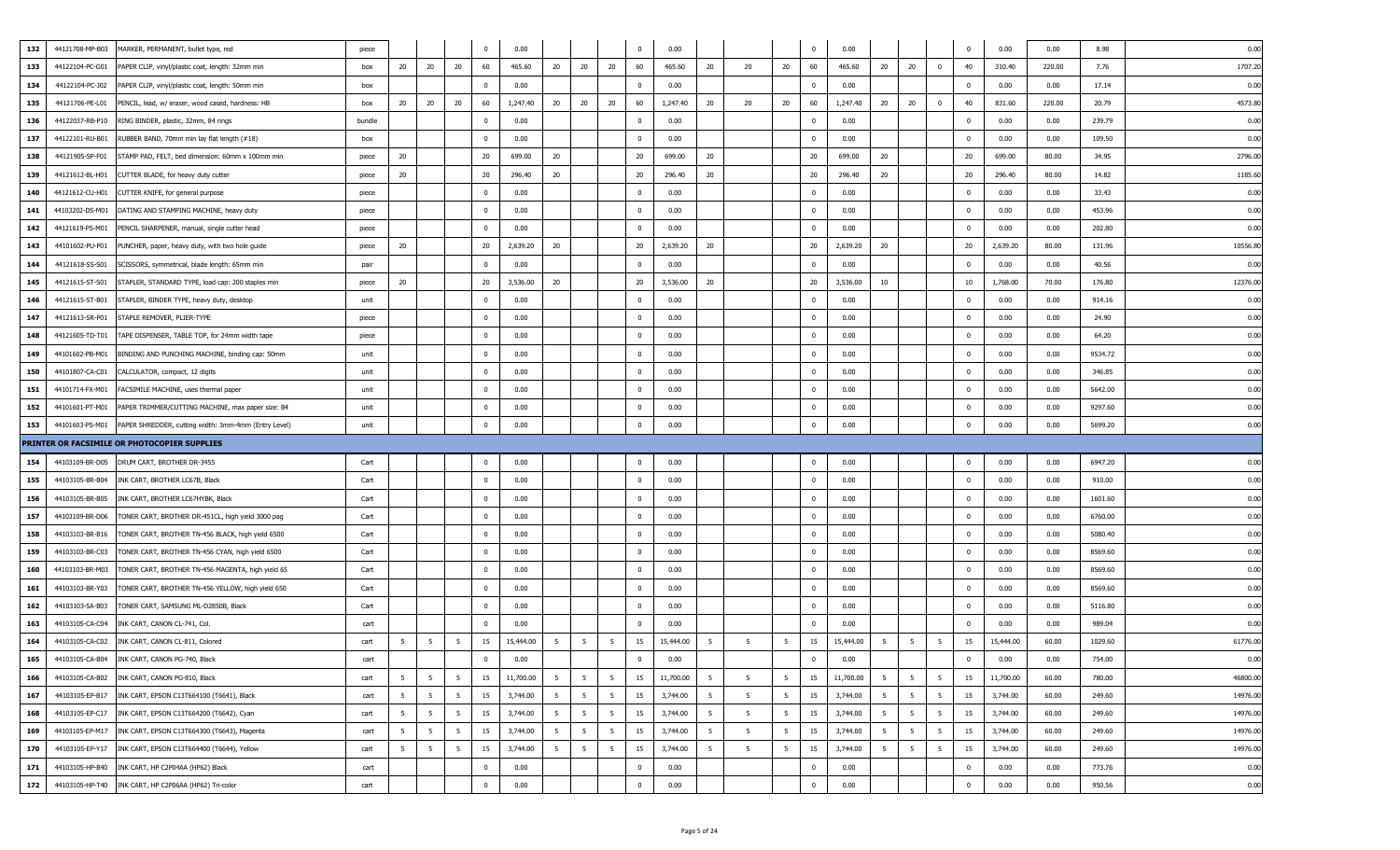| 132 | 44121708-MP-B03 | MARKER, PERMANENT, bullet type, red                   | piece  |                |                |                 | $\Omega$       | 0.00      |                |                 |                 | $\Omega$       | 0.00      |                 |                 |                | $\overline{\mathbf{0}}$ | 0.00      |                 |                | $^{\circ}$            | 0.00      | 0.00   | 8.98    | 0.00     |
|-----|-----------------|-------------------------------------------------------|--------|----------------|----------------|-----------------|----------------|-----------|----------------|-----------------|-----------------|----------------|-----------|-----------------|-----------------|----------------|-------------------------|-----------|-----------------|----------------|-----------------------|-----------|--------|---------|----------|
| 133 | 44122104-PC-G01 | PAPER CLIP, vinyl/plastic coat, length: 32mm min      | box    | 20             | 20             | 20              | 60             | 465.60    | 20             | 20              | 20              | 60             | 465.60    | 20              | 20              | 20             | 60                      | 465.60    | 20              | 20             | $\mathbf{0}$<br>40    | 310.40    | 220.00 | 7.76    | 1707.20  |
| 134 | 44122104-PC-J02 | PAPER CLIP, vinyl/plastic coat, length: 50mm min      | box    |                |                |                 | $\Omega$       | 0.00      |                |                 |                 | $\mathbf 0$    | 0.00      |                 |                 |                | $\overline{\mathbf{0}}$ | 0.00      |                 |                | $^{\circ}$            | 0.00      | 0.00   | 17.14   | 0.00     |
| 135 | 44121706-PE-L01 | PENCIL, lead, w/ eraser, wood cased, hardness: HB     | box    | 20             | 20             | 20              | 60             | 1,247.40  | 20             | 20              | 20              | 60             | 1,247.40  | 20              | 20              | 20             | 60                      | 1,247.40  | 20              | 20             | $^{\circ}$<br>40      | 831.60    | 220.00 | 20.79   | 4573.8   |
| 136 | 44122037-RB-P10 | RING BINDER, plastic, 32mm, 84 rings                  | bundle |                |                |                 | $\Omega$       | 0.00      |                |                 |                 | $\mathbf{0}$   | 0.00      |                 |                 |                | $\overline{\mathbf{0}}$ | 0.00      |                 |                | $^{\circ}$            | 0.00      | 0.00   | 239.79  | 0.00     |
| 137 | 44122101-RU-B01 | RUBBER BAND, 70mm min lay flat length (#18)           | box    |                |                |                 | $\Omega$       | 0.00      |                |                 |                 | $\Omega$       | 0.00      |                 |                 |                | $\overline{\mathbf{0}}$ | 0.00      |                 |                | $^{\circ}$            | 0.00      | 0.00   | 109.50  | 0.00     |
| 138 | 44121905-SP-F01 | STAMP PAD, FELT, bed dimension: 60mm x 100mm min      | piece  | 20             |                |                 | 20             | 699.00    | 20             |                 |                 | 20             | 699.00    | 20              |                 |                | 20                      | 699.00    | 20              |                | 20                    | 699.00    | 80.00  | 34.95   | 2796.0   |
| 139 | 44121612-BL-H01 | CUTTER BLADE, for heavy duty cutter                   | piece  | 20             |                |                 | 20             | 296.40    | 20             |                 |                 | 20             | 296.40    | 20              |                 |                | 20                      | 296.40    | 20              |                | 20                    | 296.40    | 80.00  | 14.82   | 1185.60  |
| 140 | 44121612-CU-H01 | CUTTER KNIFE, for general purpose                     | piece  |                |                |                 | $\Omega$       | 0.00      |                |                 |                 | $\Omega$       | 0.00      |                 |                 |                | $\overline{\mathbf{0}}$ | 0.00      |                 |                | $\Omega$              | 0.00      | 0.00   | 33.43   | 0.00     |
| 141 | 44103202-DS-M01 | DATING AND STAMPING MACHINE, heavy duty               | piece  |                |                |                 | $^{\circ}$     | 0.00      |                |                 |                 | $\overline{0}$ | 0.00      |                 |                 |                | $\overline{\mathbf{0}}$ | 0.00      |                 |                | $\mathbf 0$           | 0.00      | 0.00   | 453.96  | 0.00     |
| 142 | 44121619-PS-M01 | PENCIL SHARPENER, manual, single cutter head          | piece  |                |                |                 | $\Omega$       | 0.00      |                |                 |                 | $\mathbf{0}$   | 0.00      |                 |                 |                | $\mathbf{0}$            | 0.00      |                 |                | $\mathbf 0$           | 0.00      | 0.00   | 202.80  | 0.00     |
| 143 | 44101602-PU-P01 | PUNCHER, paper, heavy duty, with two hole guide       | piece  | 20             |                |                 | 20             | 2,639.20  | 20             |                 |                 | 20             | 2,639.20  | 20              |                 |                | 20                      | 2,639.20  | 20              |                | 20                    | 2,639.20  | 80.00  | 131.96  | 10556.8  |
| 144 | 44121618-SS-S01 | SCISSORS, symmetrical, blade length: 65mm min         | pair   |                |                |                 | $\Omega$       | 0.00      |                |                 |                 | $\mathbf 0$    | 0.00      |                 |                 |                | $\overline{\mathbf{0}}$ | 0.00      |                 |                | $^{\circ}$            | 0.00      | 0.00   | 40.56   | 0.00     |
| 145 | 44121615-ST-S01 | STAPLER, STANDARD TYPE, load cap: 200 staples min     | piece  | 20             |                |                 | 20             | 3,536.00  | 20             |                 |                 | 20             | 3,536.00  | 20              |                 |                | 20                      | 3,536.00  | 10              |                | 10                    | 1,768.00  | 70.00  | 176.80  | 12376.0  |
| 146 | 44121615-ST-B01 | STAPLER, BINDER TYPE, heavy duty, desktop             | unit   |                |                |                 | $\Omega$       | 0.00      |                |                 |                 | $\mathbf 0$    | 0.00      |                 |                 |                | $\overline{\mathbf{0}}$ | 0.00      |                 |                | $^{\circ}$            | 0.00      | 0.00   | 914.16  | 0.00     |
| 147 | 44121613-SR-P01 | STAPLE REMOVER, PLIER-TYPE                            | piece  |                |                |                 | $\Omega$       | 0.00      |                |                 |                 | $\mathbf{0}$   | 0.00      |                 |                 |                | $\overline{0}$          | 0.00      |                 |                | $\Omega$              | 0.00      | 0.00   | 24.90   | 0.00     |
| 148 | 44121605-TD-T01 | TAPE DISPENSER, TABLE TOP, for 24mm width tape        | piece  |                |                |                 | $\overline{0}$ | 0.00      |                |                 |                 | $\mathbf 0$    | 0.00      |                 |                 |                | $\overline{\mathbf{0}}$ | 0.00      |                 |                | $\overline{0}$        | 0.00      | 0.00   | 64.20   | 0.00     |
| 149 | 44101602-PB-M01 | BINDING AND PUNCHING MACHINE, binding cap: 50mm       | unit   |                |                |                 | $\Omega$       | 0.00      |                |                 |                 | $\mathbf 0$    | 0.00      |                 |                 |                | $\overline{\mathbf{0}}$ | 0.00      |                 |                | $^{\circ}$            | 0.00      | 0.00   | 9534.72 | 0.00     |
| 150 | 44101807-CA-C01 | CALCULATOR, compact, 12 digits                        | unit   |                |                |                 |                | 0.00      |                |                 |                 | $^{\circ}$     | 0.00      |                 |                 |                | $\mathbf{0}$            | 0.00      |                 |                | $^{\circ}$            | 0.00      | 0.00   | 346.85  | 0.00     |
| 151 | 44101714-FX-M01 | FACSIMILE MACHINE, uses thermal paper                 | unit   |                |                |                 | $\Omega$       | 0.00      |                |                 |                 | $\overline{0}$ | 0.00      |                 |                 |                | $\overline{\mathbf{0}}$ | 0.00      |                 |                | 0                     | 0.00      | 0.00   | 5642.00 | 0.00     |
| 152 | 44101601-PT-M01 | PAPER TRIMMER/CUTTING MACHINE, max paper size: B4     | unit   |                |                |                 | $\Omega$       | 0.00      |                |                 |                 | $\mathbf 0$    | 0.00      |                 |                 |                | $\overline{\mathbf{0}}$ | 0.00      |                 |                | $\mathbf 0$           | 0.00      | 0.00   | 9297.60 | 0.00     |
| 153 | 44101603-PS-M01 | PAPER SHREDDER, cutting width: 3mm-4mm (Entry Level)  | unit   |                |                |                 | $\Omega$       | 0.00      |                |                 |                 | $\mathbf 0$    | 0.00      |                 |                 |                | $\overline{\mathbf{0}}$ | 0.00      |                 |                | $\mathbf 0$           | 0.00      | 0.00   | 5699.20 | 0.00     |
|     |                 | PRINTER OR FACSIMILE OR PHOTOCOPIER SUPPLIES          |        |                |                |                 |                |           |                |                 |                 |                |           |                 |                 |                |                         |           |                 |                |                       |           |        |         |          |
| 154 | 44103109-BR-D05 | DRUM CART, BROTHER DR-3455                            | Cart   |                |                |                 | $\Omega$       | 0.00      |                |                 |                 | $\mathbf 0$    | 0.00      |                 |                 |                | $\overline{\mathbf{0}}$ | 0.00      |                 |                | $^{\circ}$            | 0.00      | 0.00   | 6947.20 | 0.00     |
| 155 | 44103105-BR-B04 | INK CART, BROTHER LC67B, Black                        | Cart   |                |                |                 | $^{\circ}$     | 0.00      |                |                 |                 | $\mathbf 0$    | 0.00      |                 |                 |                | $\overline{\mathbf{0}}$ | 0.00      |                 |                | 0                     | 0.00      | 0.00   | 910.00  | 0.00     |
| 156 | 44103105-BR-B05 | INK CART, BROTHER LC67HYBK, Black                     | Cart   |                |                |                 | $^{\circ}$     | 0.00      |                |                 |                 | $\mathbf 0$    | 0.00      |                 |                 |                | $\overline{\mathbf{0}}$ | 0.00      |                 |                | $\mathbf 0$           | 0.00      | 0.00   | 1601.60 | 0.00     |
| 157 | 44103109-BR-D06 | TONER CART, BROTHER DR-451CL, high yield 3000 pag     | Cart   |                |                |                 | $\Omega$       | 0.00      |                |                 |                 | $\mathbf 0$    | 0.00      |                 |                 |                | $\overline{\mathbf{0}}$ | 0.00      |                 |                | $^{\circ}$            | 0.00      | 0.00   | 6760.00 | 0.00     |
| 158 | 44103103-BR-B16 | TONER CART, BROTHER TN-456 BLACK, high yield 6500     | Cart   |                |                |                 | $\Omega$       | 0.00      |                |                 |                 | $\mathbf 0$    | 0.00      |                 |                 |                | $\overline{\mathbf{0}}$ | 0.00      |                 |                | $^{\circ}$            | 0.00      | 0.00   | 5080.40 | 0.00     |
| 159 | 44103103-BR-C03 | TONER CART, BROTHER TN-456 CYAN, high yield 6500      | Cart   |                |                |                 | $\Omega$       | 0.00      |                |                 |                 | $\mathbf 0$    | 0.00      |                 |                 |                | $^{\circ}$              | 0.00      |                 |                | $^{\circ}$            | 0.00      | 0.00   | 8569.60 | 0.00     |
| 160 | 44103103-BR-M03 | TONER CART, BROTHER TN-456 MAGENTA, high yield 65     | Cart   |                |                |                 | $\Omega$       | 0.00      |                |                 |                 | $\mathbf{0}$   | 0.00      |                 |                 |                | $\overline{\mathbf{0}}$ | 0.00      |                 |                | $\mathbf 0$           | 0.00      | 0.00   | 8569.60 | 0.00     |
| 161 | 44103103-BR-Y03 | TONER CART, BROTHER TN-456 YELLOW, high yield 650     | Cart   |                |                |                 | $\Omega$       | 0.00      |                |                 |                 | $\mathbf 0$    | 0.00      |                 |                 |                | $\overline{\mathbf{0}}$ | 0.00      |                 |                | $^{\circ}$            | 0.00      | 0.00   | 8569.60 | 0.00     |
| 162 | 44103103-SA-B03 | TONER CART, SAMSUNG ML-D2850B, Black                  | Cart   |                |                |                 | $^{\circ}$     | 0.00      |                |                 |                 | $\mathbf{0}$   | 0.00      |                 |                 |                | $\overline{\mathbf{0}}$ | 0.00      |                 |                | 0                     | 0.00      | 0.00   | 5116.80 | 0.00     |
| 163 | 44103105-CA-C04 | INK CART, CANON CL-741, Col.                          | cart   |                |                |                 | $^{\circ}$     | 0.00      |                |                 |                 | $\mathbf{0}$   | 0.00      |                 |                 |                | $\overline{\mathbf{0}}$ | 0.00      |                 |                | $^{\circ}$            | 0.00      | 0.00   | 989.04  | 0.00     |
| 164 |                 | 44103105-CA-C02 INK CART, CANON CL-811, Colored       | cart   | 5              | 5              | 5               | 15             | 15,444.00 | 5              | 5               | 5               | 15             | 15,444.00 | 5               | 5               | 5              | 15                      | 15,444.00 | 5               | 5              | 5<br>15               | 15,444.00 | 60.00  | 1029.60 | 61776.00 |
| 165 |                 | 44103105-CA-B04 INK CART, CANON PG-740, Black         |        |                |                |                 |                | 0.00      |                |                 |                 |                | 0.00      |                 |                 |                |                         | 0.00      |                 |                |                       | 0.00      | 0.00   | 754.00  |          |
| 166 |                 | 44103105-CA-B02 INK CART, CANON PG-810, Black         | cart   | 5              | 5              | $5\overline{5}$ | 15             | 11,700.00 | 5 <sup>5</sup> | 5               | 5               | 15             | 11,700.00 | 5               | 5               | 5              | 15                      | 11,700.00 | 5               | 5              | 5<br>15               | 11,700.00 | 60.00  | 780.00  | 46800.00 |
| 167 | 44103105-EP-B17 | INK CART, EPSON C13T664100 (T6641), Black             | cart   | 5 <sub>5</sub> | 5              | 5               | 15             | 3,744.00  | $5^{\circ}$    | 5               | 5               | 15             | 3,744.00  | 5               | 5               | 5              | 15                      | 3,744.00  | - 5             | 5              | $5\overline{5}$<br>15 | 3,744.00  | 60.00  | 249.60  | 14976.00 |
| 168 |                 |                                                       | cart   | 5              | 5              | $5\phantom{.0}$ | 15             | 3,744.00  | 5              | 5               | - 5             | 15             | 3,744.00  | 5               | 5               | 5              | 15                      | 3,744.00  | 5               | - 5            | 5<br>15               | 3,744.00  | 60.00  | 249.60  | 14976.00 |
| 169 | 44103105-EP-M17 | INK CART, EPSON C13T664300 (T6643), Magenta           | cart   | 5              | 5              | 5               | 15             | 3,744.00  | 5 <sub>5</sub> | $5\overline{5}$ | $5\overline{5}$ | 15             | 3,744.00  | $5\overline{5}$ | $5\overline{5}$ | 5 <sub>5</sub> | 15                      | 3,744.00  | $5\overline{5}$ | 5 <sub>5</sub> | $5\overline{5}$<br>15 | 3,744.00  | 60.00  | 249.60  | 14976.00 |
| 170 | 44103105-EP-Y17 | INK CART, EPSON C13T664400 (T6644), Yellow            | cart   | 5              | 5 <sup>5</sup> | 5               | 15             | 3,744.00  | 5 <sub>5</sub> | $5\overline{5}$ | $5\overline{5}$ | 15             | 3,744.00  | 5               | 5               | 5 <sub>5</sub> | 15                      | 3,744.00  | 5               | 5 <sub>5</sub> | $5\overline{5}$<br>15 | 3,744.00  | 60.00  | 249.60  | 14976.00 |
| 171 |                 | 44103105-HP-B40 INK CART, HP C2P04AA (HP62) Black     | cart   |                |                |                 | $\overline{0}$ | 0.00      |                |                 |                 | $\mathbf{0}$   | 0.00      |                 |                 |                | $\overline{\mathbf{0}}$ | 0.00      |                 |                | $\mathbf 0$           | 0.00      | 0.00   | 773.76  | 0.00     |
| 172 |                 | 44103105-HP-T40 INK CART, HP C2P06AA (HP62) Tri-color | cart   |                |                |                 | $\mathbf 0$    | 0.00      |                |                 |                 | $\bf{0}$       | 0.00      |                 |                 |                | $\overline{\mathbf{0}}$ | 0.00      |                 |                | $\mathbf 0$           | 0.00      | 0.00   | 950.56  | 0.00     |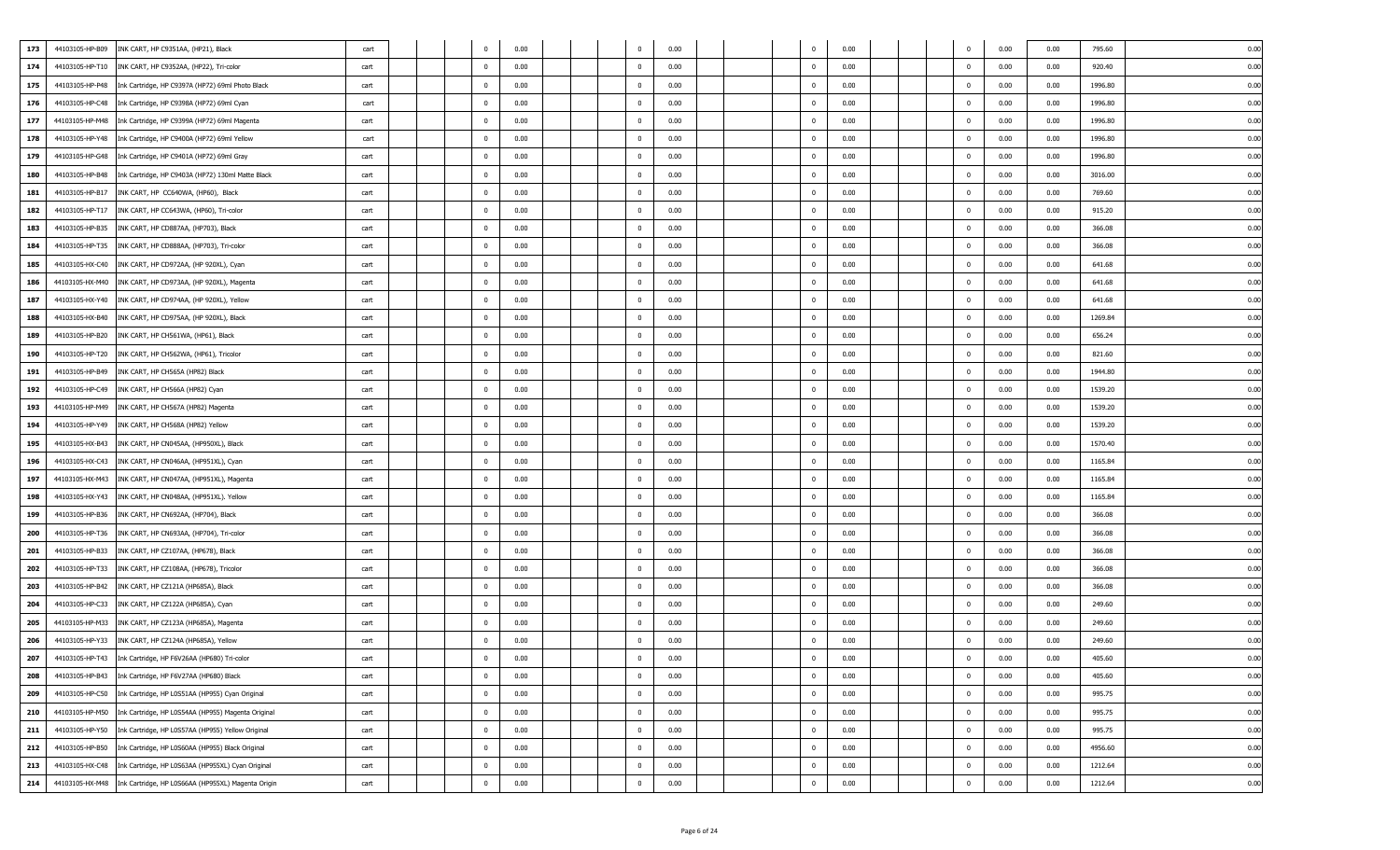| 44103105-HP-B09<br>173<br>INK CART, HP C9351AA, (HP21), Black                | cart |  | $^{\circ}$     | 0.00 |  | $\mathbf 0$             | 0.00 |  |                | 0.00 |  | 0                       | 0.00 | 0.00 | 795.60  | 0.00 |
|------------------------------------------------------------------------------|------|--|----------------|------|--|-------------------------|------|--|----------------|------|--|-------------------------|------|------|---------|------|
| 174<br>44103105-HP-T10<br>INK CART, HP C9352AA, (HP22), Tri-color            | cart |  | $\mathbf{0}$   | 0.00 |  | $^{\circ}$              | 0.00 |  | $\mathbf{0}$   | 0.00 |  | $\overline{0}$          | 0.00 | 0.00 | 920.40  | 0.00 |
| 175<br>44103105-HP-P48<br>Ink Cartridge, HP C9397A (HP72) 69ml Photo Black   | cart |  | $\mathbf{0}$   | 0.00 |  | $\overline{\mathbf{0}}$ | 0.00 |  |                | 0.00 |  | $\Omega$                | 0.00 | 0.00 | 1996.80 | 0.00 |
| 176<br>44103105-HP-C48<br>Ink Cartridge, HP C9398A (HP72) 69ml Cyan          | cart |  | $\bf{0}$       | 0.00 |  | $\overline{\mathbf{0}}$ | 0.00 |  | $\Omega$       | 0.00 |  | $\mathbf 0$             | 0.00 | 0.00 | 1996.80 | 0.00 |
| 177<br>44103105-HP-M48<br>Ink Cartridge, HP C9399A (HP72) 69ml Magenta       | cart |  | $\mathbf{0}$   | 0.00 |  | $^{\circ}$              | 0.00 |  |                | 0.00 |  | $\mathbf{0}$            | 0.00 | 0.00 | 1996.80 | 0.01 |
| 178<br>44103105-HP-Y48<br>Ink Cartridge, HP C9400A (HP72) 69ml Yellow        | cart |  | $\mathbf{0}$   | 0.00 |  | $\overline{\mathbf{0}}$ | 0.00 |  | $\Omega$       | 0.00 |  | $\Omega$                | 0.00 | 0.00 | 1996.80 | 0.01 |
| 179<br>44103105-HP-G48<br>Ink Cartridge, HP C9401A (HP72) 69ml Gray          | cart |  | $\mathbf{0}$   | 0.00 |  | $\overline{\mathbf{0}}$ | 0.00 |  | $\mathbf{0}$   | 0.00 |  | $\overline{\mathbf{0}}$ | 0.00 | 0.00 | 1996.80 | 0.00 |
| 44103105-HP-B48<br>Ink Cartridge, HP C9403A (HP72) 130ml Matte Black<br>180  | cart |  | $\mathbf{0}$   | 0.00 |  | $^{\circ}$              | 0.00 |  | $^{\circ}$     | 0.00 |  | $\mathbf{0}$            | 0.00 | 0.00 | 3016.00 | 0.01 |
| 181<br>44103105-HP-B17<br>INK CART, HP CC640WA, (HP60), Black                | cart |  | $\mathbf{0}$   | 0.00 |  | $\overline{\mathbf{0}}$ | 0.00 |  | $^{\circ}$     | 0.00 |  | $\overline{0}$          | 0.00 | 0.00 | 769.60  | 0.00 |
| 182<br>44103105-HP-T17<br>INK CART, HP CC643WA, (HP60), Tri-color            | cart |  | $\mathbf{0}$   | 0.00 |  | $\overline{\mathbf{0}}$ | 0.00 |  | $\Omega$       | 0.00 |  | $\Omega$                | 0.00 | 0.00 | 915.20  | 0.00 |
| 44103105-HP-B35<br>INK CART, HP CD887AA, (HP703), Black<br>183               | cart |  | $\mathbf{0}$   | 0.00 |  | $\overline{\mathbf{0}}$ | 0.00 |  | $\Omega$       | 0.00 |  | $\mathbf 0$             | 0.00 | 0.00 | 366.08  | 0.00 |
| 184<br>44103105-HP-T35<br>INK CART, HP CD888AA, (HP703), Tri-color           | cart |  | $\mathbf{0}$   | 0.00 |  | $\overline{\mathbf{0}}$ | 0.00 |  | $\Omega$       | 0.00 |  | $\Omega$                | 0.00 | 0.00 | 366.08  | 0.01 |
| 185<br>44103105-HX-C40<br>INK CART, HP CD972AA, (HP 920XL), Cyan             | cart |  | $\mathbf{0}$   | 0.00 |  | $\mathbf 0$             | 0.00 |  | $^{\circ}$     | 0.00 |  | $^{\circ}$              | 0.00 | 0.00 | 641.68  | 0.00 |
| 186<br>44103105-HX-M40<br>INK CART, HP CD973AA, (HP 920XL), Magenta          | cart |  | $\bf{0}$       | 0.00 |  | $\overline{\mathbf{0}}$ | 0.00 |  | $\mathbf{0}$   | 0.00 |  | $\overline{\mathbf{0}}$ | 0.00 | 0.00 | 641.68  | 0.00 |
| 187<br>44103105-HX-Y40<br>INK CART, HP CD974AA, (HP 920XL), Yellow           | cart |  | $\mathbf{0}$   | 0.00 |  | $^{\circ}$              | 0.00 |  | $^{\circ}$     | 0.00 |  | $\mathbf{0}$            | 0.00 | 0.00 | 641.68  | 0.01 |
| 188<br>44103105-HX-B40<br>INK CART, HP CD975AA, (HP 920XL), Black            | cart |  | $\mathbf{0}$   | 0.00 |  | $\overline{\mathbf{0}}$ | 0.00 |  | $\Omega$       | 0.00 |  | $\Omega$                | 0.00 | 0.00 | 1269.84 | 0.00 |
| 189<br>44103105-HP-B20<br>INK CART, HP CH561WA, (HP61), Black                | cart |  | $\mathbf{0}$   | 0.00 |  | $\overline{\mathbf{0}}$ | 0.00 |  | $\Omega$       | 0.00 |  | $\Omega$                | 0.00 | 0.00 | 656.24  | 0.00 |
| 190<br>44103105-HP-T20<br>INK CART, HP CH562WA, (HP61), Tricolor             | cart |  | $\mathbf{0}$   | 0.00 |  | $\overline{\mathbf{0}}$ | 0.00 |  | $\Omega$       | 0.00 |  | $\mathbf{0}$            | 0.00 | 0.00 | 821.60  | 0.01 |
| 191<br>44103105-HP-B49<br>INK CART, HP CH565A (HP82) Black                   | cart |  | $\mathbf{0}$   | 0.00 |  | $\overline{\mathbf{0}}$ | 0.00 |  | $\Omega$       | 0.00 |  | $\overline{0}$          | 0.00 | 0.00 | 1944.80 | 0.01 |
| 192<br>44103105-HP-C49<br>INK CART, HP CH566A (HP82) Cyan                    | cart |  | $\mathbf{0}$   | 0.00 |  | $^{\circ}$              | 0.00 |  | $\Omega$       | 0.00 |  |                         | 0.00 | 0.00 | 1539.20 | 0.00 |
| 193<br>44103105-HP-M49<br>INK CART, HP CH567A (HP82) Magenta                 | cart |  | $\mathbf{0}$   | 0.00 |  | $\overline{\mathbf{0}}$ | 0.00 |  | $^{\circ}$     | 0.00 |  | $\overline{\mathbf{0}}$ | 0.00 | 0.00 | 1539.20 | 0.00 |
| 194<br>44103105-HP-Y49<br>INK CART, HP CH568A (HP82) Yellow                  | cart |  | $\mathbf{0}$   | 0.00 |  | $\overline{\mathbf{0}}$ | 0.00 |  | $\mathbf{0}$   | 0.00 |  | $\overline{0}$          | 0.00 | 0.00 | 1539.20 | 0.00 |
| 195<br>44103105-HX-B43<br>INK CART, HP CN045AA, (HP950XL), Black             | cart |  | $\mathbf{0}$   | 0.00 |  | $\overline{\mathbf{0}}$ | 0.00 |  | $\Omega$       | 0.00 |  | $\Omega$                | 0.00 | 0.00 | 1570.40 | 0.00 |
| 196<br>44103105-HX-C43<br>INK CART, HP CN046AA, (HP951XL), Cyan              | cart |  | $\mathbf{0}$   | 0.00 |  | $\overline{\mathbf{0}}$ | 0.00 |  | $\Omega$       | 0.00 |  | $\mathbf 0$             | 0.00 | 0.00 | 1165.84 | 0.00 |
| 197<br>44103105-HX-M43<br>INK CART, HP CN047AA, (HP951XL), Magenta           | cart |  | $\mathbf{0}$   | 0.00 |  | $\overline{\mathbf{0}}$ | 0.00 |  | $^{\circ}$     | 0.00 |  | $\mathbf 0$             | 0.00 | 0.00 | 1165.84 | 0.01 |
| 44103105-HX-Y43<br>198<br>INK CART, HP CN048AA, (HP951XL). Yellow            | cart |  | $\mathbf{0}$   | 0.00 |  | $\overline{\mathbf{0}}$ | 0.00 |  |                | 0.00 |  | $\Omega$                | 0.00 | 0.00 | 1165.84 | 0.01 |
| 199<br>44103105-HP-B36<br>INK CART, HP CN692AA, (HP704), Black               | cart |  | $\mathbf{0}$   | 0.00 |  | $\overline{\mathbf{0}}$ | 0.00 |  | $\Omega$       | 0.00 |  | $\Omega$                | 0.00 | 0.00 | 366.08  | 0.00 |
| 44103105-HP-T36<br>INK CART, HP CN693AA, (HP704), Tri-color<br>200           | cart |  | $\mathbf{0}$   | 0.00 |  | $^{\circ}$              | 0.00 |  | $^{\circ}$     | 0.00 |  | $\mathbf{0}$            | 0.00 | 0.00 | 366.08  | 0.01 |
| 201<br>44103105-HP-B33<br>INK CART, HP CZ107AA, (HP678), Black               | cart |  | $\mathbf{0}$   | 0.00 |  | $\overline{\mathbf{0}}$ | 0.00 |  | $^{\circ}$     | 0.00 |  | $\overline{0}$          | 0.00 | 0.00 | 366.08  | 0.00 |
| 202<br>44103105-HP-T33<br>INK CART, HP CZ108AA, (HP678), Tricolor            | cart |  | $\mathbf{0}$   | 0.00 |  | $\overline{\mathbf{0}}$ | 0.00 |  | $\Omega$       | 0.00 |  | $\Omega$                | 0.00 | 0.00 | 366.08  | 0.00 |
| 44103105-HP-B42<br>INK CART, HP CZ121A (HP685A), Black<br>203                | cart |  | $\mathbf{0}$   | 0.00 |  | $\overline{\mathbf{0}}$ | 0.00 |  | $\Omega$       | 0.00 |  | $\mathbf 0$             | 0.00 | 0.00 | 366.08  | 0.00 |
| 204<br>44103105-HP-C33<br>INK CART, HP CZ122A (HP685A), Cyan                 | cart |  | $\mathbf{0}$   | 0.00 |  | $\overline{\mathbf{0}}$ | 0.00 |  | $\Omega$       | 0.00 |  | $\overline{0}$          | 0.00 | 0.00 | 249.60  | 0.01 |
| 205<br>44103105-HP-M33<br>INK CART, HP CZ123A (HP685A), Magenta              | cart |  | $\mathbf{0}$   | 0.00 |  | $^{\circ}$              | 0.00 |  | $\Omega$       | 0.00 |  | $\Omega$                | 0.00 | 0.00 | 249.60  | 0.00 |
| 206<br>44103105-HP-Y33<br>INK CART, HP CZ124A (HP685A), Yellow               | cart |  | $\bf{0}$       | 0.00 |  | $\overline{\mathbf{0}}$ | 0.00 |  | $^{\circ}$     | 0.00 |  | $\overline{\mathbf{0}}$ | 0.00 | 0.00 | 249.60  | 0.00 |
| 207<br>44103105-HP-T43<br>Ink Cartridge, HP F6V26AA (HP680) Tri-color        | cart |  | $\Omega$       | 0.00 |  | $\Omega$                | 0.00 |  | $\Omega$       | 0.00 |  | $\Omega$                | 0.00 | 0.00 | 405.60  | 0.00 |
| 44103105-HP-B43<br>208<br>Ink Cartridge, HP F6V27AA (HP680) Black            | cart |  | $\mathbf{0}$   | 0.00 |  | $\mathbf 0$             | 0.00 |  | $\mathbf{0}$   | 0.00 |  | $\mathbf 0$             | 0.00 | 0.00 | 405.60  | 0.00 |
| 44103105-HP-C50<br>209<br>Ink Cartridge, HP L0S51AA (HP955) Cyan Original    | cart |  | $\overline{0}$ | 0.00 |  | $\overline{\mathbf{0}}$ | 0.00 |  | $\mathbf 0$    | 0.00 |  | $\mathbf 0$             | 0.00 | 0.00 | 995.75  | 0.00 |
| 44103105-HP-M50<br>210<br>Ink Cartridge, HP L0S54AA (HP955) Magenta Original | cart |  | $\mathbf{0}$   | 0.00 |  | $\overline{0}$          | 0.00 |  | $\mathbf 0$    | 0.00 |  | $\mathbf 0$             | 0.00 | 0.00 | 995.75  | 0.00 |
| 44103105-HP-Y50<br>Ink Cartridge, HP L0S57AA (HP955) Yellow Original<br>211  | cart |  | $\mathbf{0}$   | 0.00 |  | $\overline{\mathbf{0}}$ | 0.00 |  | $\overline{0}$ | 0.00 |  | $\mathbf 0$             | 0.00 | 0.00 | 995.75  | 0.00 |
| 212<br>44103105-HP-B50<br>Ink Cartridge, HP L0S60AA (HP955) Black Original   | cart |  | $\mathbf{0}$   | 0.00 |  | $\bf{0}$                | 0.00 |  | $\overline{0}$ | 0.00 |  | $\mathbf 0$             | 0.00 | 0.00 | 4956.60 | 0.00 |
| 213<br>44103105-HX-C48<br>Ink Cartridge, HP L0S63AA (HP955XL) Cyan Original  | cart |  | $\overline{0}$ | 0.00 |  | $\bf{0}$                | 0.00 |  | $\mathbf{0}$   | 0.00 |  | $\mathbf 0$             | 0.00 | 0.00 | 1212.64 | 0.00 |
| 214<br>44103105-HX-M48<br>Ink Cartridge, HP L0S66AA (HP955XL) Magenta Origin | cart |  | $\overline{0}$ | 0.00 |  | $\pmb{0}$               | 0.00 |  | $\mathbf{0}$   | 0.00 |  | $\mathbf 0$             | 0.00 | 0.00 | 1212.64 | 0.00 |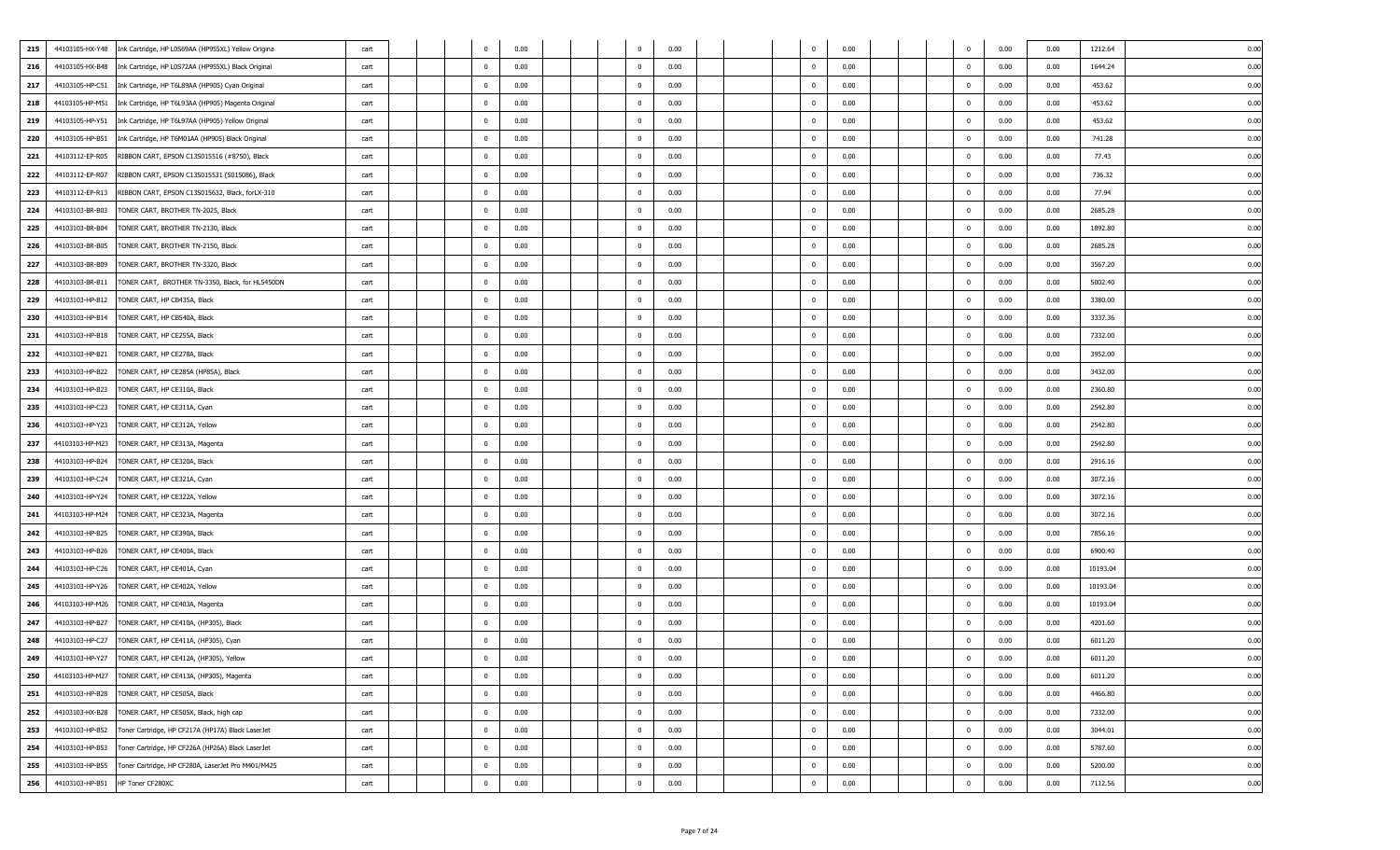| 215 | 44103105-HX-Y48 | Ink Cartridge, HP L0S69AA (HP955XL) Yellow Origina | cart |                         | 0.00 | 0                       | 0.00 |  |              | 0.00 |  |              | 0.00 | 0.00 | 1212.64  | 0.00 |
|-----|-----------------|----------------------------------------------------|------|-------------------------|------|-------------------------|------|--|--------------|------|--|--------------|------|------|----------|------|
| 216 | 44103105-HX-B48 | Ink Cartridge, HP L0S72AA (HP955XL) Black Original | cart | $\overline{0}$          | 0.00 | $^{\circ}$              | 0.00 |  |              | 0.00 |  | $\Omega$     | 0.00 | 0.00 | 1644.24  | 0.01 |
| 217 | 44103105-HP-C51 | Ink Cartridge, HP T6L89AA (HP905) Cyan Original    | cart | $\overline{0}$          | 0.00 | $\overline{\mathbf{0}}$ | 0.00 |  | $^{\circ}$   | 0.00 |  | $\Omega$     | 0.00 | 0.00 | 453.62   | 0.00 |
| 218 | 44103105-HP-M51 | Ink Cartridge, HP T6L93AA (HP905) Magenta Original | cart | $\overline{0}$          | 0.00 | $\overline{\mathbf{0}}$ | 0.00 |  | $\Omega$     | 0.00 |  | $^{\circ}$   | 0.00 | 0.00 | 453.62   | 0.00 |
| 219 | 44103105-HP-Y51 | Ink Cartridge, HP T6L97AA (HP905) Yellow Original  | cart | $\overline{\mathbf{0}}$ | 0.00 | $\overline{\mathbf{0}}$ | 0.00 |  | $^{\circ}$   | 0.00 |  | $^{\circ}$   | 0.00 | 0.00 | 453.62   | 0.00 |
| 220 | 44103105-HP-B51 | Ink Cartridge, HP T6M01AA (HP905) Black Original   | cart | $\bf{0}$                | 0.00 | $\overline{\mathbf{0}}$ | 0.00 |  | $\Omega$     | 0.00 |  | $\Omega$     | 0.00 | 0.00 | 741.28   | 0.0  |
| 221 | 44103112-EP-R05 | RIBBON CART, EPSON C13S015516 (#8750), Black       | cart | $\overline{0}$          | 0.00 | $\overline{0}$          | 0.00 |  |              | 0.00 |  |              | 0.00 | 0.00 | 77.43    | 0.01 |
| 222 | 44103112-EP-R07 | RIBBON CART, EPSON C13S015531 (S015086), Black     | cart | $\overline{\mathbf{0}}$ | 0.00 | $\mathbf 0$             | 0.00 |  | $^{\circ}$   | 0.00 |  | $^{\circ}$   | 0.00 | 0.00 | 736.32   | 0.00 |
| 223 | 44103112-EP-R13 | RIBBON CART, EPSON C13S015632, Black, forLX-310    | cart | $\bf{0}$                | 0.00 | $\overline{0}$          | 0.00 |  | $^{\circ}$   | 0.00 |  | $\Omega$     | 0.00 | 0.00 | 77.94    | 0.00 |
| 224 | 44103103-BR-B03 | TONER CART, BROTHER TN-2025, Black                 | cart | $\overline{0}$          | 0.00 | $\overline{0}$          | 0.00 |  | $^{\circ}$   | 0.00 |  |              | 0.00 | 0.00 | 2685.28  | 0.00 |
| 225 | 44103103-BR-B04 | TONER CART, BROTHER TN-2130, Black                 | cart | $\overline{\mathbf{0}}$ | 0.00 | $\overline{0}$          | 0.00 |  | $^{\circ}$   | 0.00 |  | $^{\circ}$   | 0.00 | 0.00 | 1892.80  | 0.00 |
| 226 | 44103103-BR-B05 | TONER CART, BROTHER TN-2150, Black                 | cart | $\overline{0}$          | 0.00 | $\overline{0}$          | 0.00 |  | $^{\circ}$   | 0.00 |  | $^{\circ}$   | 0.00 | 0.00 | 2685.28  | 0.01 |
| 227 | 44103103-BR-B09 | TONER CART, BROTHER TN-3320, Black                 | cart | $\overline{\mathbf{0}}$ | 0.00 | $\overline{0}$          | 0.00 |  | $\Omega$     | 0.00 |  | $\Omega$     | 0.00 | 0.00 | 3567.20  | 0.00 |
| 228 | 44103103-BR-B11 | TONER CART, BROTHER TN-3350, Black, for HL5450DN   | cart | $\overline{\mathbf{0}}$ | 0.00 | $\overline{0}$          | 0.00 |  | 0            | 0.00 |  | $^{\circ}$   | 0.00 | 0.00 | 5002.40  | 0.00 |
| 229 | 44103103-HP-B12 | TONER CART, HP CB435A, Black                       | cart | $\overline{\mathbf{0}}$ | 0.00 | $\overline{\mathbf{0}}$ | 0.00 |  | $^{\circ}$   | 0.00 |  | $^{\circ}$   | 0.00 | 0.00 | 3380.00  | 0.00 |
| 230 | 44103103-HP-B14 | TONER CART, HP CB540A, Black                       | cart | $\overline{\mathbf{0}}$ | 0.00 | $\overline{0}$          | 0.00 |  | $^{\circ}$   | 0.00 |  | $\Omega$     | 0.00 | 0.00 | 3337.36  | 0.00 |
| 231 | 44103103-HP-B18 | TONER CART, HP CE255A, Black                       | cart | $\overline{0}$          | 0.00 | $\overline{0}$          | 0.00 |  |              | 0.00 |  |              | 0.00 | 0.00 | 7332.00  | 0.00 |
| 232 | 44103103-HP-B21 | TONER CART, HP CE278A, Black                       | cart | $\overline{\mathbf{0}}$ | 0.00 | $\overline{\mathbf{0}}$ | 0.00 |  | $^{\circ}$   | 0.00 |  | $\mathbf{0}$ | 0.00 | 0.00 | 3952.00  | 0.00 |
| 233 | 44103103-HP-B22 | TONER CART, HP CE285A (HP85A), Black               | cart | $\overline{0}$          | 0.00 | $\overline{\mathbf{0}}$ | 0.00 |  | $\Omega$     | 0.00 |  | $\Omega$     | 0.00 | 0.00 | 3432.00  | 0.0  |
| 234 | 44103103-HP-B23 | TONER CART, HP CE310A, Black                       | cart | $\overline{0}$          | 0.00 | $\overline{\mathbf{0}}$ | 0.00 |  | $^{\circ}$   | 0.00 |  | $^{\circ}$   | 0.00 | 0.00 | 2360.80  | 0.00 |
| 235 | 44103103-HP-C23 | TONER CART, HP CE311A, Cyan                        | cart | $\overline{\mathbf{0}}$ | 0.00 | $\overline{0}$          | 0.00 |  | $^{\circ}$   | 0.00 |  | $^{\circ}$   | 0.00 | 0.00 | 2542.80  | 0.00 |
| 236 | 44103103-HP-Y23 | TONER CART, HP CE312A, Yellow                      | cart | $\overline{0}$          | 0.00 | $\overline{0}$          | 0.00 |  | $\Omega$     | 0.00 |  | $\Omega$     | 0.00 | 0.00 | 2542.80  | 0.01 |
| 237 | 44103103-HP-M23 | TONER CART, HP CE313A, Magenta                     | cart | $\overline{0}$          | 0.00 | $\overline{\mathbf{0}}$ | 0.00 |  | $^{\circ}$   | 0.00 |  | $\Omega$     | 0.00 | 0.00 | 2542.80  | 0.00 |
| 238 | 44103103-HP-B24 | TONER CART, HP CE320A, Black                       | cart | $\overline{\mathbf{0}}$ | 0.00 | $\overline{0}$          | 0.00 |  | $^{\circ}$   | 0.00 |  | $^{\circ}$   | 0.00 | 0.00 | 2916.16  | 0.00 |
| 239 | 44103103-HP-C24 | TONER CART, HP CE321A, Cyan                        | cart | $\overline{\mathbf{0}}$ | 0.00 | $\overline{0}$          | 0.00 |  | $^{\circ}$   | 0.00 |  | $\mathbf{0}$ | 0.00 | 0.00 | 3072.16  | 0.00 |
| 240 | 44103103-HP-Y24 | TONER CART, HP CE322A, Yellow                      | cart | $\overline{\mathbf{0}}$ | 0.00 | $\overline{0}$          | 0.00 |  | $^{\circ}$   | 0.00 |  | $^{\circ}$   | 0.00 | 0.00 | 3072.16  | 0.00 |
| 241 | 44103103-HP-M24 | TONER CART, HP CE323A, Magenta                     | cart | $\overline{\mathbf{0}}$ | 0.00 | $\overline{0}$          | 0.00 |  | $\Omega$     | 0.00 |  | $\Omega$     | 0.00 | 0.00 | 3072.16  | 0.00 |
| 242 | 44103103-HP-B25 | TONER CART, HP CE390A, Black                       | cart | $\overline{\mathbf{0}}$ | 0.00 | $^{\circ}$              | 0.00 |  |              | 0.00 |  | $^{\circ}$   | 0.00 | 0.00 | 7856.16  | 0.00 |
| 243 | 44103103-HP-B26 | TONER CART, HP CE400A, Black                       | cart | $\bf{0}$                | 0.00 | $\overline{0}$          | 0.00 |  | $\Omega$     | 0.00 |  | $\Omega$     | 0.00 | 0.00 | 6900.40  | 0.00 |
| 244 | 44103103-HP-C26 | TONER CART, HP CE401A, Cyan                        | cart | $\mathbf{0}$            | 0.00 | $\overline{\mathbf{0}}$ | 0.00 |  | $\Omega$     | 0.00 |  |              | 0.00 | 0.00 | 10193.04 | 0.00 |
| 245 | 44103103-HP-Y26 | TONER CART, HP CE402A, Yellow                      | cart | $\overline{\mathbf{0}}$ | 0.00 | $\overline{\mathbf{0}}$ | 0.00 |  | $^{\circ}$   | 0.00 |  | $^{\circ}$   | 0.00 | 0.00 | 10193.04 | 0.00 |
| 246 | 44103103-HP-M26 | TONER CART, HP CE403A, Magenta                     | cart | $\overline{0}$          | 0.00 | $\overline{0}$          | 0.00 |  | $\Omega$     | 0.00 |  | $^{\circ}$   | 0.00 | 0.00 | 10193.04 | 0.01 |
| 247 | 44103103-HP-B27 | TONER CART, HP CE410A, (HP305), Black              | cart | $\overline{\mathbf{0}}$ | 0.00 | $\overline{0}$          | 0.00 |  | $\Omega$     | 0.00 |  |              | 0.00 | 0.00 | 4201.60  | 0.00 |
| 248 | 44103103-HP-C27 | TONER CART, HP CE411A, (HP305), Cyan               | cart | $\overline{\mathbf{0}}$ | 0.00 | $\mathbf 0$             | 0.00 |  | $\Omega$     | 0.00 |  | $\Omega$     | 0.00 | 0.00 | 6011.20  | 0.00 |
| 249 | 44103103-HP-Y27 | TONER CART, HP CE412A, (HP305), Yellow             | cart | $\overline{0}$          | 0.00 | $\overline{0}$          | 0.00 |  |              | 0.00 |  |              | 0.00 | 0.00 | 6011.20  | 0.01 |
| 250 | 44103103-HP-M27 | TONER CART, HP CE413A, (HP305), Magenta            | cart | $\pmb{0}$               | 0.00 | $\mathbf 0$             | 0.00 |  | $^{\circ}$   | 0.00 |  | $\Omega$     | 0.00 | 0.00 | 6011.20  | 0.00 |
| 251 | 44103103-HP-B28 | TONER CART, HP CE505A, Black                       | cart | $\overline{0}$          | 0.00 | $\overline{0}$          | 0.00 |  | $\Omega$     | 0.00 |  | $\Omega$     | 0.00 | 0.00 | 4466.80  | 0.00 |
| 252 | 44103103-HX-B28 | TONER CART, HP CE505X, Black, high cap             | cart | $\overline{\mathbf{0}}$ | 0.00 | $\mathbf 0$             | 0.00 |  | $^{\circ}$   | 0.00 |  | $\mathbf{0}$ | 0.00 | 0.00 | 7332.00  | 0.00 |
| 253 | 44103103-HP-B52 | Toner Cartridge, HP CF217A (HP17A) Black LaserJet  | cart | $\bf{0}$                | 0.00 | $\overline{0}$          | 0.00 |  | $\mathbf{0}$ | 0.00 |  | $\mathbf{0}$ | 0.00 | 0.00 | 3044.01  | 0.00 |
| 254 | 44103103-HP-B53 | Toner Cartridge, HP CF226A (HP26A) Black LaserJet  | cart | $\overline{0}$          | 0.00 | $\mathbf 0$             | 0.00 |  | $^{\circ}$   | 0.00 |  | $^{\circ}$   | 0.00 | 0.00 | 5787.60  | 0.00 |
| 255 | 44103103-HP-B55 | Toner Cartridge, HP CF280A, LaserJet Pro M401/M425 | cart | $\overline{\mathbf{0}}$ | 0.00 | $\overline{0}$          | 0.00 |  | $^{\circ}$   | 0.00 |  | $\mathbf 0$  | 0.00 | 0.00 | 5200.00  | 0.00 |
| 256 | 44103103-HP-B51 | HP Toner CF280XC                                   | cart | $\bf{0}$                | 0.00 | $\mathbf{0}$            | 0.00 |  | $\mathbf{0}$ | 0.00 |  | $\mathbf{0}$ | 0.00 | 0.00 | 7112.56  | 0.00 |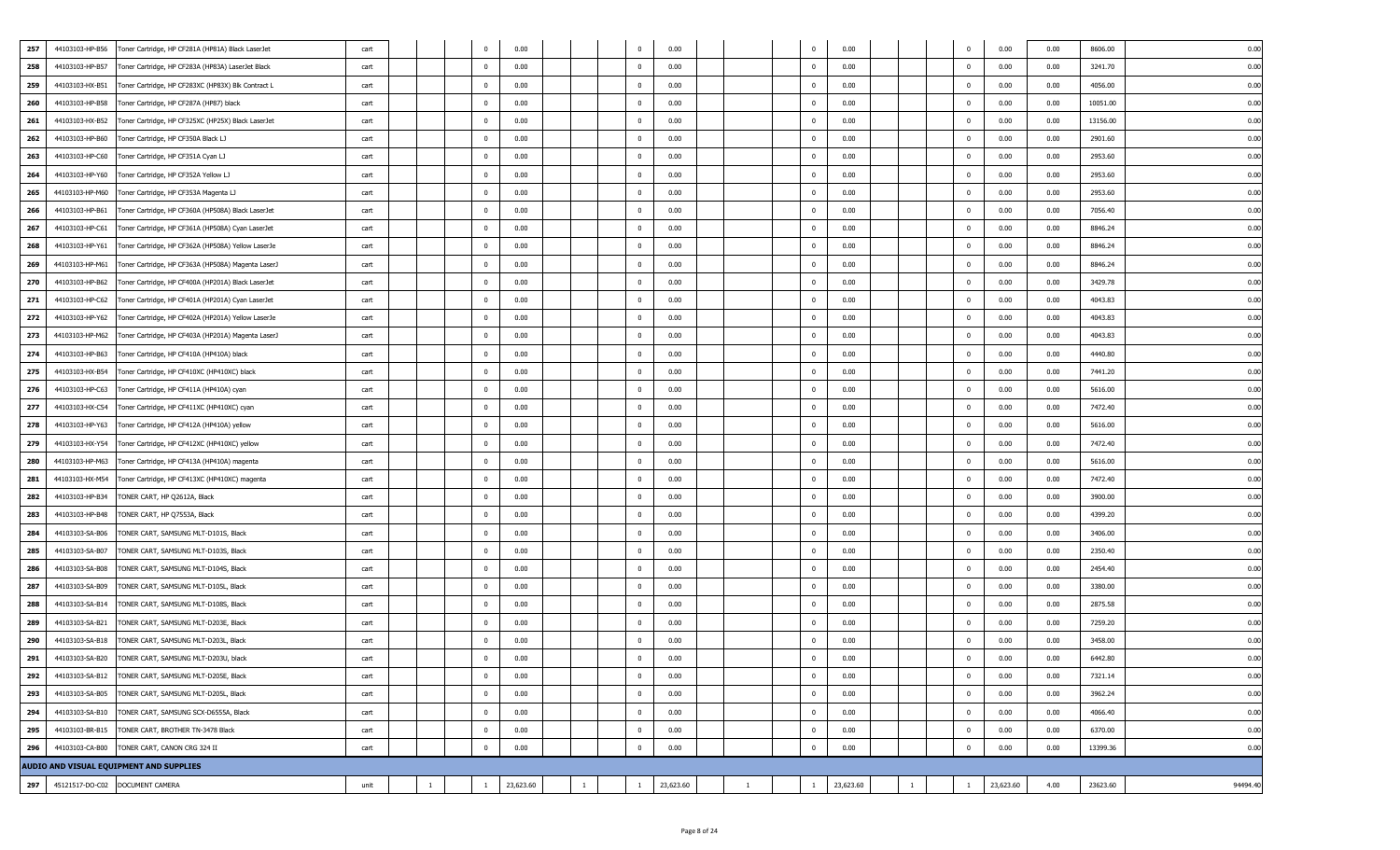| 257 | 44103103-HP-B56 | Toner Cartridge, HP CF281A (HP81A) Black LaserJet  | cart |    | 0              | 0.00      |              |              | 0.00      |              | $\mathbf{0}$             | 0.00      |              | $\mathbf 0$             | 0.00      | 0.00 | 8606.00<br>0.00      |
|-----|-----------------|----------------------------------------------------|------|----|----------------|-----------|--------------|--------------|-----------|--------------|--------------------------|-----------|--------------|-------------------------|-----------|------|----------------------|
| 258 | 44103103-HP-B57 | Toner Cartridge, HP CF283A (HP83A) LaserJet Black  | cart |    | $\mathbf{0}$   | 0.00      |              | $^{\circ}$   | 0.00      |              | $\overline{\mathbf{0}}$  | 0.00      |              | $\overline{0}$          | 0.00      | 0.00 | 3241.70<br>0.00      |
| 259 | 44103103-HX-B51 | Toner Cartridge, HP CF283XC (HP83X) Blk Contract L | cart |    | $\Omega$       | 0.00      |              | $\Omega$     | 0.00      |              | $\Omega$                 | 0.00      |              | $^{\circ}$              | 0.00      | 0.00 | 4056.00<br>0.00      |
| 260 | 44103103-HP-B58 | Toner Cartridge, HP CF287A (HP87) black            | cart |    | $\mathbf 0$    | 0.00      |              | $\mathbf{0}$ | 0.00      |              | $\overline{\phantom{0}}$ | 0.00      |              | $\mathbf{0}$            | 0.00      | 0.00 | 10051.00<br>0.00     |
| 261 | 44103103-HX-B52 | Toner Cartridge, HP CF325XC (HP25X) Black LaserJet | cart |    | $\mathbf{0}$   | 0.00      |              | $\mathbf{0}$ | 0.00      |              | $\overline{\mathbf{0}}$  | 0.00      |              | $^{\circ}$              | 0.00      | 0.00 | 13156.00<br>0.00     |
| 262 | 44103103-HP-B60 | Toner Cartridge, HP CF350A Black LJ                | cart |    | $\mathbf 0$    | 0.00      |              | $^{\circ}$   | 0.00      |              | $\Omega$                 | 0.00      |              | $^{\circ}$              | 0.00      | 0.00 | 2901.60<br>0.00      |
| 263 | 44103103-HP-C60 | Toner Cartridge, HP CF351A Cyan LJ                 | cart |    | $^{\circ}$     | 0.00      |              | $^{\circ}$   | 0.00      |              | $^{\circ}$               | 0.00      |              | 0                       | 0.00      | 0.00 | 2953.60<br>0.00      |
| 264 | 44103103-HP-Y60 | Toner Cartridge, HP CF352A Yellow LJ               | cart |    | $\mathbf{0}$   | 0.00      |              | $^{\circ}$   | 0.00      |              | $\overline{\mathbf{0}}$  | 0.00      |              | 0                       | 0.00      | 0.00 | 2953.60<br>0.00      |
| 265 | 44103103-HP-M60 | Toner Cartridge, HP CF353A Magenta LJ              | cart |    | $\mathbf{0}$   | 0.00      |              | $^{\circ}$   | 0.00      |              | $\overline{\mathbf{0}}$  | 0.00      |              | $^{\circ}$              | 0.00      | 0.00 | 2953.60<br>0.00      |
| 266 | 44103103-HP-B61 | Toner Cartridge, HP CF360A (HP508A) Black LaserJet | cart |    | $\bf{0}$       | 0.00      |              | $^{\circ}$   | 0.00      |              | $\overline{\mathbf{0}}$  | 0.00      |              | $\mathbf 0$             | 0.00      | 0.00 | 7056.40<br>0.00      |
| 267 | 44103103-HP-C61 | Toner Cartridge, HP CF361A (HP508A) Cyan LaserJet  | cart |    | $\mathbf{0}$   | 0.00      |              | $\mathbf{0}$ | 0.00      |              | $\overline{\mathbf{0}}$  | 0.00      |              | $\mathbf{0}$            | 0.00      | 0.00 | 8846.24<br>0.00      |
| 268 | 44103103-HP-Y61 | Toner Cartridge, HP CF362A (HP508A) Yellow LaserJe | cart |    | $\mathbf 0$    | 0.00      |              | $\bf{0}$     | 0.00      |              | $\overline{\mathbf{0}}$  | 0.00      |              | $^{\circ}$              | 0.00      | 0.00 | 8846.24<br>0.00      |
| 269 | 44103103-HP-M61 | Toner Cartridge, HP CF363A (HP508A) Magenta LaserJ | cart |    | $\mathbf{0}$   | 0.00      |              | $^{\circ}$   | 0.00      |              | $\Omega$                 | 0.00      |              | $\overline{0}$          | 0.00      | 0.00 | 8846.24<br>0.00      |
| 270 | 44103103-HP-B62 | Toner Cartridge, HP CF400A (HP201A) Black LaserJet | cart |    | $\mathbf{0}$   | 0.00      |              | $^{\circ}$   | 0.00      |              | $^{\circ}$               | 0.00      |              | $^{\circ}$              | 0.00      | 0.00 | 3429.78<br>0.00      |
| 271 | 44103103-HP-C62 | Toner Cartridge, HP CF401A (HP201A) Cyan LaserJet  | cart |    | $\mathbf{0}$   | 0.00      |              | $\mathbf{0}$ | 0.00      |              | $\overline{\mathbf{0}}$  | 0.00      |              | $\Omega$                | 0.00      | 0.00 | 4043.83<br>0.00      |
| 272 | 44103103-HP-Y62 | Toner Cartridge, HP CF402A (HP201A) Yellow LaserJe | cart |    | $\mathbf 0$    | 0.00      |              | $\Omega$     | 0.00      |              | $\overline{\mathbf{0}}$  | 0.00      |              | $^{\circ}$              | 0.00      | 0.00 | 4043.83<br>0.00      |
| 273 | 44103103-HP-M62 | Toner Cartridge, HP CF403A (HP201A) Magenta LaserJ | cart |    | $\mathbf{0}$   | 0.00      |              | $\mathbf{0}$ | 0.00      |              | $^{\circ}$               | 0.00      |              | $^{\circ}$              | 0.00      | 0.00 | 4043.83<br>0.00      |
| 274 | 44103103-HP-B63 | Toner Cartridge, HP CF410A (HP410A) black          | cart |    | $\mathbf{0}$   | 0.00      |              | $\Omega$     | 0.00      |              | $\Omega$                 | 0.00      |              | $^{\circ}$              | 0.00      | 0.00 | 4440.80<br>0.00      |
| 275 | 44103103-HX-B54 | Toner Cartridge, HP CF410XC (HP410XC) black        | cart |    | $\mathbf{0}$   | 0.00      |              | $^{\circ}$   | 0.00      |              | $\overline{\mathbf{0}}$  | 0.00      |              | $^{\circ}$              | 0.00      | 0.00 | 7441.20<br>0.00      |
| 276 | 44103103-HP-C63 | Toner Cartridge, HP CF411A (HP410A) cyan           | cart |    | $\mathbf 0$    | 0.00      |              | $^{\circ}$   | 0.00      |              | $\overline{\phantom{0}}$ | 0.00      |              | $\overline{\mathbf{0}}$ | 0.00      | 0.00 | 5616.00<br>0.00      |
| 277 | 44103103-HX-C54 | Toner Cartridge, HP CF411XC (HP410XC) cyan         | cart |    | $\mathbf 0$    | 0.00      |              | $^{\circ}$   | 0.00      |              | $\overline{\mathbf{0}}$  | 0.00      |              | $\overline{0}$          | 0.00      | 0.00 | 7472.40<br>0.00      |
| 278 | 44103103-HP-Y63 | Toner Cartridge, HP CF412A (HP410A) yellow         | cart |    | $\mathbf{0}$   | 0.00      |              | $^{\circ}$   | 0.00      |              | $\overline{\mathbf{0}}$  | 0.00      |              | 0                       | 0.00      | 0.00 | 5616.00<br>0.00      |
| 279 | 44103103-HX-Y54 | Toner Cartridge, HP CF412XC (HP410XC) yellow       | cart |    | $\mathbf{0}$   | 0.00      |              | $\Omega$     | 0.00      |              | $\Omega$                 | 0.00      |              | $^{\circ}$              | 0.00      | 0.00 | 7472.40<br>0.00      |
| 280 | 44103103-HP-M63 | Toner Cartridge, HP CF413A (HP410A) magenta        | cart |    | $\mathbf 0$    | 0.00      |              | $\mathbf{0}$ | 0.00      |              | $\overline{\phantom{0}}$ | 0.00      |              | $\mathbf{0}$            | 0.00      | 0.00 | 5616.00<br>0.00      |
| 281 | 44103103-HX-M54 | Toner Cartridge, HP CF413XC (HP410XC) magenta      | cart |    | $\mathbf{0}$   | 0.00      |              | $\mathbf{0}$ | 0.00      |              | $\overline{\mathbf{0}}$  | 0.00      |              | $^{\circ}$              | 0.00      | 0.00 | 7472.40<br>0.00      |
| 282 | 44103103-HP-B34 | TONER CART, HP Q2612A, Black                       | cart |    | $\mathbf{0}$   | 0.00      |              | $^{\circ}$   | 0.00      |              | $\overline{\mathbf{0}}$  | 0.00      |              | $^{\circ}$              | 0.00      | 0.00 | 3900.00<br>0.00      |
| 283 | 44103103-HP-B48 | TONER CART, HP Q7553A, Black                       | cart |    | $^{\circ}$     | 0.00      |              | $^{\circ}$   | 0.00      |              | $^{\circ}$               | 0.00      |              | $^{\circ}$              | 0.00      | 0.00 | 4399.20<br>0.00      |
| 284 | 44103103-SA-B06 | TONER CART, SAMSUNG MLT-D101S, Black               | cart |    | $\mathbf{0}$   | 0.00      |              | $\Omega$     | 0.00      |              | $\Omega$                 | 0.00      |              | $\Omega$                | 0.00      | 0.00 | 3406.00<br>0.00      |
| 285 | 44103103-SA-B07 | TONER CART, SAMSUNG MLT-D103S, Black               | cart |    | $\mathbf{0}$   | 0.00      |              | $^{\circ}$   | 0.00      |              | $\overline{\mathbf{0}}$  | 0.00      |              | 0                       | 0.00      | 0.00 | 2350.40<br>0.00      |
| 286 | 44103103-SA-B08 | TONER CART, SAMSUNG MLT-D104S, Black               | cart |    | $\mathbf{0}$   | 0.00      |              | $^{\circ}$   | 0.00      |              | $\Omega$                 | 0.00      |              | $^{\circ}$              | 0.00      | 0.00 | 2454.40<br>0.00      |
| 287 | 44103103-SA-B09 | TONER CART, SAMSUNG MLT-D105L, Black               | cart |    | $\mathbf{0}$   | 0.00      |              | $^{\circ}$   | 0.00      |              | $\overline{\mathbf{0}}$  | 0.00      |              | $^{\circ}$              | 0.00      | 0.00 | 3380.00<br>0.00      |
| 288 | 44103103-SA-B14 | TONER CART, SAMSUNG MLT-D108S, Black               | cart |    | $\mathbf 0$    | 0.00      |              | $\mathbf 0$  | 0.00      |              | $\overline{\mathbf{0}}$  | 0.00      |              | $^{\circ}$              | 0.00      | 0.00 | 2875.58<br>0.00      |
| 289 | 44103103-SA-B21 | TONER CART, SAMSUNG MLT-D203E, Black               | cart |    | $\overline{0}$ | 0.00      |              | $\Omega$     | 0.00      |              | $\Omega$                 | 0.00      |              | 0                       | 0.00      | 0.00 | 7259.20<br>0.00      |
| 290 | 44103103-SA-B18 | TONER CART, SAMSUNG MLT-D203L, Black               | cart |    | $\mathbf{0}$   | 0.00      |              | $^{\circ}$   | 0.00      |              | $\overline{\phantom{0}}$ | 0.00      |              | $^{\circ}$              | 0.00      | 0.00 | 3458.00<br>0.00      |
| 291 | 44103103-SA-B20 | TONER CART, SAMSUNG MLT-D203U, black               | cart |    |                | 0.00      |              |              | 0.00      |              | $\Omega$                 | 0.00      |              |                         | 0.00      | 0.00 | 6442.80              |
| 292 | 44103103-SA-B12 | TONER CART, SAMSUNG MLT-D205E, Black               | cart |    | $\mathbf 0$    | 0.00      |              | $\mathbf{0}$ | 0.00      |              | $\overline{0}$           | 0.00      |              | $\mathbf 0$             | 0.00      | 0.00 | 0.00<br>7321.14      |
| 293 | 44103103-SA-B05 | TONER CART, SAMSUNG MLT-D205L, Black               | cart |    | $\bf{0}$       | 0.00      |              | $\pmb{0}$    | 0.00      |              | $\overline{\mathbf{0}}$  | 0.00      |              | $\bf{0}$                | 0.00      | 0.00 | 0.00<br>3962.24      |
| 294 | 44103103-SA-B10 | TONER CART, SAMSUNG SCX-D6555A, Black              | cart |    | $\mathbf 0$    | 0.00      |              | $\mathbf{0}$ | 0.00      |              | $\overline{\mathbf{0}}$  | 0.00      |              | $\mathbf 0$             | 0.00      | 0.00 | 4066.40<br>0.00      |
| 295 | 44103103-BR-B15 | TONER CART, BROTHER TN-3478 Black                  | cart |    | $\mathbf 0$    | 0.00      |              | $\mathbf{0}$ | 0.00      |              | $\overline{\mathbf{0}}$  | 0.00      |              | $\mathbf{0}$            | 0.00      | 0.00 | 0.00<br>6370.00      |
| 296 | 44103103-CA-B00 | TONER CART, CANON CRG 324 II                       | cart |    | $\mathbf 0$    | 0.00      |              | $\mathbf{0}$ | 0.00      |              | $\overline{\mathbf{0}}$  | 0.00      |              | $\pmb{0}$               | 0.00      | 0.00 | 0.00<br>13399.36     |
|     |                 | AUDIO AND VISUAL EQUIPMENT AND SUPPLIES            |      |    |                |           |              |              |           |              |                          |           |              |                         |           |      |                      |
| 297 |                 | 45121517-DO-C02 DOCUMENT CAMERA                    | unit | -1 | $\mathbf{1}$   | 23,623.60 | $\mathbf{1}$ | $\mathbf{1}$ | 23,623.60 | $\mathbf{1}$ | $\overline{1}$           | 23,623.60 | <sup>1</sup> | -1                      | 23,623.60 | 4.00 | 23623.60<br>94494.40 |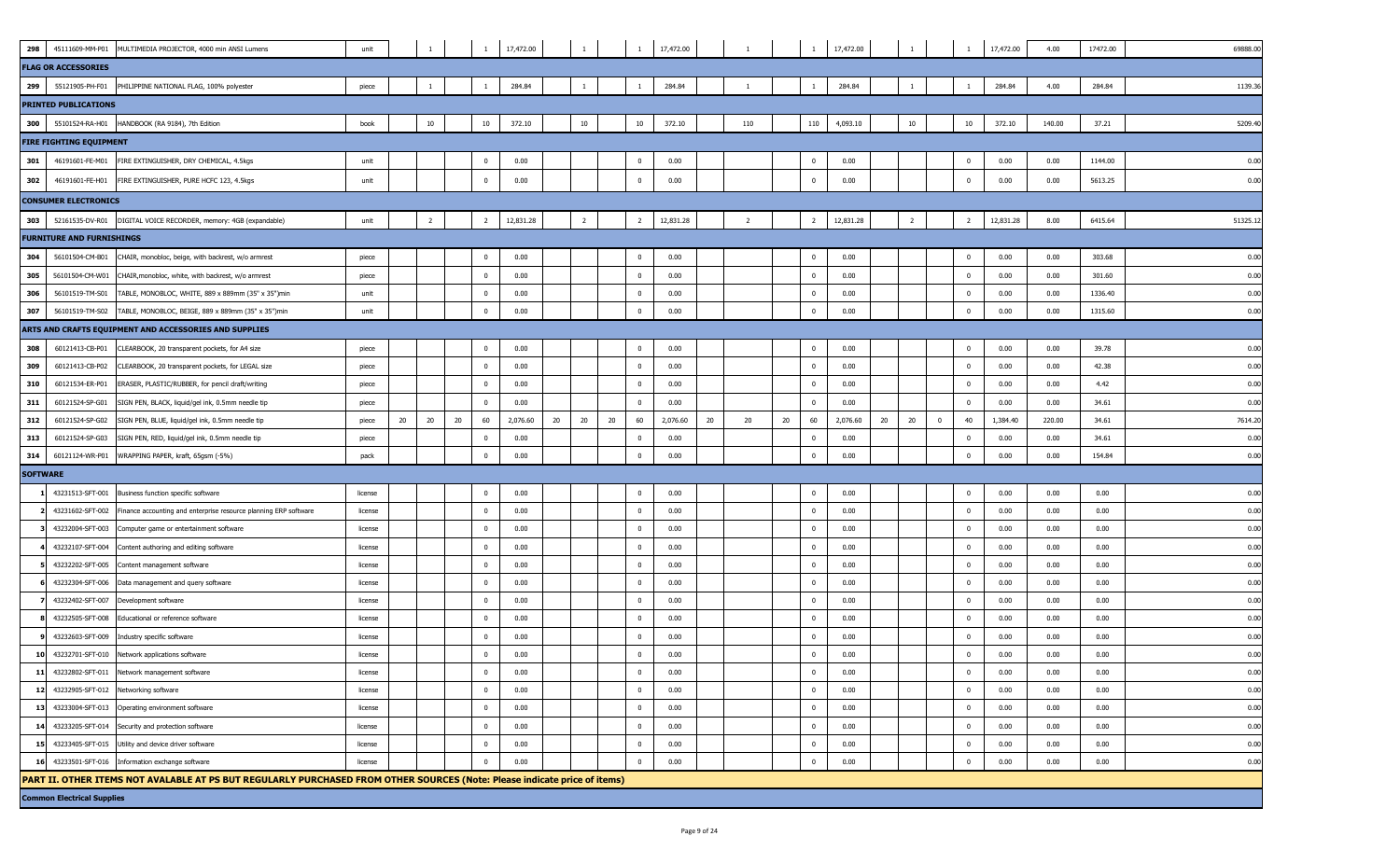| 298             | 45111609-MM-P01                   | MULTIMEDIA PROJECTOR, 4000 min ANSI Lumens                                                                                | unit               |    |                |    |                                | 17,472.00      | $\mathbf{1}$   |    | $\overline{1}$                                     | 17,472.00    |    |                |    |                                     | 17,472.00    |    |                |             |                            | 17,472.00    | 4.00         | 17472.00     | 69888.00     |
|-----------------|-----------------------------------|---------------------------------------------------------------------------------------------------------------------------|--------------------|----|----------------|----|--------------------------------|----------------|----------------|----|----------------------------------------------------|--------------|----|----------------|----|-------------------------------------|--------------|----|----------------|-------------|----------------------------|--------------|--------------|--------------|--------------|
|                 | <b>FLAG OR ACCESSORIES</b>        |                                                                                                                           |                    |    |                |    |                                |                |                |    |                                                    |              |    |                |    |                                     |              |    |                |             |                            |              |              |              |              |
| 299             | 55121905-PH-F01                   | PHILIPPINE NATIONAL FLAG, 100% polyester                                                                                  | piece              |    | $\overline{1}$ |    | $\mathbf{1}$                   | 284.84         | -1             |    | $\overline{1}$                                     | 284.84       |    | -1             |    | $\overline{1}$                      | 284.84       |    | -1             |             | -1                         | 284.84       | 4.00         | 284.84       | 1139.36      |
|                 | <b>PRINTED PUBLICATIONS</b>       |                                                                                                                           |                    |    |                |    |                                |                |                |    |                                                    |              |    |                |    |                                     |              |    |                |             |                            |              |              |              |              |
| 300             | 55101524-RA-H01                   | HANDBOOK (RA 9184), 7th Edition                                                                                           | book               |    | 10             |    | 10                             | 372.10         | 10             |    | 10                                                 | 372.10       |    | 110            |    | 110                                 | 4,093.10     |    | 10             |             | 10                         | 372.10       | 140.00       | 37.21        | 5209.40      |
|                 | <b>FIRE FIGHTING EQUIPMENT</b>    |                                                                                                                           |                    |    |                |    |                                |                |                |    |                                                    |              |    |                |    |                                     |              |    |                |             |                            |              |              |              |              |
| 301             | 46191601-FE-M01                   | FIRE EXTINGUISHER, DRY CHEMICAL, 4.5kgs                                                                                   | unit               |    |                |    | $^{\circ}$                     | 0.00           |                |    | $\mathbf 0$                                        | 0.00         |    |                |    | $\overline{0}$                      | 0.00         |    |                |             | $\mathbf 0$                | 0.00         | 0.00         | 1144.00      | 0.00         |
| 302             | 46191601-FE-H01                   | FIRE EXTINGUISHER, PURE HCFC 123, 4.5kgs                                                                                  | unit               |    |                |    | $\bf{0}$                       | 0.00           |                |    | $\overline{\mathbf{0}}$                            | 0.00         |    |                |    | $^{\circ}$                          | 0.00         |    |                |             | $\mathbf 0$                | 0.00         | 0.00         | 5613.25      | 0.00         |
|                 | <b>CONSUMER ELECTRONICS</b>       |                                                                                                                           |                    |    |                |    |                                |                |                |    |                                                    |              |    |                |    |                                     |              |    |                |             |                            |              |              |              |              |
| 303             | 52161535-DV-R01                   | DIGITAL VOICE RECORDER, memory: 4GB (expandable)                                                                          | unit               |    | $\overline{2}$ |    | $\overline{2}$                 | 12,831.28      | $\overline{2}$ |    | $\overline{2}$                                     | 12,831.28    |    | $\overline{2}$ |    | $\overline{2}$                      | 12,831.28    |    | $\overline{2}$ |             | $\overline{2}$             | 12,831.28    | 8.00         | 6415.64      | 51325.1      |
|                 | <b>FURNITURE AND FURNISHINGS</b>  |                                                                                                                           |                    |    |                |    |                                |                |                |    |                                                    |              |    |                |    |                                     |              |    |                |             |                            |              |              |              |              |
| 304             | 56101504-CM-B01                   | CHAIR, monobloc, beige, with backrest, w/o armrest                                                                        | piece              |    |                |    | $^{\circ}$                     | 0.00           |                |    | $\mathbf 0$                                        | 0.00         |    |                |    | $\mathbf{0}$                        | 0.00         |    |                |             | $\mathbf 0$                | 0.00         | 0.00         | 303.68       | 0.00         |
| 305             |                                   | 56101504-CM-W01 CHAIR, monobloc, white, with backrest, w/o armrest                                                        | piece              |    |                |    | $\mathbf{0}$                   | 0.00           |                |    | $\overline{0}$                                     | 0.00         |    |                |    | $\overline{\mathbf{0}}$             | 0.00         |    |                |             | $\mathbf 0$                | 0.00         | 0.00         | 301.60       | 0.00         |
| 306             | 56101519-TM-S01                   | TABLE, MONOBLOC, WHITE, 889 x 889mm (35" x 35")min                                                                        | unit               |    |                |    | $\mathbf{0}$                   | 0.00           |                |    | $\overline{\mathbf{0}}$                            | 0.00         |    |                |    | $\overline{\mathbf{0}}$             | 0.00         |    |                |             | $\overline{0}$             | 0.00         | 0.00         | 1336.40      | 0.00         |
| 307             | 56101519-TM-S02                   | TABLE, MONOBLOC, BEIGE, 889 x 889mm (35" x 35")min                                                                        | unit               |    |                |    | $\mathbf{0}$                   | 0.00           |                |    | $\overline{0}$                                     | 0.00         |    |                |    | $\Omega$                            | 0.00         |    |                |             | $\mathbf 0$                | 0.00         | 0.00         | 1315.60      | 0.00         |
|                 |                                   | ARTS AND CRAFTS EQUIPMENT AND ACCESSORIES AND SUPPLIES                                                                    |                    |    |                |    |                                |                |                |    |                                                    |              |    |                |    |                                     |              |    |                |             |                            |              |              |              |              |
| 308             | 60121413-CB-P01                   | CLEARBOOK, 20 transparent pockets, for A4 size                                                                            | piece              |    |                |    | $\mathbf{0}$                   | 0.00           |                |    | $\overline{\mathbf{0}}$                            | 0.00         |    |                |    | $\overline{0}$                      | 0.00         |    |                |             | $\mathbf 0$                | 0.00         | 0.00         | 39.78        | 0.00         |
| 309             | 60121413-CB-P02                   | CLEARBOOK, 20 transparent pockets, for LEGAL size                                                                         | piece              |    |                |    | $\mathbf{0}$                   | 0.00           |                |    | $\overline{\mathbf{0}}$                            | 0.00         |    |                |    | $\overline{\mathbf{0}}$             | 0.00         |    |                |             | $\overline{0}$             | 0.00         | 0.00         | 42.38        | 0.00         |
| 310             | 60121534-ER-P01                   | ERASER, PLASTIC/RUBBER, for pencil draft/writing                                                                          | piece              |    |                |    | $^{\circ}$                     | 0.00           |                |    | $\overline{\mathbf{0}}$                            | 0.00         |    |                |    | $\overline{\mathbf{0}}$             | 0.00         |    |                |             | $\mathbf 0$                | 0.00         | 0.00         | 4.42         | 0.00         |
| 311             | 60121524-SP-G01                   | SIGN PEN, BLACK, liquid/gel ink, 0.5mm needle tip                                                                         | piece              |    |                |    | $\mathbf 0$                    | 0.00           |                |    | $\mathbf{0}$                                       | 0.00         |    |                |    | $\overline{\mathbf{0}}$             | 0.00         |    |                |             | $\mathbf 0$                | 0.00         | 0.00         | 34.61        | 0.00         |
| 312             | 60121524-SP-G02                   | SIGN PEN, BLUE, liquid/gel ink, 0.5mm needle tip                                                                          | piece              | 20 | 20             | 20 | 60                             | 2,076.60<br>20 | 20             | 20 | 60                                                 | 2,076.60     | 20 | 20             | 20 | 60                                  | 2,076.60     | 20 | 20             | $\mathbf 0$ | 40                         | 1,384.40     | 220.00       | 34.61        | 7614.20      |
| 313             | 60121524-SP-G03                   | SIGN PEN, RED, liquid/gel ink, 0.5mm needle tip                                                                           | piece              |    |                |    | $^{\circ}$                     | 0.00           |                |    | $\overline{\mathbf{0}}$                            | 0.00         |    |                |    | $\overline{\mathbf{0}}$             | 0.00         |    |                |             | $\mathbf 0$                | 0.00         | 0.00         | 34.61        | 0.00         |
| 314             | 60121124-WR-P01                   | WRAPPING PAPER, kraft, 65gsm (-5%)                                                                                        | pack               |    |                |    | $\mathbf{0}$                   | 0.00           |                |    | $\overline{\mathbf{0}}$                            | 0.00         |    |                |    | $\overline{\mathbf{0}}$             | 0.00         |    |                |             | $\mathbf 0$                | 0.00         | 0.00         | 154.84       | 0.00         |
| <b>SOFTWARE</b> |                                   |                                                                                                                           |                    |    |                |    |                                |                |                |    |                                                    |              |    |                |    |                                     |              |    |                |             |                            |              |              |              |              |
|                 | 43231513-SFT-001                  | Business function specific software                                                                                       | license            |    |                |    | $\mathbf 0$                    | 0.00           |                |    | $\overline{\mathbf{0}}$                            | 0.00         |    |                |    | $\overline{\mathbf{0}}$             | 0.00         |    |                |             | $\mathbf 0$                | 0.00         | 0.00         | 0.00         | 0.00         |
|                 | 43231602-SFT-002                  | Finance accounting and enterprise resource planning ERP software                                                          | license            |    |                |    | $\mathbf{0}$                   | 0.00           |                |    | $\mathbf{0}$                                       | 0.00         |    |                |    | $\overline{\mathbf{0}}$             | 0.00         |    |                |             | $\overline{\mathbf{0}}$    | 0.00         | 0.00         | 0.00         | 0.00         |
|                 | 43232004-SFT-003                  | Computer game or entertainment software                                                                                   | license            |    |                |    | $^{\circ}$                     | 0.00           |                |    | $\mathbf{0}$                                       | 0.00         |    |                |    | $\overline{\mathbf{0}}$             | 0.00         |    |                |             | $\overline{0}$             | 0.00         | 0.00         | 0.00         | 0.00         |
|                 | 43232107-SFT-004                  | Content authoring and editing software                                                                                    | license            |    |                |    | $^{\circ}$                     | 0.00           |                |    | $\overline{\mathbf{0}}$                            | 0.00         |    |                |    | $\overline{\mathbf{0}}$             | 0.00         |    |                |             | $\overline{\mathbf{0}}$    | 0.00         | 0.00         | 0.00         | 0.00         |
|                 | 43232202-SFT-005                  | Content management software                                                                                               | license            |    |                |    | $\mathbf{0}$                   | 0.00           |                |    | $\overline{0}$                                     | 0.00         |    |                |    | $\overline{0}$                      | 0.00         |    |                |             | $\mathbf 0$                | 0.00         | 0.00         | 0.00         | 0.00         |
|                 | 43232304-SFT-006                  | Data management and query software                                                                                        | license            |    |                |    | $\Omega$                       | 0.00           |                |    | $\overline{\mathbf{0}}$                            | 0.00         |    |                |    | $\overline{\mathbf{0}}$             | 0.00         |    |                |             | $\mathbf 0$                | 0.00         | 0.00         | 0.00         | 0.00         |
|                 | 43232402-SFT-007                  | Development software                                                                                                      | license            |    |                |    | $\Omega$                       | 0.00           |                |    | $\overline{\mathbf{0}}$                            | 0.00         |    |                |    | $\overline{0}$                      | 0.00         |    |                |             | $\mathbf 0$                | 0.00         | 0.00         | 0.00         | 0.00         |
|                 | 43232505-SFT-008                  | Educational or reference software                                                                                         | license            |    |                |    | $\mathbf{0}$                   | 0.00           |                |    | $\overline{\mathbf{0}}$                            | 0.00         |    |                |    | $\overline{\mathbf{0}}$             | 0.00         |    |                |             | $\overline{0}$             | 0.00         | 0.00         | 0.00         | 0.00         |
|                 | 43232603-SFT-009                  | Industry specific software                                                                                                | license            |    |                |    | $\overline{\mathbf{0}}$        | 0.00           |                |    | $\mathbf 0$                                        | 0.00         |    |                |    | $^{\circ}$                          | 0.00         |    |                |             | $^{\circ}$                 | 0.00         | 0.00         | 0.00         | 0.00         |
| 10              |                                   | 43232701-SFT-010 Network applications software                                                                            | license            |    |                |    | $\mathbf{0}$                   | 0.00           |                |    | $\overline{0}$                                     | 0.00         |    |                |    | $\overline{0}$                      | 0.00         |    |                |             | $\mathbf 0$                | 0.00         | 0.00         | 0.00         | 0.00         |
| 11              | 43232802-SFT-011                  | Network management software                                                                                               | license            |    |                |    | $\overline{0}$<br>$\mathbf{0}$ | 0.00<br>0.00   |                |    | $\overline{\mathbf{0}}$<br>$\overline{\mathbf{0}}$ | 0.00         |    |                |    | $\overline{\mathbf{0}}$<br>$\Omega$ | 0.00         |    |                |             | $\mathbf 0$<br>$\mathbf 0$ | 0.00<br>0.00 | 0.00         | 0.00         | 0.00         |
|                 | 12 43232905-SFT-012               | Networking software<br>13 43233004-SFT-013 Operating environment software                                                 | license            |    |                |    | $\mathbf{0}$                   | 0.00           |                |    | $\overline{0}$                                     | 0.00<br>0.00 |    |                |    | $\overline{\mathbf{0}}$             | 0.00<br>0.00 |    |                |             | $\mathbf 0$                | 0.00         | 0.00<br>0.00 | 0.00<br>0.00 | 0.00<br>0.00 |
|                 |                                   | 14 43233205-SFT-014 Security and protection software                                                                      | license<br>license |    |                |    | $\mathbf 0$                    | 0.00           |                |    | $\overline{\mathbf{0}}$                            | 0.00         |    |                |    | $\overline{\mathbf{0}}$             | 0.00         |    |                |             | $\mathbf 0$                | 0.00         | 0.00         | 0.00         | 0.00         |
|                 |                                   | 15 43233405-SFT-015 Utility and device driver software                                                                    | license            |    |                |    | $\mathbf{0}$                   | 0.00           |                |    | $\overline{0}$                                     | 0.00         |    |                |    | $\overline{0}$                      | 0.00         |    |                |             | $\mathbf 0$                | 0.00         | 0.00         | 0.00         | 0.00         |
| 16              |                                   | 43233501-SFT-016 Information exchange software                                                                            | license            |    |                |    | $\Omega$                       | 0.00           |                |    | $\Omega$                                           | 0.00         |    |                |    | $\overline{\mathbf{0}}$             | 0.00         |    |                |             | $\Omega$                   | 0.00         | 0.00         | 0.00         | 0.00         |
|                 |                                   | PART II. OTHER ITEMS NOT AVALABLE AT PS BUT REGULARLY PURCHASED FROM OTHER SOURCES (Note: Please indicate price of items) |                    |    |                |    |                                |                |                |    |                                                    |              |    |                |    |                                     |              |    |                |             |                            |              |              |              |              |
|                 | <b>Common Electrical Supplies</b> |                                                                                                                           |                    |    |                |    |                                |                |                |    |                                                    |              |    |                |    |                                     |              |    |                |             |                            |              |              |              |              |
|                 |                                   |                                                                                                                           |                    |    |                |    |                                |                |                |    |                                                    |              |    |                |    |                                     |              |    |                |             |                            |              |              |              |              |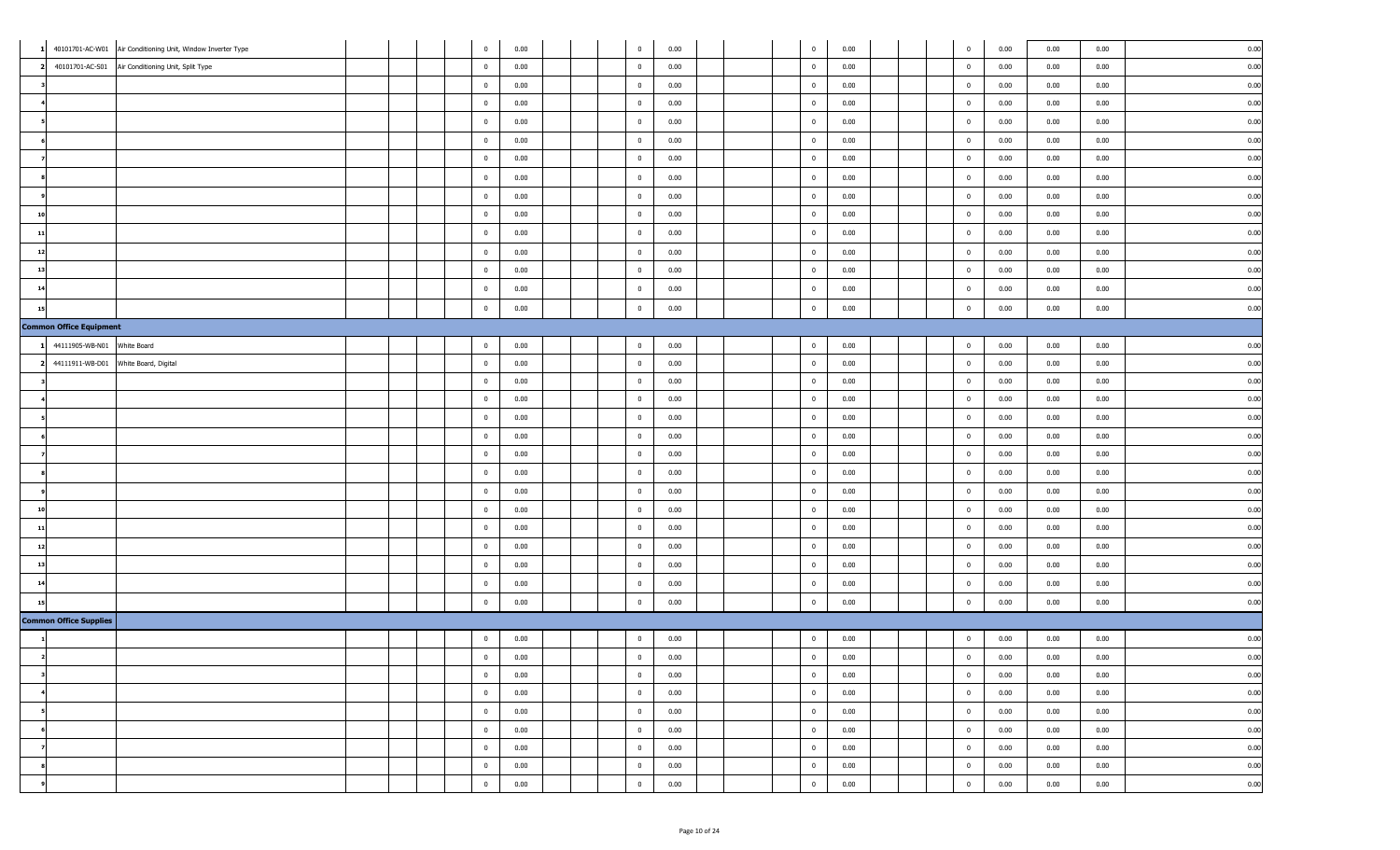|    |                                | 40101701-AC-W01 Air Conditioning Unit, Window Inverter Type |  | $\bf{0}$       | 0.00 |  | $\overline{0}$ | 0.00 |  | $\overline{0}$          | 0.00 |  | $\overline{0}$ | 0.00 | 0.00 | 0.00 | 0.00 |
|----|--------------------------------|-------------------------------------------------------------|--|----------------|------|--|----------------|------|--|-------------------------|------|--|----------------|------|------|------|------|
|    | 40101701-AC-S01                | Air Conditioning Unit, Split Type                           |  | $\mathbf 0$    | 0.00 |  | $\mathbf{0}$   | 0.00 |  | $\mathbf 0$             | 0.00 |  | $\mathbf{0}$   | 0.00 | 0.00 | 0.00 | 0.00 |
|    |                                |                                                             |  | $\bf{0}$       | 0.00 |  | $\overline{0}$ | 0.00 |  | $\overline{0}$          | 0.00 |  | $\overline{0}$ | 0.00 | 0.00 | 0.00 | 0.00 |
|    |                                |                                                             |  | $\mathbf{0}$   | 0.00 |  | $\overline{0}$ | 0.00 |  | $\mathbf{0}$            | 0.00 |  | $\mathbf{0}$   | 0.00 | 0.00 | 0.00 | 0.00 |
|    |                                |                                                             |  | $\bf{0}$       | 0.00 |  | $\overline{0}$ | 0.00 |  | $\overline{0}$          | 0.00 |  | $\overline{0}$ | 0.00 | 0.00 | 0.00 | 0.00 |
|    |                                |                                                             |  | $\bf{0}$       | 0.00 |  | $\overline{0}$ | 0.00 |  | $\bf{0}$                | 0.00 |  | $\mathbf 0$    | 0.00 | 0.00 | 0.00 | 0.00 |
|    |                                |                                                             |  | $\mathbf{0}$   | 0.00 |  | $\mathbf{0}$   | 0.00 |  | $\overline{0}$          | 0.00 |  | $\mathbf{0}$   | 0.00 | 0.00 | 0.00 | 0.00 |
|    |                                |                                                             |  | $\mathbf 0$    | 0.00 |  | $\overline{0}$ | 0.00 |  | $\overline{0}$          | 0.00 |  | $\mathbf{0}$   | 0.00 | 0.00 | 0.00 | 0.00 |
|    |                                |                                                             |  | $\bf{0}$       | 0.00 |  | $\overline{0}$ | 0.00 |  | $\overline{0}$          | 0.00 |  | $\mathbf 0$    | 0.00 | 0.00 | 0.00 | 0.00 |
| 10 |                                |                                                             |  | $\bf{0}$       | 0.00 |  | $\overline{0}$ | 0.00 |  | $\overline{0}$          | 0.00 |  | $\overline{0}$ | 0.00 | 0.00 | 0.00 | 0.00 |
| 11 |                                |                                                             |  | $\mathbf 0$    | 0.00 |  | $\overline{0}$ | 0.00 |  | $\overline{0}$          | 0.00 |  | $\mathbf{0}$   | 0.00 | 0.00 | 0.00 | 0.00 |
| 12 |                                |                                                             |  | $\bf{0}$       | 0.00 |  | $\overline{0}$ | 0.00 |  | $\bf{0}$                | 0.00 |  | $\overline{0}$ | 0.00 | 0.00 | 0.00 | 0.00 |
| 13 |                                |                                                             |  | $\bf{0}$       | 0.00 |  | $\overline{0}$ | 0.00 |  | $\overline{0}$          | 0.00 |  | $\overline{0}$ | 0.00 | 0.00 | 0.00 | 0.00 |
| 14 |                                |                                                             |  | $\bf{0}$       | 0.00 |  | $\overline{0}$ | 0.00 |  | $\overline{0}$          | 0.00 |  | $\overline{0}$ | 0.00 | 0.00 | 0.00 | 0.00 |
| 15 |                                |                                                             |  | $\mathbf 0$    | 0.00 |  | $\mathbf 0$    | 0.00 |  | $\mathbf 0$             | 0.00 |  | $\Omega$       | 0.00 | 0.00 | 0.00 | 0.00 |
|    | <b>Common Office Equipment</b> |                                                             |  |                |      |  |                |      |  |                         |      |  |                |      |      |      |      |
|    | 44111905-WB-N01 White Board    |                                                             |  | $\bf{0}$       | 0.00 |  | $\overline{0}$ | 0.00 |  | $\overline{0}$          | 0.00 |  | $\overline{0}$ | 0.00 | 0.00 | 0.00 | 0.00 |
|    |                                | 44111911-WB-D01 White Board, Digital                        |  | $\mathbf{0}$   | 0.00 |  | $\overline{0}$ | 0.00 |  | $\bf{0}$                | 0.00 |  | $\overline{0}$ | 0.00 | 0.00 | 0.00 | 0.00 |
|    |                                |                                                             |  | $\mathbf 0$    | 0.00 |  | $\mathbf 0$    | 0.00 |  | $\mathbf{0}$            | 0.00 |  | $\mathbf 0$    | 0.00 | 0.00 | 0.00 | 0.00 |
|    |                                |                                                             |  | $\mathbf{0}$   | 0.00 |  | $\overline{0}$ | 0.00 |  | $\overline{0}$          | 0.00 |  | $\mathbf{0}$   | 0.00 | 0.00 | 0.00 | 0.00 |
|    |                                |                                                             |  | $\bf{0}$       | 0.00 |  | $\overline{0}$ | 0.00 |  | $\overline{0}$          | 0.00 |  | $\overline{0}$ | 0.00 | 0.00 | 0.00 | 0.00 |
|    |                                |                                                             |  | $\bf{0}$       | 0.00 |  | $\overline{0}$ | 0.00 |  | $\overline{0}$          | 0.00 |  | $\overline{0}$ | 0.00 | 0.00 | 0.00 | 0.00 |
|    |                                |                                                             |  | $\mathbf 0$    | 0.00 |  | $\overline{0}$ | 0.00 |  | $\overline{0}$          | 0.00 |  | $\mathbf 0$    | 0.00 | 0.00 | 0.00 | 0.00 |
|    |                                |                                                             |  | $\bf{0}$       | 0.00 |  | $\overline{0}$ | 0.00 |  | $\overline{0}$          | 0.00 |  | $\mathbf{0}$   | 0.00 | 0.00 | 0.00 | 0.00 |
|    |                                |                                                             |  | $\bf{0}$       | 0.00 |  | $\overline{0}$ | 0.00 |  | $\overline{0}$          | 0.00 |  | $\mathbf 0$    | 0.00 | 0.00 | 0.00 | 0.00 |
| 10 |                                |                                                             |  | $\bf{0}$       | 0.00 |  | $\overline{0}$ | 0.00 |  | $\overline{0}$          | 0.00 |  | $\overline{0}$ | 0.00 | 0.00 | 0.00 | 0.00 |
| 11 |                                |                                                             |  | $\mathbf{0}$   | 0.00 |  | $\overline{0}$ | 0.00 |  | $\overline{0}$          | 0.00 |  | $\overline{0}$ | 0.00 | 0.00 | 0.00 | 0.00 |
| 12 |                                |                                                             |  | $\bf{0}$       | 0.00 |  | $\overline{0}$ | 0.00 |  | $\overline{\mathbf{0}}$ | 0.00 |  | $\overline{0}$ | 0.00 | 0.00 | 0.00 | 0.00 |
| 13 |                                |                                                             |  | $\mathbf 0$    | 0.00 |  | $\mathbf 0$    | 0.00 |  | $\mathbf{0}$            | 0.00 |  | $\mathbf 0$    | 0.00 | 0.00 | 0.00 | 0.00 |
| 14 |                                |                                                             |  | $\mathbf 0$    | 0.00 |  | $\mathbf{0}$   | 0.00 |  | $\mathbf 0$             | 0.00 |  | $\mathbf{0}$   | 0.00 | 0.00 | 0.00 | 0.00 |
|    |                                |                                                             |  | $\mathbf{0}$   | 0.00 |  | $\mathbf 0$    | 0.00 |  | $\overline{0}$          | 0.00 |  | $\mathbf 0$    | 0.00 | 0.00 | 0.00 | 0.00 |
|    | <b>Common Office Supplies</b>  |                                                             |  |                |      |  |                |      |  |                         |      |  |                |      |      |      |      |
|    |                                |                                                             |  | $\bf{0}$       | 0.00 |  | $\overline{0}$ | 0.00 |  | $\overline{0}$          | 0.00 |  | $\overline{0}$ | 0.00 | 0.00 | 0.00 | 0.00 |
|    |                                |                                                             |  | $\mathbf{0}$   | 0.00 |  | $\mathbf{0}$   | 0.00 |  | $\overline{0}$          | 0.00 |  | $\mathbf{0}$   | 0.00 | 0.00 | 0.00 | 0.00 |
|    |                                |                                                             |  | $\overline{0}$ | 0.00 |  | $\mathbf{0}$   | 0.00 |  | $\overline{0}$          | 0.00 |  | $\overline{0}$ | 0.00 | 0.00 | 0.00 | 0.00 |
|    |                                |                                                             |  | $\overline{0}$ | 0.00 |  | $\bf{0}$       | 0.00 |  | $\overline{0}$          | 0.00 |  | $\mathbf 0$    | 0.00 | 0.00 | 0.00 | 0.00 |
|    |                                |                                                             |  | $\overline{0}$ | 0.00 |  | $\bf{0}$       | 0.00 |  | $\overline{0}$          | 0.00 |  | $\overline{0}$ | 0.00 | 0.00 | 0.00 | 0.00 |
|    |                                |                                                             |  | $\overline{0}$ | 0.00 |  | $\bf{0}$       | 0.00 |  | $\bf{0}$                | 0.00 |  | $\bf{0}$       | 0.00 | 0.00 | 0.00 | 0.00 |
|    |                                |                                                             |  | $\overline{0}$ | 0.00 |  | $\bf{0}$       | 0.00 |  | $\overline{0}$          | 0.00 |  | $\overline{0}$ | 0.00 | 0.00 | 0.00 | 0.00 |
|    |                                |                                                             |  | $\overline{0}$ | 0.00 |  | $\mathbf 0$    | 0.00 |  | $\overline{0}$          | 0.00 |  | $\overline{0}$ | 0.00 | 0.00 | 0.00 | 0.00 |
|    |                                |                                                             |  | $\bf{0}$       | 0.00 |  | $\overline{0}$ | 0.00 |  | $\mathbf{0}$            | 0.00 |  | $\overline{0}$ | 0.00 | 0.00 | 0.00 | 0.00 |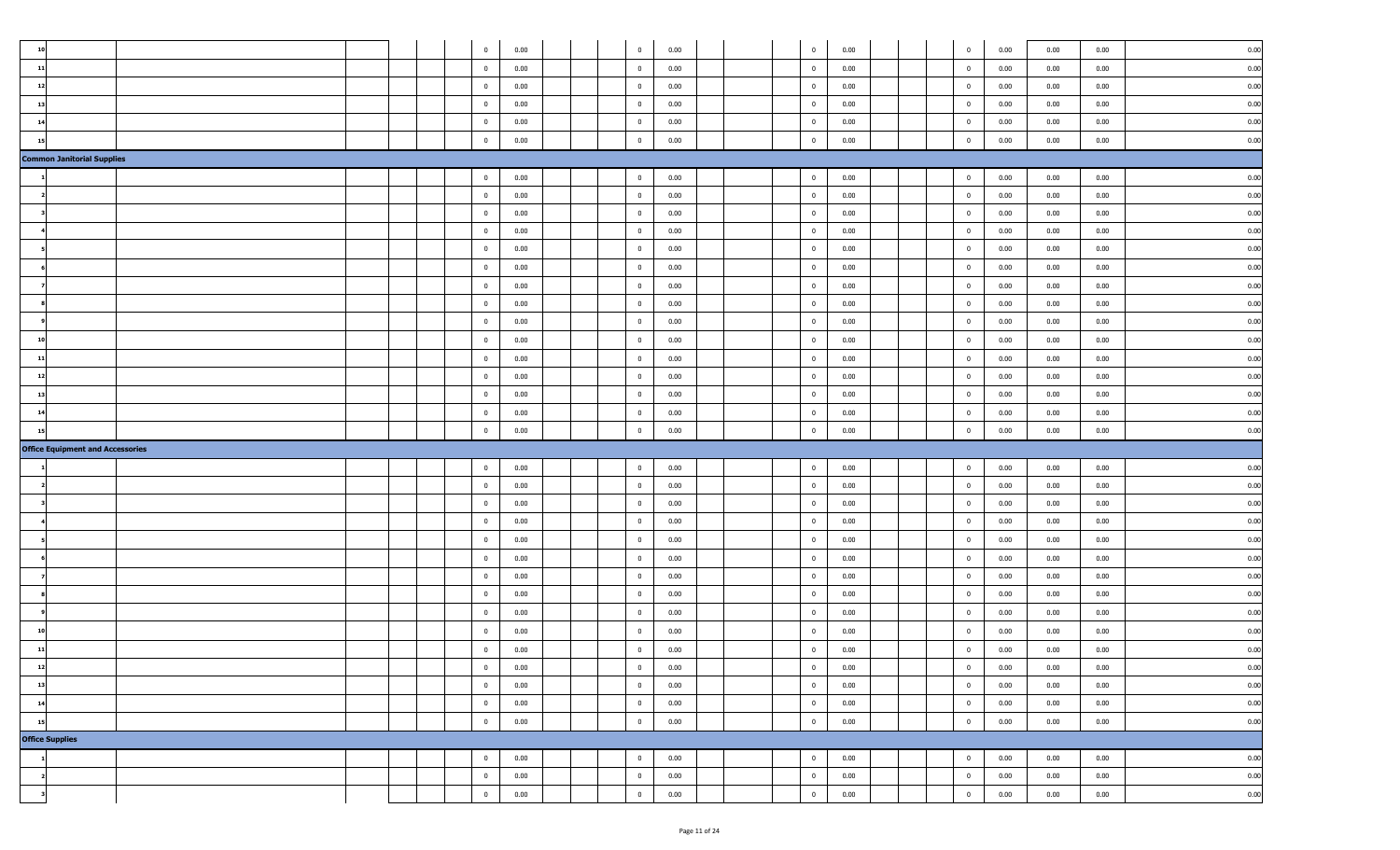| $\overline{10}$                         |  |  | $\overline{0}$          | 0.00 |                         | $\overline{0}$ | 0.00 |  | $\overline{0}$          | 0.00 |  | $\overline{0}$          | 0.00 | 0.00 | 0.00 | 0.00 |
|-----------------------------------------|--|--|-------------------------|------|-------------------------|----------------|------|--|-------------------------|------|--|-------------------------|------|------|------|------|
| 11                                      |  |  | $\overline{0}$          | 0.00 | $\overline{\mathbf{0}}$ |                | 0.00 |  | $\overline{0}$          | 0.00 |  | $\overline{0}$          | 0.00 | 0.00 | 0.00 | 0.00 |
| 12                                      |  |  | $\overline{0}$          | 0.00 |                         | $\overline{0}$ | 0.00 |  | $\overline{0}$          | 0.00 |  | $\overline{0}$          | 0.00 | 0.00 | 0.00 | 0.00 |
| 13                                      |  |  | $\overline{0}$          | 0.00 |                         | $\overline{0}$ | 0.00 |  | $\overline{0}$          | 0.00 |  | $\overline{0}$          | 0.00 | 0.00 | 0.00 | 0.00 |
| $\mathbf{1}$                            |  |  | $\bf{0}$                | 0.00 | $\overline{0}$          |                | 0.00 |  | $\overline{\mathbf{0}}$ | 0.00 |  | $\bf{0}$                | 0.00 | 0.00 | 0.00 | 0.00 |
|                                         |  |  | $\overline{0}$          | 0.00 |                         | $\overline{0}$ | 0.00 |  | $\bf{0}$                | 0.00 |  | $\mathbf{0}$            | 0.00 | 0.00 | 0.00 | 0.00 |
| <b>Common Janitorial Supplies</b>       |  |  |                         |      |                         |                |      |  |                         |      |  |                         |      |      |      |      |
|                                         |  |  | $\overline{0}$          | 0.00 | $\overline{\mathbf{0}}$ |                | 0.00 |  | $\overline{0}$          | 0.00 |  | $\overline{0}$          | 0.00 | 0.00 | 0.00 | 0.00 |
|                                         |  |  | $\overline{0}$          | 0.00 |                         | $\overline{0}$ | 0.00 |  | $\overline{0}$          | 0.00 |  | $\overline{0}$          | 0.00 | 0.00 | 0.00 | 0.00 |
|                                         |  |  | $\overline{0}$          | 0.00 | $\overline{0}$          |                | 0.00 |  | $\overline{0}$          | 0.00 |  | $\bf{0}$                | 0.00 | 0.00 | 0.00 | 0.00 |
|                                         |  |  | $\bf{0}$                | 0.00 | $\overline{\mathbf{0}}$ |                | 0.00 |  | $\overline{\mathbf{0}}$ | 0.00 |  | $\bf{0}$                | 0.00 | 0.00 | 0.00 | 0.00 |
|                                         |  |  | $\overline{0}$          | 0.00 |                         | $\overline{0}$ | 0.00 |  | $\overline{0}$          | 0.00 |  | $\bf{0}$                | 0.00 | 0.00 | 0.00 | 0.00 |
|                                         |  |  | $\overline{0}$          | 0.00 | $\overline{0}$          |                | 0.00 |  | $\overline{0}$          | 0.00 |  | $\overline{0}$          | 0.00 | 0.00 | 0.00 | 0.00 |
|                                         |  |  | $\overline{0}$          | 0.00 | $\overline{0}$          |                | 0.00 |  | $\overline{0}$          | 0.00 |  | $\overline{0}$          | 0.00 | 0.00 | 0.00 | 0.00 |
|                                         |  |  | $\overline{\mathbf{0}}$ | 0.00 |                         | $\overline{0}$ | 0.00 |  | $\overline{0}$          | 0.00 |  | $\bf{0}$                | 0.00 | 0.00 | 0.00 | 0.00 |
|                                         |  |  | $\overline{0}$          | 0.00 | $\overline{0}$          |                | 0.00 |  | $\overline{0}$          | 0.00 |  | $\overline{0}$          | 0.00 | 0.00 | 0.00 | 0.00 |
| $\mathbf{1}$                            |  |  | $\overline{0}$          | 0.00 | $\overline{\mathbf{0}}$ |                | 0.00 |  | $\overline{0}$          | 0.00 |  | $\overline{0}$          | 0.00 | 0.00 | 0.00 | 0.00 |
|                                         |  |  | $\overline{0}$          | 0.00 | $\overline{0}$          |                | 0.00 |  | $\overline{0}$          | 0.00 |  | $\overline{0}$          | 0.00 | 0.00 | 0.00 | 0.00 |
| 12                                      |  |  | $\overline{0}$          | 0.00 | $\overline{\mathbf{0}}$ |                | 0.00 |  | $\overline{0}$          | 0.00 |  | $\overline{0}$          | 0.00 | 0.00 | 0.00 | 0.00 |
| 13                                      |  |  | $\overline{0}$          | 0.00 |                         | $\overline{0}$ | 0.00 |  | $\overline{0}$          | 0.00 |  | $\overline{0}$          | 0.00 | 0.00 | 0.00 | 0.00 |
|                                         |  |  |                         |      | $\overline{0}$          |                |      |  | $\overline{0}$          | 0.00 |  | $\bf{0}$                | 0.00 | 0.00 | 0.00 | 0.00 |
| 14                                      |  |  | $\overline{0}$          | 0.00 |                         |                | 0.00 |  |                         |      |  |                         |      |      |      |      |
| 15                                      |  |  | $\mathbf 0$             | 0.00 | $\overline{0}$          |                | 0.00 |  | $\overline{\mathbf{0}}$ | 0.00 |  | $\mathbf 0$             | 0.00 | 0.00 | 0.00 | 0.00 |
| <b>Office Equipment and Accessories</b> |  |  |                         |      |                         |                |      |  |                         |      |  |                         |      |      |      |      |
|                                         |  |  | $\overline{0}$          | 0.00 | $\overline{0}$          |                | 0.00 |  | $\overline{0}$          | 0.00 |  | $\mathbf{0}$            | 0.00 | 0.00 | 0.00 | 0.00 |
|                                         |  |  | $\overline{0}$          | 0.00 | $\overline{0}$          |                | 0.00 |  | $\overline{0}$          | 0.00 |  | $\overline{0}$          | 0.00 | 0.00 | 0.00 | 0.00 |
|                                         |  |  | $\overline{0}$          | 0.00 |                         | $\overline{0}$ | 0.00 |  | $\overline{0}$          | 0.00 |  | $\bf{0}$                | 0.00 | 0.00 | 0.00 | 0.00 |
|                                         |  |  | $\overline{0}$          | 0.00 | $\overline{0}$          |                | 0.00 |  | $\overline{0}$          | 0.00 |  | $\bf{0}$                | 0.00 | 0.00 | 0.00 | 0.00 |
|                                         |  |  | $\overline{0}$          | 0.00 | $\overline{\mathbf{0}}$ |                | 0.00 |  | $\overline{0}$          | 0.00 |  | $\overline{0}$          | 0.00 | 0.00 | 0.00 | 0.00 |
|                                         |  |  | $\overline{0}$          | 0.00 | $\overline{0}$          |                | 0.00 |  | $\overline{0}$          | 0.00 |  | $\overline{0}$          | 0.00 | 0.00 | 0.00 | 0.00 |
|                                         |  |  | $\overline{0}$          | 0.00 | $\overline{\mathbf{0}}$ |                | 0.00 |  | $\overline{0}$          | 0.00 |  | $\bf{0}$                | 0.00 | 0.00 | 0.00 | 0.00 |
|                                         |  |  | $\overline{0}$          | 0.00 |                         | $\overline{0}$ | 0.00 |  | $\overline{0}$          | 0.00 |  | $\overline{0}$          | 0.00 | 0.00 | 0.00 | 0.00 |
|                                         |  |  | $\overline{0}$          | 0.00 |                         | $\overline{0}$ | 0.00 |  | $\overline{0}$          | 0.00 |  | $\overline{0}$          | 0.00 | 0.00 | 0.00 | 0.00 |
| 10                                      |  |  | $\bf{0}$                | 0.00 | $\overline{0}$          |                | 0.00 |  | $\overline{\mathbf{0}}$ | 0.00 |  | $\mathbf 0$             | 0.00 | 0.00 | 0.00 | 0.00 |
| 11                                      |  |  | $\bf{0}$                | 0.00 |                         | $\overline{0}$ | 0.00 |  | $\overline{0}$          | 0.00 |  | $\mathbf{0}$            | 0.00 | 0.00 | 0.00 | 0.00 |
| 12                                      |  |  | $\bf{0}$                | 0.00 | $\overline{0}$          |                | 0.00 |  | $\bf{0}$                | 0.00 |  | $\mathbf 0$             | 0.00 | 0.00 | 0.00 | 0.00 |
| 13                                      |  |  | $\overline{0}$          | 0.00 | $\overline{0}$          |                | 0.00 |  | $\overline{0}$          | 0.00 |  | $\overline{0}$          | 0.00 | 0.00 | 0.00 | 0.00 |
| 14                                      |  |  | $\overline{0}$          | 0.00 |                         | $\overline{0}$ | 0.00 |  | $\overline{0}$          | 0.00 |  | $\overline{0}$          | 0.00 | 0.00 | 0.00 | 0.00 |
| 15                                      |  |  | $\bf{0}$                | 0.00 | $\overline{0}$          |                | 0.00 |  | $\overline{\mathbf{0}}$ | 0.00 |  | $\overline{\mathbf{0}}$ | 0.00 | 0.00 | 0.00 | 0.00 |
| <b>Office Supplies</b>                  |  |  |                         |      |                         |                |      |  |                         |      |  |                         |      |      |      |      |
|                                         |  |  | $\overline{0}$          | 0.00 | $\overline{0}$          |                | 0.00 |  | $\overline{0}$          | 0.00 |  | $\overline{0}$          | 0.00 | 0.00 | 0.00 | 0.00 |
|                                         |  |  | $\overline{0}$          | 0.00 | $\overline{0}$          |                | 0.00 |  | $\overline{\mathbf{0}}$ | 0.00 |  | $\overline{0}$          | 0.00 | 0.00 | 0.00 | 0.00 |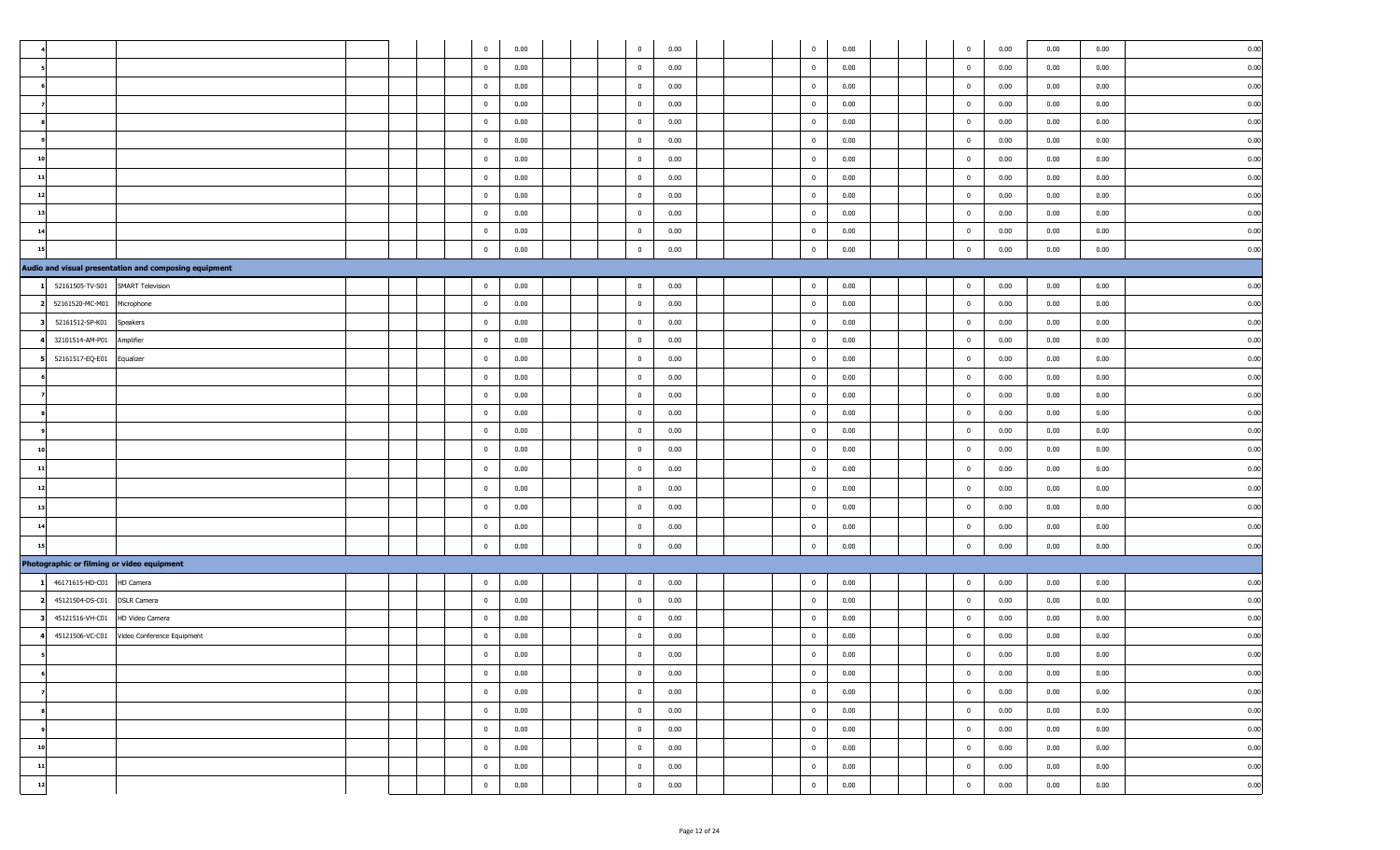|                                            |                                                       |  | $\mathbf 0$             | 0.00 |  | $\overline{0}$ | 0.00 |  | $\overline{\mathbf{0}}$ | 0.00 |  | $\overline{0}$ | 0.00 | 0.00 | 0.00 | 0.00 |
|--------------------------------------------|-------------------------------------------------------|--|-------------------------|------|--|----------------|------|--|-------------------------|------|--|----------------|------|------|------|------|
|                                            |                                                       |  | $\bf{0}$                | 0.00 |  | $\mathbf{0}$   | 0.00 |  | $\overline{0}$          | 0.00 |  | $\overline{0}$ | 0.00 | 0.00 | 0.00 | 0.00 |
|                                            |                                                       |  | $\mathbf{0}$            | 0.00 |  | $\mathbf{0}$   | 0.00 |  | $\overline{\mathbf{0}}$ | 0.00 |  | $\overline{0}$ | 0.00 | 0.00 | 0.00 | 0.00 |
|                                            |                                                       |  | $\bf{0}$                | 0.00 |  | $\mathbf{0}$   | 0.00 |  | $\overline{\mathbf{0}}$ | 0.00 |  | $\bf{0}$       | 0.00 | 0.00 | 0.00 | 0.00 |
|                                            |                                                       |  | $\mathbf 0$             | 0.00 |  | $\mathbf{0}$   | 0.00 |  | $\overline{\mathbf{0}}$ | 0.00 |  | $\overline{0}$ | 0.00 | 0.00 | 0.00 | 0.00 |
|                                            |                                                       |  | $\mathbf{0}$            | 0.00 |  | $\mathbf{0}$   | 0.00 |  | $\overline{\mathbf{0}}$ | 0.00 |  | $\overline{0}$ | 0.00 | 0.00 | 0.00 | 0.00 |
| 10                                         |                                                       |  | $\bf{0}$                | 0.00 |  | $\mathbf{0}$   | 0.00 |  | $\overline{\mathbf{0}}$ | 0.00 |  | $\overline{0}$ | 0.00 | 0.00 | 0.00 | 0.00 |
| 11                                         |                                                       |  | $\mathbf{0}$            | 0.00 |  | $\mathbf{0}$   | 0.00 |  | $\overline{\mathbf{0}}$ | 0.00 |  | $\overline{0}$ | 0.00 | 0.00 | 0.00 | 0.00 |
| 12                                         |                                                       |  | $\mathbf 0$             | 0.00 |  | $\mathbf{0}$   | 0.00 |  | $\overline{\mathbf{0}}$ | 0.00 |  | $\overline{0}$ | 0.00 | 0.00 | 0.00 | 0.00 |
| 13                                         |                                                       |  | $\bf{0}$                | 0.00 |  | $\mathbf{0}$   | 0.00 |  | $\overline{\mathbf{0}}$ | 0.00 |  | $\overline{0}$ | 0.00 | 0.00 | 0.00 | 0.00 |
|                                            |                                                       |  | $\bf{0}$                | 0.00 |  | $\mathbf{0}$   | 0.00 |  | $\overline{0}$          | 0.00 |  | $\overline{0}$ | 0.00 | 0.00 | 0.00 | 0.00 |
| 15                                         |                                                       |  | $\bf{0}$                | 0.00 |  | $\mathbf{0}$   | 0.00 |  | $\overline{\mathbf{0}}$ | 0.00 |  | $\bf{0}$       | 0.00 | 0.00 | 0.00 | 0.00 |
|                                            | Audio and visual presentation and composing equipment |  |                         |      |  |                |      |  |                         |      |  |                |      |      |      |      |
| 52161505-TV-S01                            | <b>SMART Television</b>                               |  | $\bf{0}$                | 0.00 |  | $\mathbf{0}$   | 0.00 |  | $\overline{\mathbf{0}}$ | 0.00 |  | $\overline{0}$ | 0.00 | 0.00 | 0.00 | 0.00 |
| 52161520-MC-M01                            | Microphone                                            |  | $\bf{0}$                | 0.00 |  | $\bf{0}$       | 0.00 |  | $\overline{\mathbf{0}}$ | 0.00 |  | $\bf{0}$       | 0.00 | 0.00 | 0.00 | 0.00 |
| 52161512-SP-K01                            | Speakers                                              |  | $\mathbf 0$             | 0.00 |  | $\mathbf{0}$   | 0.00 |  | $\overline{\mathbf{0}}$ | 0.00 |  | $\overline{0}$ | 0.00 | 0.00 | 0.00 | 0.00 |
| 32101514-AM-P01                            | Amplifier                                             |  | $\mathbf{0}$            | 0.00 |  | $\mathbf{0}$   | 0.00 |  | $\overline{\mathbf{0}}$ | 0.00 |  | $\overline{0}$ | 0.00 | 0.00 | 0.00 | 0.00 |
| 52161517-EQ-E01                            | Equalizer                                             |  | $\bf{0}$                | 0.00 |  | $\mathbf{0}$   | 0.00 |  | $\overline{\mathbf{0}}$ | 0.00 |  | $\bf{0}$       | 0.00 | 0.00 | 0.00 | 0.00 |
|                                            |                                                       |  | $\bf{0}$                | 0.00 |  | $\mathbf{0}$   | 0.00 |  | $\overline{0}$          | 0.00 |  | $\overline{0}$ | 0.00 | 0.00 | 0.00 | 0.00 |
|                                            |                                                       |  | $\mathbf 0$             | 0.00 |  | $\mathbf{0}$   | 0.00 |  | $\overline{\mathbf{0}}$ | 0.00 |  | $\overline{0}$ | 0.00 | 0.00 | 0.00 | 0.00 |
|                                            |                                                       |  | $\mathbf 0$             | 0.00 |  | $\mathbf{0}$   | 0.00 |  | $\overline{\mathbf{0}}$ | 0.00 |  | $\overline{0}$ | 0.00 | 0.00 | 0.00 | 0.00 |
|                                            |                                                       |  | $\mathbf 0$             | 0.00 |  | $\mathbf{0}$   | 0.00 |  | $\overline{0}$          | 0.00 |  | $\bf{0}$       | 0.00 | 0.00 | 0.00 | 0.00 |
|                                            |                                                       |  | $\overline{\mathbf{0}}$ | 0.00 |  | $\mathbf{0}$   | 0.00 |  | $\overline{\mathbf{0}}$ | 0.00 |  | $\bf{0}$       | 0.00 | 0.00 | 0.00 | 0.00 |
|                                            |                                                       |  | $\mathbf{0}$            | 0.00 |  | $\mathbf{0}$   | 0.00 |  | $\overline{\mathbf{0}}$ | 0.00 |  | $\overline{0}$ | 0.00 | 0.00 | 0.00 | 0.00 |
|                                            |                                                       |  | $\bf{0}$                | 0.00 |  | $\mathbf{0}$   | 0.00 |  | $\overline{\mathbf{0}}$ | 0.00 |  | $\overline{0}$ | 0.00 | 0.00 | 0.00 | 0.00 |
|                                            |                                                       |  | $\mathbf 0$             | 0.00 |  | $\mathbf{0}$   | 0.00 |  | $\overline{\mathbf{0}}$ | 0.00 |  | $\overline{0}$ | 0.00 | 0.00 | 0.00 | 0.00 |
| 14                                         |                                                       |  | $\mathbf 0$             | 0.00 |  | $\bf{0}$       | 0.00 |  | $\overline{\mathbf{0}}$ | 0.00 |  | $\overline{0}$ | 0.00 | 0.00 | 0.00 | 0.00 |
|                                            |                                                       |  | $\bf{0}$                | 0.00 |  | $\mathbf{0}$   | 0.00 |  | $\overline{\mathbf{0}}$ | 0.00 |  | $\bf{0}$       | 0.00 | 0.00 | 0.00 | 0.00 |
| Photographic or filming or video equipment |                                                       |  |                         |      |  |                |      |  |                         |      |  |                |      |      |      |      |
| 46171615-HD-C01                            | HD Camera                                             |  | $\bf{0}$                | 0.00 |  | $\mathbf{0}$   | 0.00 |  | $\overline{\mathbf{0}}$ | 0.00 |  | $\mathbf 0$    | 0.00 | 0.00 | 0.00 | 0.00 |
| 45121504-DS-C01                            | <b>DSLR Camera</b>                                    |  | $\bf{0}$                | 0.00 |  | $\mathbf{0}$   | 0.00 |  | $\overline{\mathbf{0}}$ | 0.00 |  | $\overline{0}$ | 0.00 | 0.00 | 0.00 | 0.00 |
| 45121516-VH-C01                            | HD Video Camera                                       |  | $\mathbf{0}$            | 0.00 |  | $\mathbf{0}$   | 0.00 |  | $\overline{\mathbf{0}}$ | 0.00 |  | $\overline{0}$ | 0.00 | 0.00 | 0.00 | 0.00 |
| 45121506-VC-C01                            | Video Conference Equipment                            |  | $\mathbf 0$             | 0.00 |  | $\mathbf{0}$   | 0.00 |  | $\overline{\mathbf{0}}$ | 0.00 |  | $\overline{0}$ | 0.00 | 0.00 | 0.00 | 0.00 |
|                                            |                                                       |  | $\overline{0}$          | 0.00 |  | $\bf{0}$       | 0.00 |  | $\overline{\mathbf{0}}$ | 0.00 |  | $\overline{0}$ | 0.00 | 0.00 | 0.00 | 0.00 |
|                                            |                                                       |  | $\overline{0}$          | 0.00 |  | $\bf{0}$       | 0.00 |  | $\overline{0}$          | 0.00 |  | $\overline{0}$ | 0.00 | 0.00 | 0.00 | 0.00 |
|                                            |                                                       |  | $\overline{0}$          | 0.00 |  | $\bf{0}$       | 0.00 |  | $\overline{0}$          | 0.00 |  | $\overline{0}$ | 0.00 | 0.00 | 0.00 | 0.00 |
|                                            |                                                       |  | $\overline{0}$          | 0.00 |  | $\overline{0}$ | 0.00 |  | $\overline{0}$          | 0.00 |  | $\mathbf{0}$   | 0.00 | 0.00 | 0.00 | 0.00 |
|                                            |                                                       |  | $\mathbf 0$             | 0.00 |  | $\bf{0}$       | 0.00 |  | $\overline{\mathbf{0}}$ | 0.00 |  | $\bf{0}$       | 0.00 | 0.00 | 0.00 | 0.00 |
| 10                                         |                                                       |  | $\overline{0}$          | 0.00 |  | $\mathbf{0}$   | 0.00 |  | $\overline{0}$          | 0.00 |  | $\bf{0}$       | 0.00 | 0.00 | 0.00 | 0.00 |
| 11                                         |                                                       |  | $\mathbf 0$             | 0.00 |  | $\bf{0}$       | 0.00 |  | $\overline{\mathbf{0}}$ | 0.00 |  | $\bf{0}$       | 0.00 | 0.00 | 0.00 | 0.00 |
| 12                                         |                                                       |  | $\bf{0}$                | 0.00 |  | $\overline{0}$ | 0.00 |  | $\bf{0}$                | 0.00 |  | $\bf{0}$       | 0.00 | 0.00 | 0.00 | 0.00 |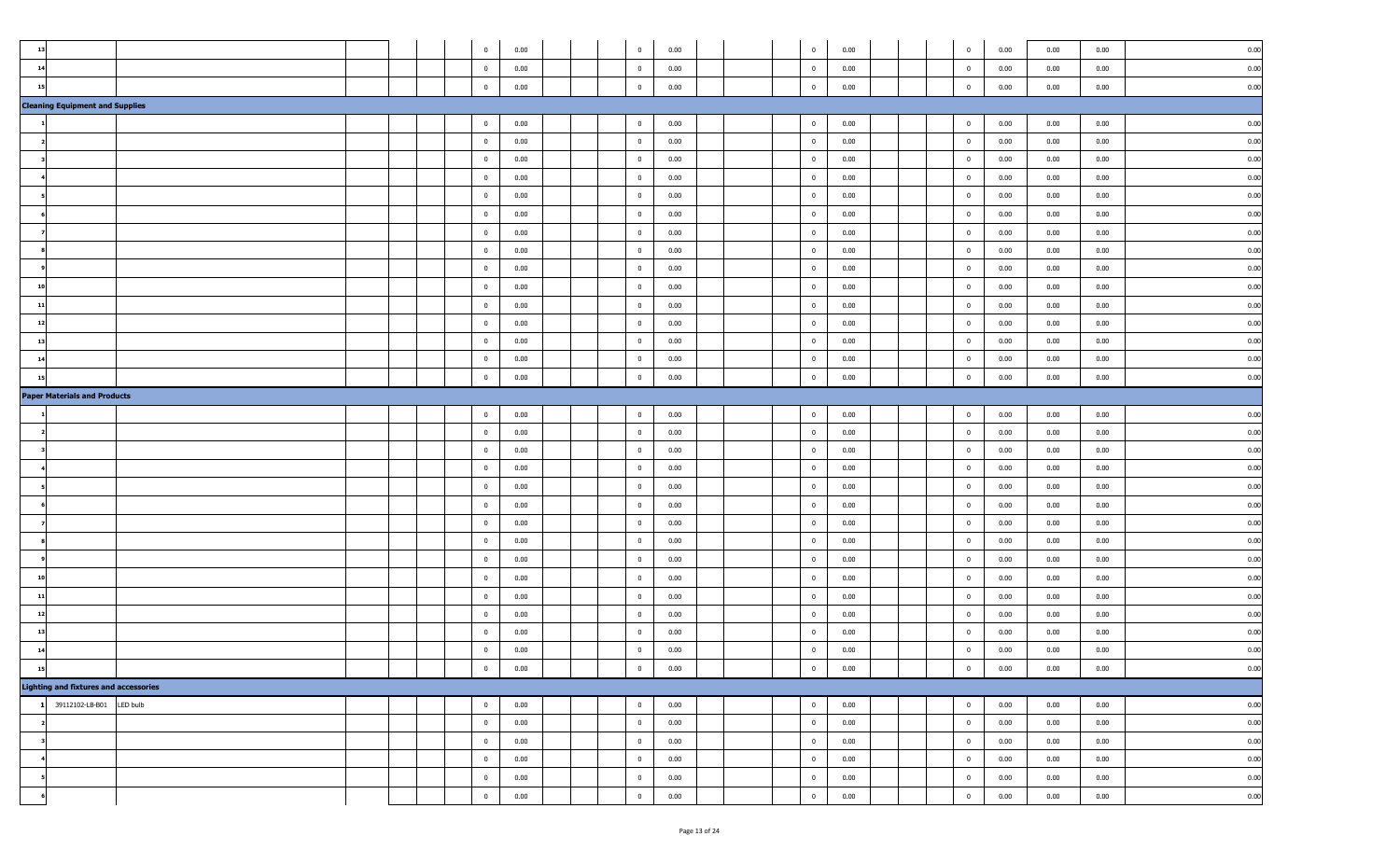| 13                                           |          | $\bf{0}$       | 0.00 | $\overline{\mathbf{0}}$  | 0.00 | $\overline{0}$ | 0.00 | $\mathbf{0}$   | 0.00 | 0.00 | 0.00 | 0.00 |
|----------------------------------------------|----------|----------------|------|--------------------------|------|----------------|------|----------------|------|------|------|------|
| 14                                           |          | $\overline{0}$ | 0.00 | $\overline{\mathbf{0}}$  | 0.00 | $\overline{0}$ | 0.00 | $\bf{0}$       | 0.00 | 0.00 | 0.00 | 0.00 |
| $\mathbf{1}$                                 |          | $\mathbf{0}$   | 0.00 | $\bf{0}$                 | 0.00 | $\overline{0}$ | 0.00 | $\mathbf 0$    | 0.00 | 0.00 | 0.00 | 0.00 |
| <b>Cleaning Equipment and Supplies</b>       |          |                |      |                          |      |                |      |                |      |      |      |      |
|                                              |          | $\overline{0}$ | 0.00 | $\overline{0}$           | 0.00 | $\overline{0}$ | 0.00 | $\bf{0}$       | 0.00 | 0.00 | 0.00 | 0.00 |
|                                              |          | $\mathbf{0}$   | 0.00 | $\overline{0}$           | 0.00 | $\overline{0}$ | 0.00 | $\mathbf{0}$   | 0.00 | 0.00 | 0.00 | 0.00 |
|                                              |          | $\overline{0}$ | 0.00 | $\overline{\phantom{0}}$ | 0.00 | $\overline{0}$ | 0.00 | $\bf{0}$       | 0.00 | 0.00 | 0.00 | 0.00 |
|                                              |          | $\overline{0}$ | 0.00 | $\overline{\mathbf{0}}$  | 0.00 | $\overline{0}$ | 0.00 | $\mathbf{0}$   | 0.00 | 0.00 | 0.00 | 0.00 |
|                                              |          | $\overline{0}$ | 0.00 | $\overline{\mathbf{0}}$  | 0.00 | $\overline{0}$ | 0.00 | $\bf{0}$       | 0.00 | 0.00 | 0.00 | 0.00 |
|                                              |          | $\overline{0}$ | 0.00 | $\overline{\mathbf{0}}$  | 0.00 | $\overline{0}$ | 0.00 | $\overline{0}$ | 0.00 | 0.00 | 0.00 | 0.00 |
|                                              |          | $\overline{0}$ | 0.00 | $\overline{\mathbf{0}}$  | 0.00 | $\overline{0}$ | 0.00 | $\mathbf{0}$   | 0.00 | 0.00 | 0.00 | 0.00 |
|                                              |          | $\bf{0}$       | 0.00 | $\overline{\mathbf{0}}$  | 0.00 | $\overline{0}$ | 0.00 | $\bf{0}$       | 0.00 | 0.00 | 0.00 | 0.00 |
|                                              |          | $\overline{0}$ | 0.00 | $\overline{\mathbf{0}}$  | 0.00 | $\overline{0}$ | 0.00 | $\mathbf{0}$   | 0.00 | 0.00 | 0.00 | 0.00 |
| 10                                           |          | $\overline{0}$ | 0.00 | $\overline{\mathbf{0}}$  | 0.00 | $\overline{0}$ | 0.00 | $\overline{0}$ | 0.00 | 0.00 | 0.00 | 0.00 |
| 11                                           |          | $\overline{0}$ | 0.00 | $\overline{0}$           | 0.00 | $\overline{0}$ | 0.00 | $\bf{0}$       | 0.00 | 0.00 | 0.00 | 0.00 |
| $\overline{1}$                               |          | $\overline{0}$ | 0.00 | $\overline{\mathbf{0}}$  | 0.00 | $\overline{0}$ | 0.00 | $\mathbf{0}$   | 0.00 | 0.00 | 0.00 | 0.00 |
| 13                                           |          | $\mathbf{0}$   |      | $\overline{\mathbf{0}}$  |      | $\overline{0}$ | 0.00 | $\mathbf{0}$   | 0.00 | 0.00 | 0.00 | 0.00 |
|                                              |          |                | 0.00 |                          | 0.00 |                |      |                |      |      |      | 0.00 |
| 14                                           |          | $\overline{0}$ | 0.00 | $\overline{\mathbf{0}}$  | 0.00 | $\overline{0}$ | 0.00 | $\bf{0}$       | 0.00 | 0.00 | 0.00 |      |
| $\mathbf{1}$                                 |          | $\mathbf{0}$   | 0.00 | $\mathbf 0$              | 0.00 | $\overline{0}$ | 0.00 | $\mathbf{0}$   | 0.00 | 0.00 | 0.00 | 0.00 |
| <b>Paper Materials and Products</b>          |          |                |      |                          |      |                |      |                |      |      |      |      |
|                                              |          | $\overline{0}$ | 0.00 | $\overline{0}$           | 0.00 | $\overline{0}$ | 0.00 | $\bf{0}$       | 0.00 | 0.00 | 0.00 | 0.00 |
|                                              |          | $\overline{0}$ | 0.00 | $\overline{\mathbf{0}}$  | 0.00 | $\overline{0}$ | 0.00 | $\overline{0}$ | 0.00 | 0.00 | 0.00 | 0.00 |
|                                              |          | $\overline{0}$ | 0.00 | $\overline{\mathbf{0}}$  | 0.00 | $\overline{0}$ | 0.00 | $\mathbf{0}$   | 0.00 | 0.00 | 0.00 | 0.00 |
|                                              |          | $\overline{0}$ | 0.00 | $\overline{\mathbf{0}}$  | 0.00 | $\overline{0}$ | 0.00 | $\bf{0}$       | 0.00 | 0.00 | 0.00 | 0.00 |
|                                              |          | $\overline{0}$ | 0.00 | $\overline{\mathbf{0}}$  | 0.00 | $\overline{0}$ | 0.00 | $\bf{0}$       | 0.00 | 0.00 | 0.00 | 0.00 |
|                                              |          | $\overline{0}$ | 0.00 | $\overline{0}$           | 0.00 | $\overline{0}$ | 0.00 | $\bf{0}$       | 0.00 | 0.00 | 0.00 | 0.00 |
|                                              |          | $\overline{0}$ | 0.00 | $\overline{\mathbf{0}}$  | 0.00 | $\overline{0}$ | 0.00 | $\bf{0}$       | 0.00 | 0.00 | 0.00 | 0.00 |
|                                              |          | $\mathbf{0}$   | 0.00 | $\overline{\mathbf{0}}$  | 0.00 | $\overline{0}$ | 0.00 | $\mathbf 0$    | 0.00 | 0.00 | 0.00 | 0.00 |
|                                              |          | $\overline{0}$ | 0.00 | $\overline{0}$           | 0.00 | $\overline{0}$ | 0.00 | $\bf{0}$       | 0.00 | 0.00 | 0.00 | 0.00 |
| 10                                           |          | $\overline{0}$ | 0.00 | $\overline{\mathbf{0}}$  | 0.00 | $\overline{0}$ | 0.00 | $\bf{0}$       | 0.00 | 0.00 | 0.00 | 0.00 |
| $\overline{1}$                               |          | $\overline{0}$ | 0.00 | $\bf{0}$                 | 0.00 | $\overline{0}$ | 0.00 | $\bf{0}$       | 0.00 | 0.00 | 0.00 | 0.00 |
| 12                                           |          | $\overline{0}$ | 0.00 | $\overline{\mathbf{0}}$  | 0.00 | $\overline{0}$ | 0.00 | $\overline{0}$ | 0.00 | 0.00 | 0.00 | 0.00 |
| 13                                           |          | $\overline{0}$ | 0.00 | $\overline{\mathbf{0}}$  | 0.00 | $\overline{0}$ | 0.00 | $\bf{0}$       | 0.00 | 0.00 | 0.00 | 0.00 |
| 1 <sub>6</sub>                               |          | $\mathbf{0}$   | 0.00 | $\mathbf 0$              | 0.00 | $\mathbf{0}$   | 0.00 | $\mathbf{0}$   | 0.00 | 0.00 | 0.00 | 0.00 |
| 15                                           |          | $\bf{0}$       | 0.00 | $\overline{0}$           | 0.00 | $\overline{0}$ | 0.00 | $\bf{0}$       | 0.00 | 0.00 | 0.00 | 0.00 |
| <b>Lighting and fixtures and accessories</b> |          |                |      |                          |      |                |      |                |      |      |      |      |
| 39112102-LB-B01                              | LED bulb | $\overline{0}$ | 0.00 | $\overline{0}$           | 0.00 | $\overline{0}$ | 0.00 | $\bf{0}$       | 0.00 | 0.00 | 0.00 | 0.00 |
|                                              |          | $\bf{0}$       | 0.00 | $\overline{0}$           | 0.00 | $\bf{0}$       | 0.00 | $\overline{0}$ | 0.00 | 0.00 | 0.00 | 0.00 |
|                                              |          | $\overline{0}$ | 0.00 | $\overline{\mathbf{0}}$  | 0.00 | $\overline{0}$ | 0.00 | $\bf{0}$       | 0.00 | 0.00 | 0.00 | 0.00 |
|                                              |          | $\mathbf 0$    | 0.00 | $\overline{0}$           | 0.00 | $\bf{0}$       | 0.00 | $\bf{0}$       | 0.00 | 0.00 | 0.00 | 0.00 |
|                                              |          | $\bf{0}$       | 0.00 | $\overline{\mathbf{0}}$  | 0.00 | $\bf{0}$       | 0.00 | $\bf{0}$       | 0.00 | 0.00 | 0.00 | 0.00 |
|                                              |          | $\bf{0}$       | 0.00 | $\overline{0}$           | 0.00 | $\bf{0}$       | 0.00 | $\bf{0}$       | 0.00 | 0.00 | 0.00 | 0.00 |
|                                              |          |                |      |                          |      |                |      |                |      |      |      |      |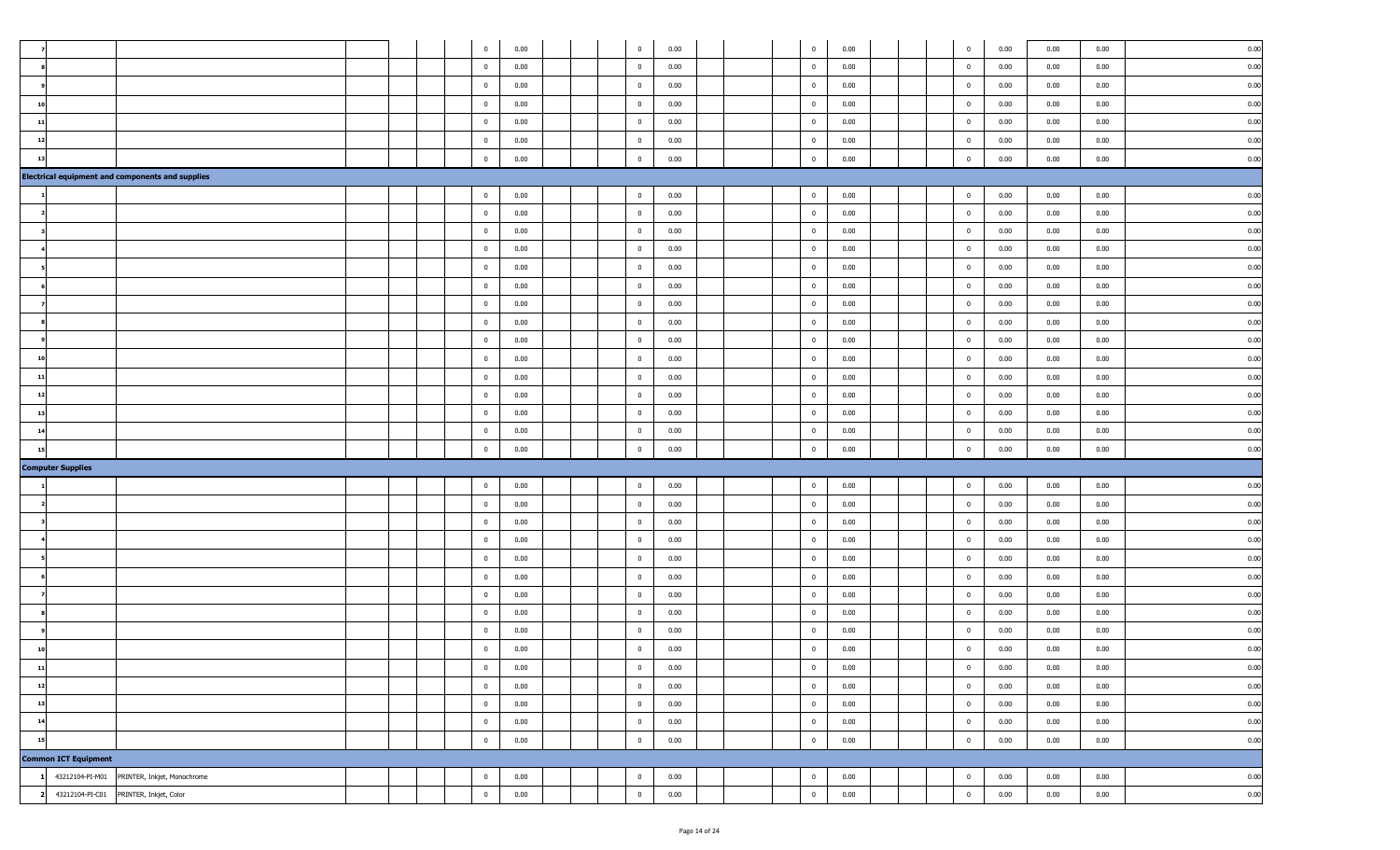|                             |                                                         |  | $\bf{0}$       | 0.00 |  | $\overline{0}$          | 0.00 |  | $\overline{0}$          | 0.00 |  | $\mathbf 0$    | 0.00 | 0.00 | 0.00 | 0.00 |
|-----------------------------|---------------------------------------------------------|--|----------------|------|--|-------------------------|------|--|-------------------------|------|--|----------------|------|------|------|------|
|                             |                                                         |  | $\overline{0}$ | 0.00 |  | $\overline{0}$          | 0.00 |  | $\overline{\mathbf{0}}$ | 0.00 |  | $\overline{0}$ | 0.00 | 0.00 | 0.00 | 0.00 |
|                             |                                                         |  |                |      |  |                         |      |  |                         |      |  |                |      |      |      |      |
|                             |                                                         |  | $\overline{0}$ | 0.00 |  | $\overline{0}$          | 0.00 |  | $\overline{\mathbf{0}}$ | 0.00 |  | $\overline{0}$ | 0.00 | 0.00 | 0.00 | 0.00 |
| 10                          |                                                         |  | $\overline{0}$ | 0.00 |  | $\overline{\mathbf{0}}$ | 0.00 |  | $\overline{\mathbf{0}}$ | 0.00 |  | $\mathbf{0}$   | 0.00 | 0.00 | 0.00 | 0.00 |
| 11                          |                                                         |  | $\overline{0}$ | 0.00 |  | $\overline{\mathbf{0}}$ | 0.00 |  | $\overline{\mathbf{0}}$ | 0.00 |  | $\overline{0}$ | 0.00 | 0.00 | 0.00 | 0.00 |
| 12                          |                                                         |  | $\overline{0}$ | 0.00 |  | $\overline{\mathbf{0}}$ | 0.00 |  | $\overline{\mathbf{0}}$ | 0.00 |  | $\overline{0}$ | 0.00 | 0.00 | 0.00 | 0.00 |
| -13                         |                                                         |  | $\overline{0}$ | 0.00 |  | $\mathbf{0}$            | 0.00 |  | $\overline{\mathbf{0}}$ | 0.00 |  | $\mathbf 0$    | 0.00 | 0.00 | 0.00 | 0.00 |
|                             | <b>Electrical equipment and components and supplies</b> |  |                |      |  |                         |      |  |                         |      |  |                |      |      |      |      |
|                             |                                                         |  | $\overline{0}$ | 0.00 |  | $\overline{0}$          | 0.00 |  | $\overline{\mathbf{0}}$ | 0.00 |  | $\overline{0}$ | 0.00 | 0.00 | 0.00 | 0.00 |
|                             |                                                         |  | $\bf{0}$       | 0.00 |  | $\overline{\mathbf{0}}$ | 0.00 |  | $\overline{\mathbf{0}}$ | 0.00 |  | $\bf{0}$       | 0.00 | 0.00 | 0.00 | 0.00 |
|                             |                                                         |  | $\overline{0}$ | 0.00 |  | $\overline{\mathbf{0}}$ | 0.00 |  | $\overline{\mathbf{0}}$ | 0.00 |  | $\overline{0}$ | 0.00 | 0.00 | 0.00 | 0.00 |
|                             |                                                         |  | $\overline{0}$ | 0.00 |  | $\overline{0}$          | 0.00 |  | $\overline{\mathbf{0}}$ | 0.00 |  | $\overline{0}$ | 0.00 | 0.00 | 0.00 | 0.00 |
|                             |                                                         |  | $\bf{0}$       | 0.00 |  | $\overline{\mathbf{0}}$ | 0.00 |  | $\overline{\mathbf{0}}$ | 0.00 |  | $\bf{0}$       | 0.00 | 0.00 | 0.00 | 0.00 |
|                             |                                                         |  | $\overline{0}$ | 0.00 |  | $\overline{0}$          | 0.00 |  | $\overline{\mathbf{0}}$ | 0.00 |  | $\bf{0}$       | 0.00 | 0.00 | 0.00 | 0.00 |
|                             |                                                         |  | $\overline{0}$ | 0.00 |  | $\overline{0}$          | 0.00 |  | $\overline{\mathbf{0}}$ | 0.00 |  | $\overline{0}$ | 0.00 | 0.00 | 0.00 | 0.00 |
|                             |                                                         |  |                |      |  |                         |      |  |                         |      |  |                |      |      |      |      |
|                             |                                                         |  | $\overline{0}$ | 0.00 |  | $\overline{\mathbf{0}}$ | 0.00 |  | $\overline{\mathbf{0}}$ | 0.00 |  | $\bf{0}$       | 0.00 | 0.00 | 0.00 | 0.00 |
|                             |                                                         |  | $\overline{0}$ | 0.00 |  | $\overline{0}$          | 0.00 |  | $\overline{\mathbf{0}}$ | 0.00 |  | $\overline{0}$ | 0.00 | 0.00 | 0.00 | 0.00 |
|                             |                                                         |  | $\overline{0}$ | 0.00 |  | $\overline{0}$          | 0.00 |  | $\overline{\mathbf{0}}$ | 0.00 |  | $\bf{0}$       | 0.00 | 0.00 | 0.00 | 0.00 |
| 11                          |                                                         |  | $\overline{0}$ | 0.00 |  | $\overline{0}$          | 0.00 |  | $\overline{\mathbf{0}}$ | 0.00 |  | $\overline{0}$ | 0.00 | 0.00 | 0.00 | 0.00 |
| -12                         |                                                         |  | $\overline{0}$ | 0.00 |  | $\overline{0}$          | 0.00 |  | $\overline{\mathbf{0}}$ | 0.00 |  | $\overline{0}$ | 0.00 | 0.00 | 0.00 | 0.00 |
| 13                          |                                                         |  | $\bf{0}$       | 0.00 |  | $\overline{\mathbf{0}}$ | 0.00 |  | $\overline{\mathbf{0}}$ | 0.00 |  | $\mathbf 0$    | 0.00 | 0.00 | 0.00 | 0.00 |
| 14                          |                                                         |  | $\overline{0}$ | 0.00 |  | $\overline{\mathbf{0}}$ | 0.00 |  | $\overline{\mathbf{0}}$ | 0.00 |  | $\overline{0}$ | 0.00 | 0.00 | 0.00 | 0.00 |
| -15                         |                                                         |  | $\overline{0}$ | 0.00 |  | $\overline{\mathbf{0}}$ | 0.00 |  | $\overline{\mathbf{0}}$ | 0.00 |  | $\mathbf 0$    | 0.00 | 0.00 | 0.00 | 0.00 |
| <b>Computer Supplies</b>    |                                                         |  |                |      |  |                         |      |  |                         |      |  |                |      |      |      |      |
|                             |                                                         |  | $\bf{0}$       | 0.00 |  | $\bf{0}$                | 0.00 |  | $\overline{\mathbf{0}}$ | 0.00 |  | $\overline{0}$ | 0.00 | 0.00 | 0.00 | 0.00 |
|                             |                                                         |  | $\overline{0}$ | 0.00 |  | $\overline{0}$          | 0.00 |  | $\overline{\mathbf{0}}$ | 0.00 |  | $\overline{0}$ | 0.00 | 0.00 | 0.00 | 0.00 |
|                             |                                                         |  | $\overline{0}$ | 0.00 |  | $\overline{\mathbf{0}}$ | 0.00 |  | $\overline{\mathbf{0}}$ | 0.00 |  | $\overline{0}$ | 0.00 | 0.00 | 0.00 | 0.00 |
|                             |                                                         |  | $\overline{0}$ | 0.00 |  | $\overline{\mathbf{0}}$ | 0.00 |  | $\overline{\mathbf{0}}$ | 0.00 |  | $\overline{0}$ | 0.00 | 0.00 | 0.00 | 0.00 |
|                             |                                                         |  | $\overline{0}$ | 0.00 |  | $\overline{\mathbf{0}}$ | 0.00 |  | $\overline{\mathbf{0}}$ | 0.00 |  | $\overline{0}$ | 0.00 | 0.00 | 0.00 | 0.00 |
|                             |                                                         |  | $\overline{0}$ | 0.00 |  | $\overline{0}$          | 0.00 |  | $\overline{\mathbf{0}}$ | 0.00 |  | $\overline{0}$ | 0.00 | 0.00 | 0.00 | 0.00 |
|                             |                                                         |  |                |      |  |                         |      |  |                         |      |  |                |      |      |      |      |
|                             |                                                         |  | $\overline{0}$ | 0.00 |  | $\overline{0}$          | 0.00 |  | $\overline{\mathbf{0}}$ | 0.00 |  | $\overline{0}$ | 0.00 | 0.00 | 0.00 | 0.00 |
|                             |                                                         |  | $\overline{0}$ | 0.00 |  | $\overline{\mathbf{0}}$ | 0.00 |  | $\overline{\mathbf{0}}$ | 0.00 |  | $\overline{0}$ | 0.00 | 0.00 | 0.00 | 0.00 |
|                             |                                                         |  | $\overline{0}$ | 0.00 |  | $\overline{\mathbf{0}}$ | 0.00 |  | $\overline{\mathbf{0}}$ | 0.00 |  | $\overline{0}$ | 0.00 | 0.00 | 0.00 | 0.00 |
|                             |                                                         |  | $\overline{0}$ | 0.00 |  | $\bf{0}$                | 0.00 |  | $\overline{\mathbf{0}}$ | 0.00 |  | $\mathbf 0$    | 0.00 | 0.00 | 0.00 | 0.00 |
| 11                          |                                                         |  | $\mathbf{0}$   | 0.00 |  | $\overline{\mathbf{0}}$ | 0.00 |  | $\overline{\mathbf{0}}$ | 0.00 |  | $\mathbf 0$    | 0.00 | 0.00 | 0.00 | 0.00 |
| 12                          |                                                         |  | $\mathbf 0$    | 0.00 |  | $\overline{0}$          | 0.00 |  | $\overline{\mathbf{0}}$ | 0.00 |  | $\overline{0}$ | 0.00 | 0.00 | 0.00 | 0.00 |
| 13                          |                                                         |  | $\overline{0}$ | 0.00 |  | $\overline{0}$          | 0.00 |  | $\overline{\mathbf{0}}$ | 0.00 |  | $\overline{0}$ | 0.00 | 0.00 | 0.00 | 0.00 |
| 14                          |                                                         |  | $\bf{0}$       | 0.00 |  | $\overline{\mathbf{0}}$ | 0.00 |  | $\overline{\mathbf{0}}$ | 0.00 |  | $\bf{0}$       | 0.00 | 0.00 | 0.00 | 0.00 |
| 15                          |                                                         |  | $\mathbf{0}$   | 0.00 |  | $\overline{0}$          | 0.00 |  | $\mathbf 0$             | 0.00 |  | $\mathbf{0}$   | 0.00 | 0.00 | 0.00 | 0.00 |
| <b>Common ICT Equipment</b> |                                                         |  |                |      |  |                         |      |  |                         |      |  |                |      |      |      |      |
| 43212104-PI-M01             | PRINTER, Inkjet, Monochrome                             |  | $\overline{0}$ | 0.00 |  | $\overline{0}$          | 0.00 |  | $\overline{\mathbf{0}}$ | 0.00 |  | $\mathbf{0}$   | 0.00 | 0.00 | 0.00 | 0.00 |
|                             | 43212104-PI-C01 PRINTER, Inkjet, Color                  |  | $\mathbf{0}$   | 0.00 |  | $\overline{0}$          | 0.00 |  | $\,$ 0                  | 0.00 |  | $\mathbf{0}$   | 0.00 | 0.00 | 0.00 | 0.00 |
|                             |                                                         |  |                |      |  |                         |      |  |                         |      |  |                |      |      |      |      |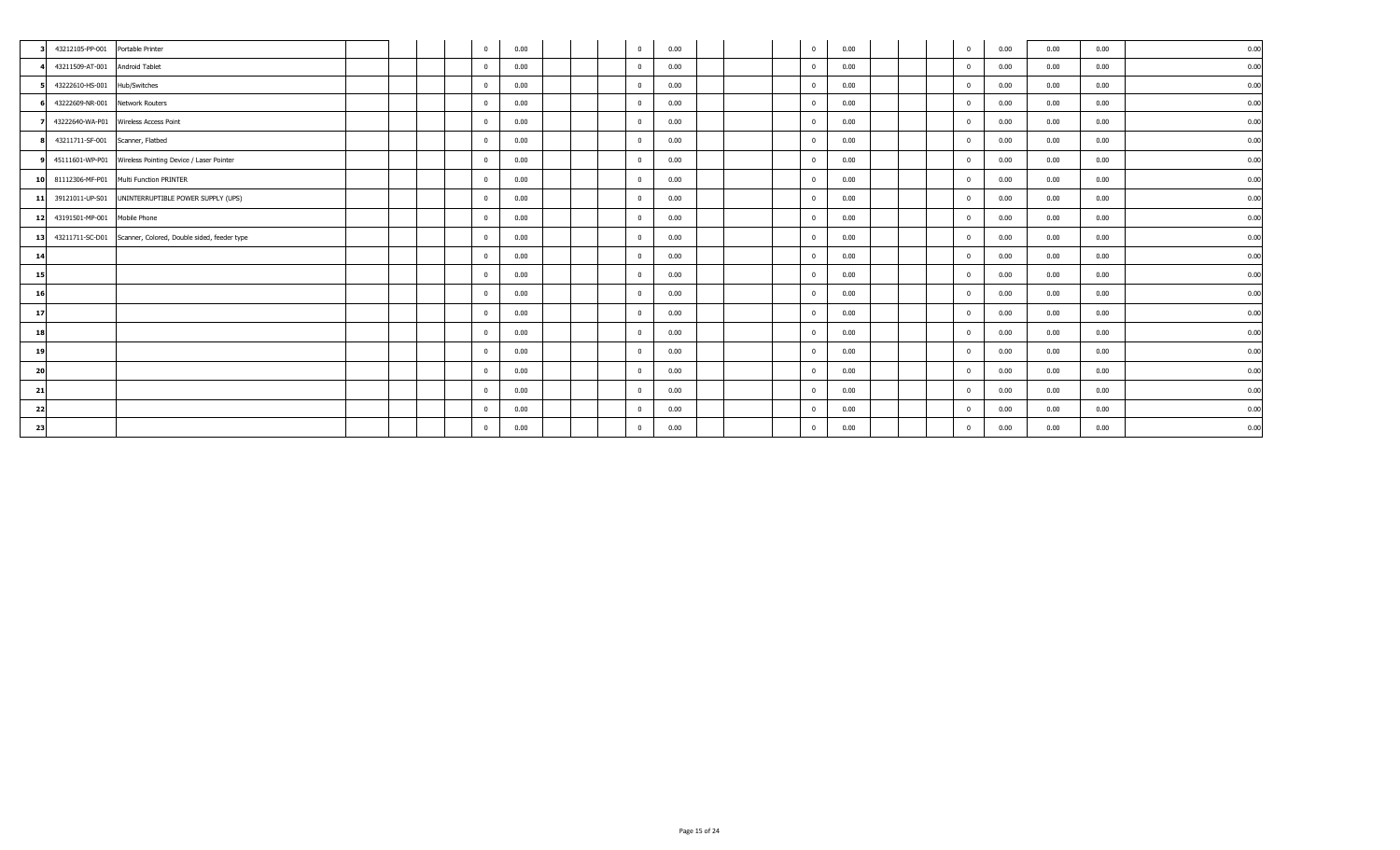|                 | 43212105-PP-001 Portable Printer |                                                             |  | $\overline{0}$ | 0.00 |  | $\overline{0}$ | 0.00 |  | $\overline{\mathbf{0}}$ | 0.00 | $\mathbf{0}$            | 0.00 | 0.00 | 0.00 | 0.00 |
|-----------------|----------------------------------|-------------------------------------------------------------|--|----------------|------|--|----------------|------|--|-------------------------|------|-------------------------|------|------|------|------|
|                 | 43211509-AT-001 Android Tablet   |                                                             |  | $\mathbf{0}$   | 0.00 |  | $\Omega$       | 0.00 |  | $\Omega$                | 0.00 | $\Omega$                | 0.00 | 0.00 | 0.00 | 0.00 |
|                 | 43222610-HS-001 Hub/Switches     |                                                             |  | $\mathbf{0}$   | 0.00 |  | $\mathbf{0}$   | 0.00 |  | $\overline{\mathbf{0}}$ | 0.00 | $\mathbf 0$             | 0.00 | 0.00 | 0.00 | 0.00 |
|                 | 43222609-NR-001 Network Routers  |                                                             |  | $\mathbf 0$    | 0.00 |  | $\mathbf 0$    | 0.00 |  | $\overline{0}$          | 0.00 | $\mathbf 0$             | 0.00 | 0.00 | 0.00 | 0.00 |
|                 |                                  | 43222640-WA-P01 Wireless Access Point                       |  | $\mathbf 0$    | 0.00 |  | $\mathbf{0}$   | 0.00 |  | $\overline{\mathbf{0}}$ | 0.00 | $^{\circ}$              | 0.00 | 0.00 | 0.00 | 0.00 |
|                 | 43211711-SF-001 Scanner, Flatbed |                                                             |  | $\mathbf{0}$   | 0.00 |  | $\mathbf{0}$   | 0.00 |  | $\overline{0}$          | 0.00 | $\Omega$                | 0.00 | 0.00 | 0.00 | 0.00 |
|                 |                                  | 9 45111601-WP-P01 Wireless Pointing Device / Laser Pointer  |  | $\mathbf 0$    | 0.00 |  | $\mathbf{0}$   | 0.00 |  | $\overline{0}$          | 0.00 | $\overline{\mathbf{0}}$ | 0.00 | 0.00 | 0.00 | 0.00 |
|                 |                                  | 10 81112306-MF-P01 Multi Function PRINTER                   |  | $\mathbf{0}$   | 0.00 |  | $\overline{0}$ | 0.00 |  | $\overline{0}$          | 0.00 | $\overline{0}$          | 0.00 | 0.00 | 0.00 | 0.00 |
| $11$            |                                  | 39121011-UP-S01 UNINTERRUPTIBLE POWER SUPPLY (UPS)          |  | $\mathbf 0$    | 0.00 |  | $\mathbf 0$    | 0.00 |  | $\overline{\mathbf{0}}$ | 0.00 | $^{\circ}$              | 0.00 | 0.00 | 0.00 | 0.00 |
|                 | 12 43191501-MP-001 Mobile Phone  |                                                             |  | $\mathbf 0$    | 0.00 |  | $\overline{0}$ | 0.00 |  | $\overline{0}$          | 0.00 | $\mathbf{0}$            | 0.00 | 0.00 | 0.00 | 0.00 |
| 13 <sup>1</sup> |                                  | 43211711-SC-D01 Scanner, Colored, Double sided, feeder type |  | $\mathbf{0}$   | 0.00 |  | $\Omega$       | 0.00 |  | $\overline{0}$          | 0.00 | $\Omega$                | 0.00 | 0.00 | 0.00 | 0.00 |
| 14              |                                  |                                                             |  | $\mathbf{0}$   | 0.00 |  | $\mathbf{0}$   | 0.00 |  | $\overline{0}$          | 0.00 | $\overline{0}$          | 0.00 | 0.00 | 0.00 | 0.00 |
| 15              |                                  |                                                             |  | $\mathbf{0}$   | 0.00 |  | $\Omega$       | 0.00 |  | $\overline{0}$          | 0.00 | $^{\circ}$              | 0.00 | 0.00 | 0.00 | 0.00 |
| 16              |                                  |                                                             |  | $\mathbf 0$    | 0.00 |  | $\mathbf{0}$   | 0.00 |  | $\overline{\mathbf{0}}$ | 0.00 | $\overline{\mathbf{0}}$ | 0.00 | 0.00 | 0.00 | 0.00 |
| 17              |                                  |                                                             |  | $\mathbf{0}$   | 0.00 |  | $\overline{0}$ | 0.00 |  | $\overline{0}$          | 0.00 | $\Omega$                | 0.00 | 0.00 | 0.00 | 0.00 |
| 18              |                                  |                                                             |  | $\mathbf 0$    | 0.00 |  | $\mathbf{0}$   | 0.00 |  | $\overline{\mathbf{0}}$ | 0.00 | $\Omega$                | 0.00 | 0.00 | 0.00 | 0.00 |
| 19              |                                  |                                                             |  | $\mathbf 0$    | 0.00 |  | $\mathbf{0}$   | 0.00 |  | $\overline{0}$          | 0.00 | $^{\circ}$              | 0.00 | 0.00 | 0.00 | 0.00 |
| <b>20</b>       |                                  |                                                             |  | $\mathbf{0}$   | 0.00 |  | $\Omega$       | 0.00 |  | $\Omega$                | 0.00 | $\mathbf{0}$            | 0.00 | 0.00 | 0.00 | 0.00 |
| 21              |                                  |                                                             |  | $\mathbf{0}$   | 0.00 |  | $\mathbf{0}$   | 0.00 |  | $\overline{\mathbf{0}}$ | 0.00 | $\overline{\mathbf{0}}$ | 0.00 | 0.00 | 0.00 | 0.00 |
| 22              |                                  |                                                             |  | $\mathbf{0}$   | 0.00 |  | $\Omega$       | 0.00 |  | $\overline{\mathbf{0}}$ | 0.00 | $\Omega$                | 0.00 | 0.00 | 0.00 | 0.00 |
| 23              |                                  |                                                             |  | $\mathbf{0}$   | 0.00 |  | $\mathbf{0}$   | 0.00 |  | $\overline{0}$          | 0.00 | $\Omega$                | 0.00 | 0.00 | 0.00 | 0.00 |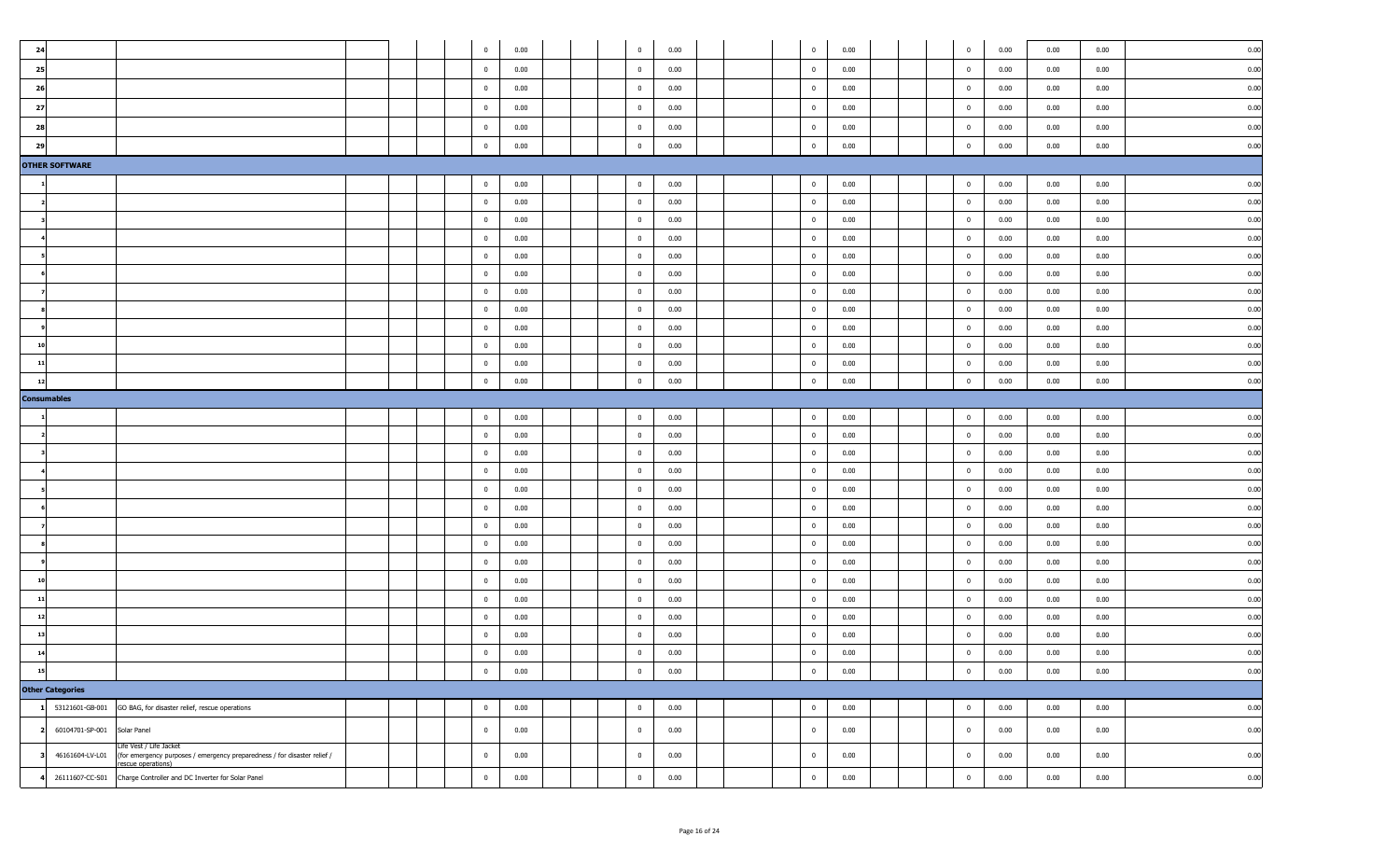| 24       |                         |                                                                                                                           |  |  | $\overline{0}$                 | 0.00         | $\overline{0}$                   | 0.00         |  | $\overline{0}$                                     | 0.00         |  | $\overline{0}$                | 0.00         | 0.00         | 0.00         | 0.00         |
|----------|-------------------------|---------------------------------------------------------------------------------------------------------------------------|--|--|--------------------------------|--------------|----------------------------------|--------------|--|----------------------------------------------------|--------------|--|-------------------------------|--------------|--------------|--------------|--------------|
| 25       |                         |                                                                                                                           |  |  | $\bf{0}$                       | 0.00         | $\overline{\mathbf{0}}$          | 0.00         |  | $\overline{\mathbf{0}}$                            | 0.00         |  | $\bf{0}$                      | 0.00         | 0.00         | 0.00         | 0.00         |
| 26       |                         |                                                                                                                           |  |  | $\overline{0}$                 | 0.00         | $\overline{0}$                   | 0.00         |  | $\overline{0}$                                     | 0.00         |  | $\overline{0}$                | 0.00         | 0.00         | 0.00         | 0.00         |
| 27       |                         |                                                                                                                           |  |  | $\overline{0}$                 | 0.00         | $\overline{0}$                   | 0.00         |  | $\overline{0}$                                     | 0.00         |  | $\overline{0}$                | 0.00         | 0.00         | 0.00         | 0.00         |
| 28       |                         |                                                                                                                           |  |  | $\bf{0}$                       | 0.00         | $\overline{\mathbf{0}}$          | 0.00         |  | $\overline{\mathbf{0}}$                            | 0.00         |  | $\bf{0}$                      | 0.00         | 0.00         | 0.00         | 0.00         |
| 29       |                         |                                                                                                                           |  |  | $\mathbf{0}$                   | 0.00         | $\overline{0}$                   | 0.00         |  | $\overline{\mathbf{0}}$                            | 0.00         |  | $\overline{0}$                | 0.00         | 0.00         | 0.00         | 0.00         |
|          | <b>OTHER SOFTWARE</b>   |                                                                                                                           |  |  |                                |              |                                  |              |  |                                                    |              |  |                               |              |              |              |              |
|          |                         |                                                                                                                           |  |  | $\overline{0}$                 | 0.00         | $\overline{0}$                   | 0.00         |  | $\overline{0}$                                     | 0.00         |  | $\overline{0}$                | 0.00         | 0.00         | 0.00         | 0.00         |
|          |                         |                                                                                                                           |  |  | $\overline{\mathbf{0}}$        | 0.00         | $\overline{\mathbf{0}}$          | 0.00         |  | $\overline{\mathbf{0}}$                            | 0.00         |  | $\overline{0}$                | 0.00         | 0.00         | 0.00         | 0.00         |
|          |                         |                                                                                                                           |  |  | $\overline{0}$                 | 0.00         | $\overline{0}$                   | 0.00         |  | $\overline{0}$                                     | 0.00         |  | $\overline{0}$                | 0.00         | 0.00         | 0.00         | 0.00         |
|          |                         |                                                                                                                           |  |  | $\overline{0}$                 | 0.00         | $\overline{\mathbf{0}}$          | 0.00         |  | $\overline{\mathbf{0}}$                            | 0.00         |  | $\overline{0}$                | 0.00         | 0.00         | 0.00         | 0.00         |
|          |                         |                                                                                                                           |  |  | $\bf{0}$                       | 0.00         | $\overline{\mathbf{0}}$          | 0.00         |  | $\overline{\mathbf{0}}$                            | 0.00         |  | $\bf{0}$                      | 0.00         | 0.00         | 0.00         | 0.00         |
|          |                         |                                                                                                                           |  |  | $\overline{\mathbf{0}}$        | 0.00         | $\overline{\mathbf{0}}$          | 0.00         |  | $\overline{0}$                                     | 0.00         |  | $\overline{0}$                | 0.00         | 0.00         | 0.00         | 0.00         |
|          |                         |                                                                                                                           |  |  | $\overline{0}$                 | 0.00         | $\overline{0}$                   | 0.00         |  | $\overline{0}$                                     | 0.00         |  | $\overline{0}$                | 0.00         | 0.00         | 0.00         | 0.00         |
|          |                         |                                                                                                                           |  |  | $\overline{0}$                 | 0.00         | $\overline{0}$                   | 0.00         |  | $\overline{\mathbf{0}}$                            | 0.00         |  | $\overline{0}$                | 0.00         | 0.00         | 0.00         | 0.00         |
|          |                         |                                                                                                                           |  |  | $\overline{0}$                 | 0.00         | $\overline{0}$                   | 0.00         |  | $\overline{\mathbf{0}}$                            | 0.00         |  | $\overline{0}$                | 0.00         | 0.00         | 0.00         | 0.00         |
| 10       |                         |                                                                                                                           |  |  | $\overline{0}$                 | 0.00         | $\overline{0}$                   | 0.00         |  | $\overline{0}$                                     | 0.00         |  | $\overline{0}$                | 0.00         | 0.00         | 0.00         | 0.00         |
| $_{11}$  |                         |                                                                                                                           |  |  | $\overline{0}$                 | 0.00         | $\overline{0}$                   | 0.00         |  | $\overline{\mathbf{0}}$                            | 0.00         |  | $\mathbf 0$                   | 0.00         | 0.00         | 0.00         | 0.00         |
| 12       |                         |                                                                                                                           |  |  | $\bf{0}$                       | 0.00         | $\overline{0}$                   | 0.00         |  | $\overline{\mathbf{0}}$                            | 0.00         |  | $\bf{0}$                      | 0.00         | 0.00         | 0.00         | 0.00         |
|          | <b>Consumables</b>      |                                                                                                                           |  |  |                                |              |                                  |              |  |                                                    |              |  |                               |              |              |              |              |
|          |                         |                                                                                                                           |  |  | $\overline{0}$                 | 0.00         | $\overline{0}$                   | 0.00         |  | $\overline{0}$                                     | 0.00         |  | $\overline{0}$                | 0.00         | 0.00         | 0.00         | 0.00         |
|          |                         |                                                                                                                           |  |  | $\overline{0}$                 | 0.00         | $\overline{0}$                   | 0.00         |  | $\overline{\mathbf{0}}$                            | 0.00         |  | $\overline{0}$                | 0.00         | 0.00         | 0.00         | 0.00         |
|          |                         |                                                                                                                           |  |  | $\overline{\mathbf{0}}$        | 0.00         | $\overline{\mathbf{0}}$          | 0.00         |  | $\overline{\mathbf{0}}$                            | 0.00         |  | $\overline{0}$                | 0.00         | 0.00         | 0.00         | 0.00         |
|          |                         |                                                                                                                           |  |  | $\overline{0}$                 | 0.00         | $\overline{0}$                   | 0.00         |  | $\overline{0}$                                     | 0.00         |  | $\overline{0}$                | 0.00         | 0.00         | 0.00         | 0.00         |
|          |                         |                                                                                                                           |  |  | $\bf{0}$                       | 0.00         | $\overline{\mathbf{0}}$          | 0.00         |  | $\overline{\mathbf{0}}$                            | 0.00         |  | $\bf{0}$                      | 0.00         | 0.00         | 0.00         | 0.00         |
|          |                         |                                                                                                                           |  |  | $\overline{0}$                 | 0.00         | $\overline{0}$                   | 0.00         |  | $\overline{0}$                                     | 0.00         |  | $\bf{0}$                      | 0.00         | 0.00         | 0.00         | 0.00         |
|          |                         |                                                                                                                           |  |  | $\overline{0}$                 | 0.00         | $\overline{0}$                   | 0.00         |  | $\overline{\mathbf{0}}$                            | 0.00         |  | $\overline{0}$                | 0.00         | 0.00         | 0.00         | 0.00         |
|          |                         |                                                                                                                           |  |  | $\bf{0}$                       | 0.00         | $\overline{\mathbf{0}}$          | 0.00         |  | $\overline{\mathbf{0}}$                            | 0.00         |  | $\bf{0}$                      | 0.00         | 0.00         | 0.00         | 0.00         |
|          |                         |                                                                                                                           |  |  | $\overline{0}$                 | 0.00         | $\overline{0}$                   | 0.00         |  | $\overline{0}$                                     | 0.00         |  | $\overline{0}$                | 0.00         | 0.00         | 0.00         | 0.00         |
| 10       |                         |                                                                                                                           |  |  | $\bf{0}$                       | 0.00         | $\overline{0}$                   | 0.00         |  | $\overline{0}$                                     | 0.00         |  | $\mathbf 0$                   | 0.00         | 0.00         | 0.00         | 0.00         |
| 11<br>12 |                         |                                                                                                                           |  |  | $\overline{0}$                 | 0.00         | $\overline{0}$                   | 0.00         |  | $\overline{0}$                                     | 0.00         |  | $\overline{0}$                | 0.00         | 0.00         | 0.00         | 0.00         |
|          |                         |                                                                                                                           |  |  | $\overline{0}$<br>$\mathbf{0}$ | 0.00         | $\overline{0}$<br>$\overline{0}$ | 0.00         |  | $\overline{\mathbf{0}}$<br>$\overline{\mathbf{0}}$ | 0.00         |  | $\overline{0}$                | 0.00         | 0.00         | 0.00         | 0.00         |
| 13       |                         |                                                                                                                           |  |  | $\mathbf 0$                    | 0.00<br>0.00 | $\overline{0}$                   | 0.00<br>0.00 |  | $\mathbf 0$                                        | 0.00<br>0.00 |  | $\overline{0}$<br>$\mathbf 0$ | 0.00<br>0.00 | 0.00<br>0.00 | 0.00<br>0.00 | 0.00<br>0.00 |
| 15       |                         |                                                                                                                           |  |  | $\mathbf 0$                    | 0.00         | $\overline{0}$                   | 0.00         |  | $\overline{0}$                                     | 0.00         |  | $\mathbf 0$                   | 0.00         | 0.00         | 0.00         | 0.00         |
|          | <b>Other Categories</b> |                                                                                                                           |  |  |                                |              |                                  |              |  |                                                    |              |  |                               |              |              |              |              |
|          | 53121601-GB-001         | GO BAG, for disaster relief, rescue operations                                                                            |  |  | $\overline{0}$                 | 0.00         | $\overline{0}$                   | 0.00         |  | $\overline{0}$                                     | 0.00         |  | $\overline{0}$                | 0.00         | 0.00         | 0.00         | 0.00         |
|          |                         |                                                                                                                           |  |  |                                |              |                                  |              |  |                                                    |              |  |                               |              |              |              |              |
|          | 60104701-SP-001         | Solar Panel                                                                                                               |  |  | $\overline{0}$                 | 0.00         | $\overline{0}$                   | 0.00         |  | $\mathbf 0$                                        | 0.00         |  | $\pmb{0}$                     | 0.00         | 0.00         | 0.00         | 0.00         |
|          | 46161604-LV-L01         | Life Vest / Life Jacket<br>(for emergency purposes / emergency preparedness / for disaster relief /<br>rescue operations) |  |  | $\mathbf 0$                    | 0.00         | $\mathbf 0$                      | 0.00         |  | $\overline{0}$                                     | 0.00         |  | $\pmb{0}$                     | 0.00         | 0.00         | 0.00         | 0.00         |
|          | 26111607-CC-S01         | Charge Controller and DC Inverter for Solar Panel                                                                         |  |  | $\overline{0}$                 | 0.00         | $\overline{0}$                   | 0.00         |  | $\overline{\mathbf{0}}$                            | 0.00         |  | $\mathbf 0$                   | 0.00         | 0.00         | 0.00         | 0.00         |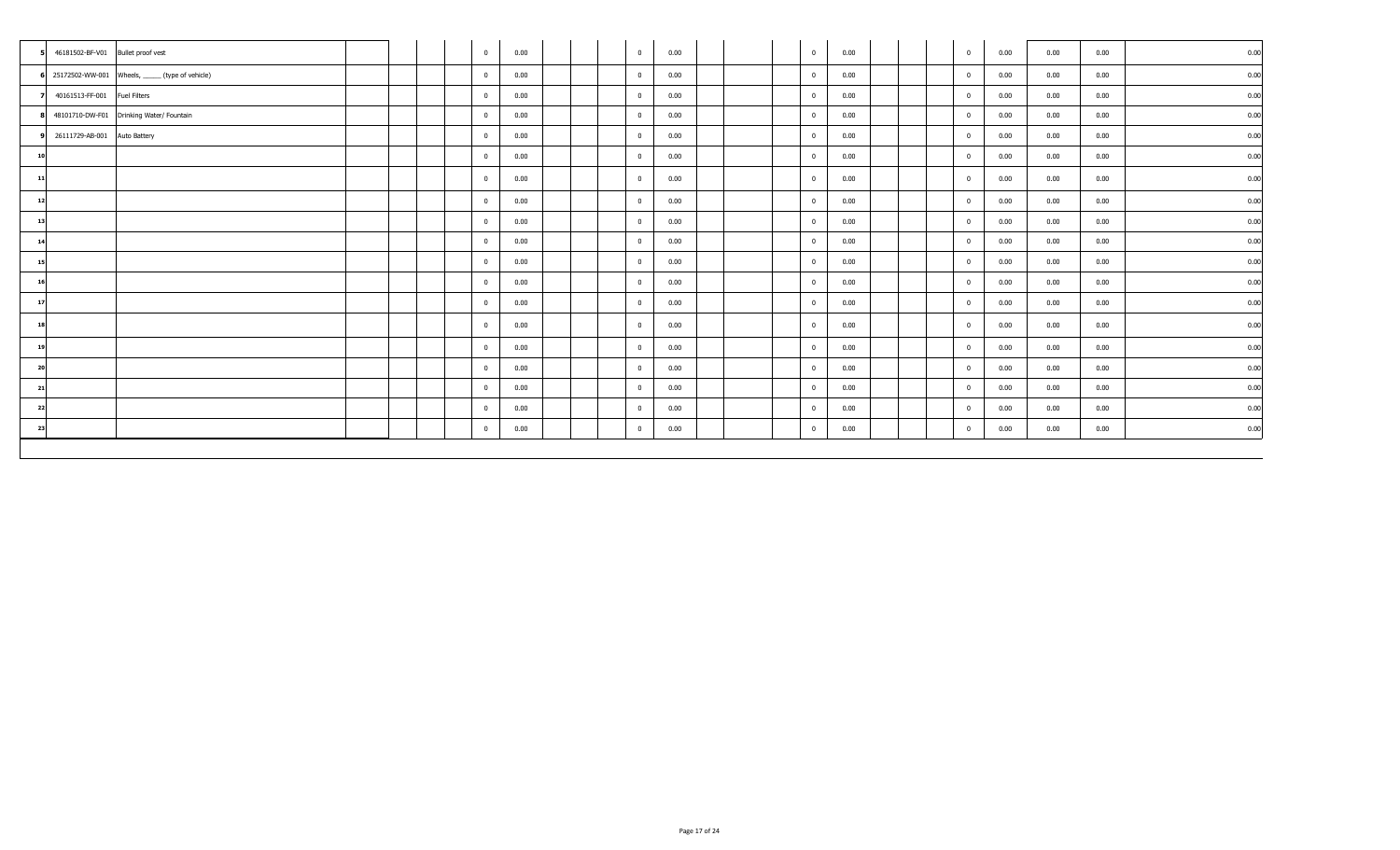| 46181502-BF-V01 Bullet proof vest |                                                    |  | $\mathbf{0}$   | 0.00 | $\overline{0}$ | 0.00 |  | $\overline{0}$          | 0.00 |  | $\pmb{0}$      | 0.00 | 0.00 | 0.00 | 0.00 |
|-----------------------------------|----------------------------------------------------|--|----------------|------|----------------|------|--|-------------------------|------|--|----------------|------|------|------|------|
|                                   | 6 25172502-WW-001 Wheels, ______ (type of vehicle) |  | $\overline{0}$ | 0.00 | $\mathbf{0}$   | 0.00 |  | $\overline{\mathbf{0}}$ | 0.00 |  | $\mathbf{0}$   | 0.00 | 0.00 | 0.00 | 0.00 |
| 40161513-FF-001 Fuel Filters      |                                                    |  | $\mathbf{0}$   | 0.00 | $\overline{0}$ | 0.00 |  | $\overline{0}$          | 0.00 |  | $\bf{0}$       | 0.00 | 0.00 | 0.00 | 0.00 |
|                                   | 48101710-DW-F01 Drinking Water/ Fountain           |  | $\mathbf{0}$   | 0.00 | $\overline{0}$ | 0.00 |  | $\overline{0}$          | 0.00 |  | $\mathbf 0$    | 0.00 | 0.00 | 0.00 | 0.00 |
| 26111729-AB-001 Auto Battery      |                                                    |  | $\mathbf{0}$   | 0.00 | $\mathbf{0}$   | 0.00 |  | $\overline{0}$          | 0.00 |  | $\mathbf 0$    | 0.00 | 0.00 | 0.00 | 0.00 |
| 10                                |                                                    |  | $\mathbf 0$    | 0.00 | $\mathbf{0}$   | 0.00 |  | $\overline{\mathbf{0}}$ | 0.00 |  | $\pmb{0}$      | 0.00 | 0.00 | 0.00 | 0.00 |
| 11                                |                                                    |  | $\mathbf 0$    | 0.00 | $\mathbf{0}$   | 0.00 |  | $\overline{0}$          | 0.00 |  | $\bf{0}$       | 0.00 | 0.00 | 0.00 | 0.00 |
| 12                                |                                                    |  | $\overline{0}$ | 0.00 | $\mathbf{0}$   | 0.00 |  | $\overline{\mathbf{0}}$ | 0.00 |  | $\overline{0}$ | 0.00 | 0.00 | 0.00 | 0.00 |
| 13                                |                                                    |  | $\overline{0}$ | 0.00 | $\mathbf{0}$   | 0.00 |  | $\overline{\mathbf{0}}$ | 0.00 |  | $\mathbf 0$    | 0.00 | 0.00 | 0.00 | 0.00 |
| 14                                |                                                    |  | $\overline{0}$ | 0.00 | $\overline{0}$ | 0.00 |  | $\overline{0}$          | 0.00 |  | $\bf{0}$       | 0.00 | 0.00 | 0.00 | 0.00 |
| 15                                |                                                    |  | $\mathbf{0}$   | 0.00 | $\mathbf{0}$   | 0.00 |  | $\overline{0}$          | 0.00 |  | $\mathbf 0$    | 0.00 | 0.00 | 0.00 | 0.00 |
| 16                                |                                                    |  | $\mathbf 0$    | 0.00 | $\overline{0}$ | 0.00 |  | $\overline{\mathbf{0}}$ | 0.00 |  | $\pmb{0}$      | 0.00 | 0.00 | 0.00 | 0.00 |
| 17                                |                                                    |  | $\mathbf 0$    | 0.00 | $\mathbf{0}$   | 0.00 |  | $\overline{\mathbf{0}}$ | 0.00 |  | $\pmb{0}$      | 0.00 | 0.00 | 0.00 | 0.00 |
| 18                                |                                                    |  | $\mathbf 0$    | 0.00 | $\overline{0}$ | 0.00 |  | $\overline{0}$          | 0.00 |  | $\mathbf 0$    | 0.00 | 0.00 | 0.00 | 0.00 |
| 19                                |                                                    |  | $\overline{0}$ | 0.00 | $\mathbf{0}$   | 0.00 |  | $\overline{\mathbf{0}}$ | 0.00 |  | $\overline{0}$ | 0.00 | 0.00 | 0.00 | 0.00 |
| 20                                |                                                    |  | $\mathbf{0}$   | 0.00 | $\mathbf{0}$   | 0.00 |  | $\overline{0}$          | 0.00 |  | $\bf{0}$       | 0.00 | 0.00 | 0.00 | 0.00 |
| 21                                |                                                    |  | $\overline{0}$ | 0.00 | $\mathbf{0}$   | 0.00 |  | $\overline{\mathbf{0}}$ | 0.00 |  | $\mathbf 0$    | 0.00 | 0.00 | 0.00 | 0.00 |
| 22                                |                                                    |  | $\mathbf{0}$   | 0.00 | $\mathbf{0}$   | 0.00 |  | $\overline{0}$          | 0.00 |  | $\pmb{0}$      | 0.00 | 0.00 | 0.00 | 0.00 |
| 23                                |                                                    |  | $\overline{0}$ | 0.00 | $\overline{0}$ | 0.00 |  | $\overline{0}$          | 0.00 |  | $\mathbf 0$    | 0.00 | 0.00 | 0.00 | 0.00 |
|                                   |                                                    |  |                |      |                |      |  |                         |      |  |                |      |      |      |      |